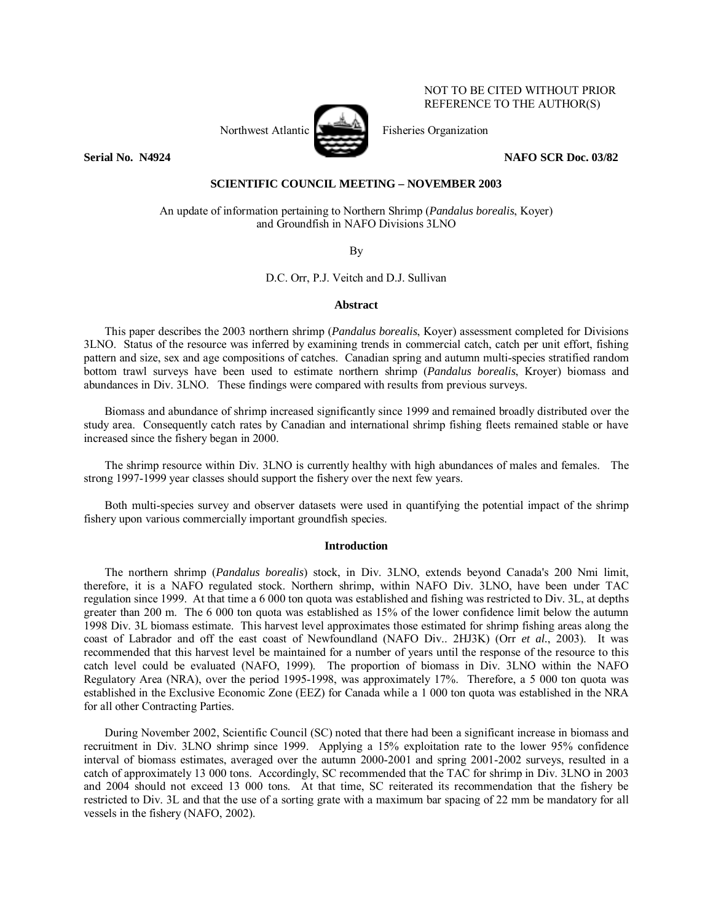

NOT TO BE CITED WITHOUT PRIOR REFERENCE TO THE AUTHOR(S)

## **Serial No. 24924** NAFO SCR Doc. 03/82

## **SCIENTIFIC COUNCIL MEETING – NOVEMBER 2003**

An update of information pertaining to Northern Shrimp (*Pandalus borealis*, Koyer) and Groundfish in NAFO Divisions 3LNO

By

D.C. Orr, P.J. Veitch and D.J. Sullivan

#### **Abstract**

This paper describes the 2003 northern shrimp (*Pandalus borealis*, Koyer) assessment completed for Divisions 3LNO. Status of the resource was inferred by examining trends in commercial catch, catch per unit effort, fishing pattern and size, sex and age compositions of catches. Canadian spring and autumn multi-species stratified random bottom trawl surveys have been used to estimate northern shrimp (*Pandalus borealis*, Kroyer) biomass and abundances in Div. 3LNO. These findings were compared with results from previous surveys.

Biomass and abundance of shrimp increased significantly since 1999 and remained broadly distributed over the study area. Consequently catch rates by Canadian and international shrimp fishing fleets remained stable or have increased since the fishery began in 2000.

The shrimp resource within Div. 3LNO is currently healthy with high abundances of males and females. The strong 1997-1999 year classes should support the fishery over the next few years.

Both multi-species survey and observer datasets were used in quantifying the potential impact of the shrimp fishery upon various commercially important groundfish species.

## **Introduction**

The northern shrimp (*Pandalus borealis*) stock, in Div. 3LNO, extends beyond Canada's 200 Nmi limit, therefore, it is a NAFO regulated stock. Northern shrimp, within NAFO Div. 3LNO, have been under TAC regulation since 1999. At that time a 6 000 ton quota was established and fishing was restricted to Div. 3L, at depths greater than 200 m. The 6 000 ton quota was established as 15% of the lower confidence limit below the autumn 1998 Div. 3L biomass estimate. This harvest level approximates those estimated for shrimp fishing areas along the coast of Labrador and off the east coast of Newfoundland (NAFO Div.. 2HJ3K) (Orr *et al.*, 2003). It was recommended that this harvest level be maintained for a number of years until the response of the resource to this catch level could be evaluated (NAFO, 1999). The proportion of biomass in Div. 3LNO within the NAFO Regulatory Area (NRA), over the period 1995-1998, was approximately 17%. Therefore, a 5 000 ton quota was established in the Exclusive Economic Zone (EEZ) for Canada while a 1 000 ton quota was established in the NRA for all other Contracting Parties.

During November 2002, Scientific Council (SC) noted that there had been a significant increase in biomass and recruitment in Div. 3LNO shrimp since 1999. Applying a 15% exploitation rate to the lower 95% confidence interval of biomass estimates, averaged over the autumn 2000-2001 and spring 2001-2002 surveys, resulted in a catch of approximately 13 000 tons. Accordingly, SC recommended that the TAC for shrimp in Div. 3LNO in 2003 and 2004 should not exceed 13 000 tons. At that time, SC reiterated its recommendation that the fishery be restricted to Div. 3L and that the use of a sorting grate with a maximum bar spacing of 22 mm be mandatory for all vessels in the fishery (NAFO, 2002).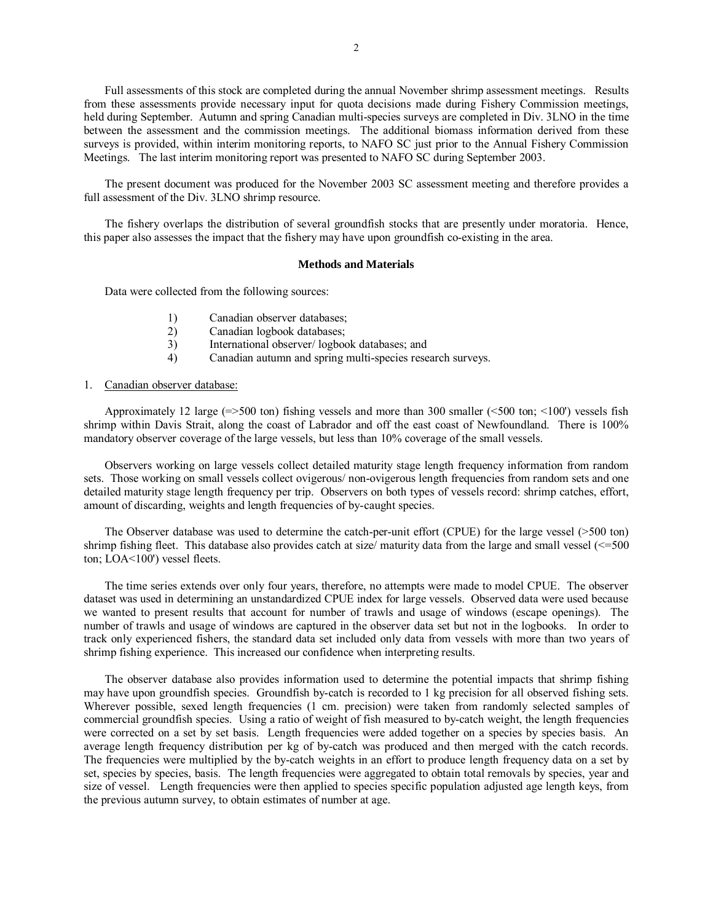Full assessments of this stock are completed during the annual November shrimp assessment meetings. Results from these assessments provide necessary input for quota decisions made during Fishery Commission meetings, held during September. Autumn and spring Canadian multi-species surveys are completed in Div. 3LNO in the time between the assessment and the commission meetings. The additional biomass information derived from these surveys is provided, within interim monitoring reports, to NAFO SC just prior to the Annual Fishery Commission Meetings. The last interim monitoring report was presented to NAFO SC during September 2003.

The present document was produced for the November 2003 SC assessment meeting and therefore provides a full assessment of the Div. 3LNO shrimp resource.

The fishery overlaps the distribution of several groundfish stocks that are presently under moratoria. Hence, this paper also assesses the impact that the fishery may have upon groundfish co-existing in the area.

## **Methods and Materials**

Data were collected from the following sources:

- 1) Canadian observer databases;
- 2) Canadian logbook databases;
- 3) International observer/ logbook databases; and
- 4) Canadian autumn and spring multi-species research surveys.

## 1. Canadian observer database:

Approximately 12 large  $(=>500 \text{ ton})$  fishing vessels and more than 300 smaller  $( <500 \text{ ton}) < (100)$  vessels fish shrimp within Davis Strait, along the coast of Labrador and off the east coast of Newfoundland. There is 100% mandatory observer coverage of the large vessels, but less than 10% coverage of the small vessels.

Observers working on large vessels collect detailed maturity stage length frequency information from random sets. Those working on small vessels collect ovigerous/ non-ovigerous length frequencies from random sets and one detailed maturity stage length frequency per trip. Observers on both types of vessels record: shrimp catches, effort, amount of discarding, weights and length frequencies of by-caught species.

The Observer database was used to determine the catch-per-unit effort (CPUE) for the large vessel (>500 ton) shrimp fishing fleet. This database also provides catch at size/ maturity data from the large and small vessel  $\ll 500$ ton; LOA<100') vessel fleets.

The time series extends over only four years, therefore, no attempts were made to model CPUE. The observer dataset was used in determining an unstandardized CPUE index for large vessels. Observed data were used because we wanted to present results that account for number of trawls and usage of windows (escape openings). The number of trawls and usage of windows are captured in the observer data set but not in the logbooks. In order to track only experienced fishers, the standard data set included only data from vessels with more than two years of shrimp fishing experience. This increased our confidence when interpreting results.

The observer database also provides information used to determine the potential impacts that shrimp fishing may have upon groundfish species. Groundfish by-catch is recorded to 1 kg precision for all observed fishing sets. Wherever possible, sexed length frequencies (1 cm. precision) were taken from randomly selected samples of commercial groundfish species. Using a ratio of weight of fish measured to by-catch weight, the length frequencies were corrected on a set by set basis. Length frequencies were added together on a species by species basis. An average length frequency distribution per kg of by-catch was produced and then merged with the catch records. The frequencies were multiplied by the by-catch weights in an effort to produce length frequency data on a set by set, species by species, basis. The length frequencies were aggregated to obtain total removals by species, year and size of vessel. Length frequencies were then applied to species specific population adjusted age length keys, from the previous autumn survey, to obtain estimates of number at age.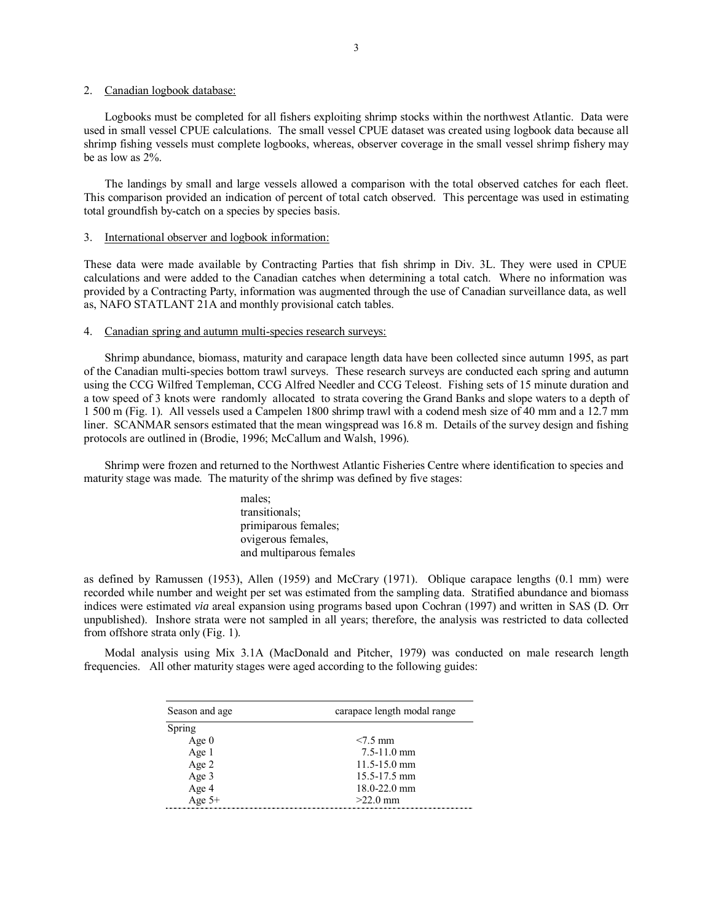#### 2. Canadian logbook database:

Logbooks must be completed for all fishers exploiting shrimp stocks within the northwest Atlantic. Data were used in small vessel CPUE calculations. The small vessel CPUE dataset was created using logbook data because all shrimp fishing vessels must complete logbooks, whereas, observer coverage in the small vessel shrimp fishery may be as low as 2%.

The landings by small and large vessels allowed a comparison with the total observed catches for each fleet. This comparison provided an indication of percent of total catch observed. This percentage was used in estimating total groundfish by-catch on a species by species basis.

## 3. International observer and logbook information:

These data were made available by Contracting Parties that fish shrimp in Div. 3L. They were used in CPUE calculations and were added to the Canadian catches when determining a total catch. Where no information was provided by a Contracting Party, information was augmented through the use of Canadian surveillance data, as well as, NAFO STATLANT 21A and monthly provisional catch tables.

#### 4. Canadian spring and autumn multi-species research surveys:

Shrimp abundance, biomass, maturity and carapace length data have been collected since autumn 1995, as part of the Canadian multi-species bottom trawl surveys. These research surveys are conducted each spring and autumn using the CCG Wilfred Templeman, CCG Alfred Needler and CCG Teleost. Fishing sets of 15 minute duration and a tow speed of 3 knots were randomly allocated to strata covering the Grand Banks and slope waters to a depth of 1 500 m (Fig. 1). All vessels used a Campelen 1800 shrimp trawl with a codend mesh size of 40 mm and a 12.7 mm liner. SCANMAR sensors estimated that the mean wingspread was 16.8 m. Details of the survey design and fishing protocols are outlined in (Brodie, 1996; McCallum and Walsh, 1996).

Shrimp were frozen and returned to the Northwest Atlantic Fisheries Centre where identification to species and maturity stage was made. The maturity of the shrimp was defined by five stages:

> males; transitionals; primiparous females; ovigerous females, and multiparous females

as defined by Ramussen (1953), Allen (1959) and McCrary (1971). Oblique carapace lengths (0.1 mm) were recorded while number and weight per set was estimated from the sampling data. Stratified abundance and biomass indices were estimated *via* areal expansion using programs based upon Cochran (1997) and written in SAS (D. Orr unpublished). Inshore strata were not sampled in all years; therefore, the analysis was restricted to data collected from offshore strata only (Fig. 1).

Modal analysis using Mix 3.1A (MacDonald and Pitcher, 1979) was conducted on male research length frequencies. All other maturity stages were aged according to the following guides:

| Season and age | carapace length modal range |
|----------------|-----------------------------|
| Spring         |                             |
| Age $0$        | $< 7.5$ mm                  |
| Age 1          | $7.5 - 11.0$ mm             |
| Age 2          | $11.5 - 15.0$ mm            |
| Age 3          | 15.5-17.5 mm                |
| Age 4          | $18.0 - 22.0$ mm            |
| Age $5+$       | $>22.0$ mm                  |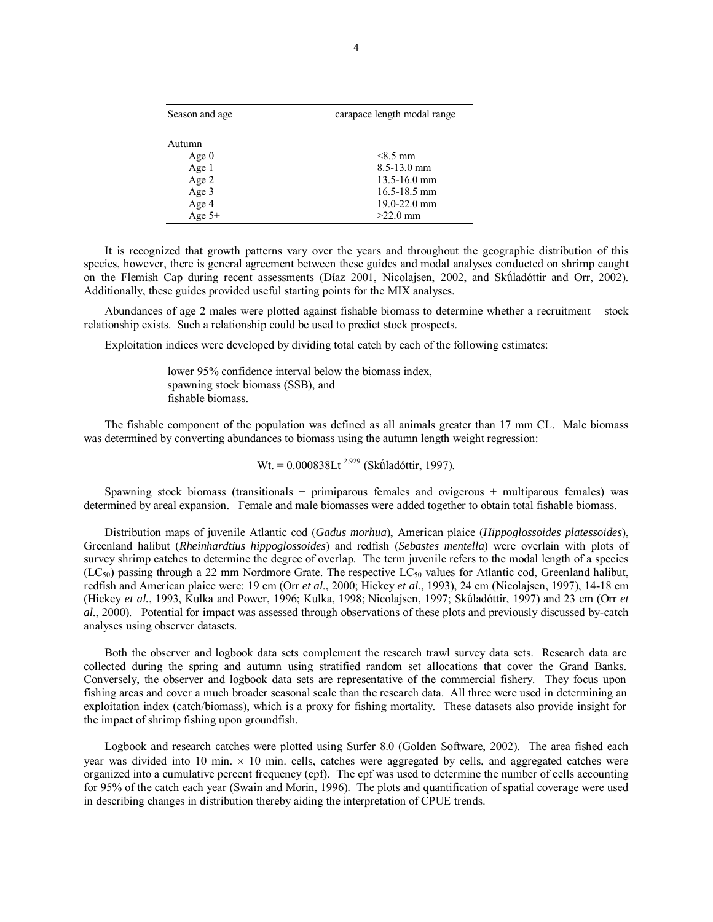| Season and age | carapace length modal range |
|----------------|-----------------------------|
| Autumn         |                             |
| Age $0$        | $< 8.5$ mm                  |
| Age 1          | $8.5 - 13.0$ mm             |
| Age 2          | $13.5 - 16.0$ mm            |
| Age 3          | $16.5 - 18.5$ mm            |
| Age 4          | 19.0-22.0 mm                |
| Age $5+$       | $>22.0$ mm                  |

It is recognized that growth patterns vary over the years and throughout the geographic distribution of this species, however, there is general agreement between these guides and modal analyses conducted on shrimp caught on the Flemish Cap during recent assessments (Díaz 2001, Nicolajsen, 2002, and Skúladóttir and Orr, 2002). Additionally, these guides provided useful starting points for the MIX analyses.

Abundances of age 2 males were plotted against fishable biomass to determine whether a recruitment  $-$  stock relationship exists. Such a relationship could be used to predict stock prospects.

Exploitation indices were developed by dividing total catch by each of the following estimates:

lower 95% confidence interval below the biomass index, spawning stock biomass (SSB), and fishable biomass.

The fishable component of the population was defined as all animals greater than 17 mm CL. Male biomass was determined by converting abundances to biomass using the autumn length weight regression:

 $Wt = 0.000838$ Lt<sup>2.929</sup> (Skúladóttir, 1997).

Spawning stock biomass (transitionals  $+$  primiparous females and ovigerous  $+$  multiparous females) was determined by areal expansion. Female and male biomasses were added together to obtain total fishable biomass.

Distribution maps of juvenile Atlantic cod (*Gadus morhua*), American plaice (*Hippoglossoides platessoides*), Greenland halibut (*Rheinhardtius hippoglossoides*) and redfish (*Sebastes mentella*) were overlain with plots of survey shrimp catches to determine the degree of overlap. The term juvenile refers to the modal length of a species  $(LC_{50})$  passing through a 22 mm Nordmore Grate. The respective  $LC_{50}$  values for Atlantic cod, Greenland halibut, redfish and American plaice were: 19 cm (Orr *et al*., 2000; Hickey *et al*., 1993), 24 cm (Nicolajsen, 1997), 14-18 cm (Hickey *et al.*, 1993, Kulka and Power, 1996; Kulka, 1998; Nicolajsen, 1997; Skúladóttir, 1997) and 23 cm (Orr *et al.*, 2000). Potential for impact was assessed through observations of these plots and previously discussed by-catch analyses using observer datasets.

Both the observer and logbook data sets complement the research trawl survey data sets. Research data are collected during the spring and autumn using stratified random set allocations that cover the Grand Banks. Conversely, the observer and logbook data sets are representative of the commercial fishery. They focus upon fishing areas and cover a much broader seasonal scale than the research data. All three were used in determining an exploitation index (catch/biomass), which is a proxy for fishing mortality. These datasets also provide insight for the impact of shrimp fishing upon groundfish.

Logbook and research catches were plotted using Surfer 8.0 (Golden Software, 2002). The area fished each year was divided into 10 min.  $\times$  10 min. cells, catches were aggregated by cells, and aggregated catches were organized into a cumulative percent frequency (cpf). The cpf was used to determine the number of cells accounting for 95% of the catch each year (Swain and Morin, 1996). The plots and quantification of spatial coverage were used in describing changes in distribution thereby aiding the interpretation of CPUE trends.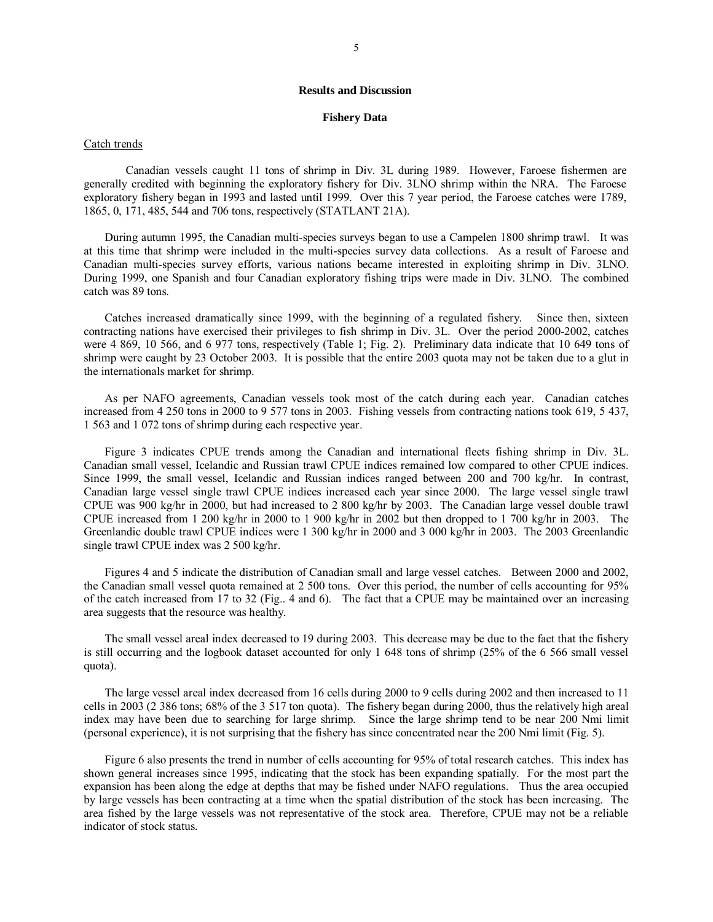#### **Results and Discussion**

#### **Fishery Data**

#### Catch trends

 Canadian vessels caught 11 tons of shrimp in Div. 3L during 1989. However, Faroese fishermen are generally credited with beginning the exploratory fishery for Div. 3LNO shrimp within the NRA. The Faroese exploratory fishery began in 1993 and lasted until 1999. Over this 7 year period, the Faroese catches were 1789, 1865, 0, 171, 485, 544 and 706 tons, respectively (STATLANT 21A).

During autumn 1995, the Canadian multi-species surveys began to use a Campelen 1800 shrimp trawl. It was at this time that shrimp were included in the multi-species survey data collections. As a result of Faroese and Canadian multi-species survey efforts, various nations became interested in exploiting shrimp in Div. 3LNO. During 1999, one Spanish and four Canadian exploratory fishing trips were made in Div. 3LNO. The combined catch was 89 tons.

Catches increased dramatically since 1999, with the beginning of a regulated fishery. Since then, sixteen contracting nations have exercised their privileges to fish shrimp in Div. 3L. Over the period 2000-2002, catches were 4 869, 10 566, and 6 977 tons, respectively (Table 1; Fig. 2). Preliminary data indicate that 10 649 tons of shrimp were caught by 23 October 2003. It is possible that the entire 2003 quota may not be taken due to a glut in the internationals market for shrimp.

As per NAFO agreements, Canadian vessels took most of the catch during each year. Canadian catches increased from 4 250 tons in 2000 to 9 577 tons in 2003. Fishing vessels from contracting nations took 619, 5 437, 1 563 and 1 072 tons of shrimp during each respective year.

Figure 3 indicates CPUE trends among the Canadian and international fleets fishing shrimp in Div. 3L. Canadian small vessel, Icelandic and Russian trawl CPUE indices remained low compared to other CPUE indices. Since 1999, the small vessel, Icelandic and Russian indices ranged between 200 and 700 kg/hr. In contrast, Canadian large vessel single trawl CPUE indices increased each year since 2000. The large vessel single trawl CPUE was 900 kg/hr in 2000, but had increased to 2 800 kg/hr by 2003. The Canadian large vessel double trawl CPUE increased from 1 200 kg/hr in 2000 to 1 900 kg/hr in 2002 but then dropped to 1 700 kg/hr in 2003. The Greenlandic double trawl CPUE indices were 1 300 kg/hr in 2000 and 3 000 kg/hr in 2003. The 2003 Greenlandic single trawl CPUE index was 2 500 kg/hr.

Figures 4 and 5 indicate the distribution of Canadian small and large vessel catches. Between 2000 and 2002, the Canadian small vessel quota remained at 2 500 tons. Over this period, the number of cells accounting for 95% of the catch increased from 17 to 32 (Fig.. 4 and 6). The fact that a CPUE may be maintained over an increasing area suggests that the resource was healthy.

The small vessel areal index decreased to 19 during 2003. This decrease may be due to the fact that the fishery is still occurring and the logbook dataset accounted for only 1 648 tons of shrimp (25% of the 6 566 small vessel quota).

The large vessel areal index decreased from 16 cells during 2000 to 9 cells during 2002 and then increased to 11 cells in 2003 (2 386 tons; 68% of the 3 517 ton quota). The fishery began during 2000, thus the relatively high areal index may have been due to searching for large shrimp. Since the large shrimp tend to be near 200 Nmi limit (personal experience), it is not surprising that the fishery has since concentrated near the 200 Nmi limit (Fig. 5).

Figure 6 also presents the trend in number of cells accounting for 95% of total research catches. This index has shown general increases since 1995, indicating that the stock has been expanding spatially. For the most part the expansion has been along the edge at depths that may be fished under NAFO regulations. Thus the area occupied by large vessels has been contracting at a time when the spatial distribution of the stock has been increasing. The area fished by the large vessels was not representative of the stock area. Therefore, CPUE may not be a reliable indicator of stock status.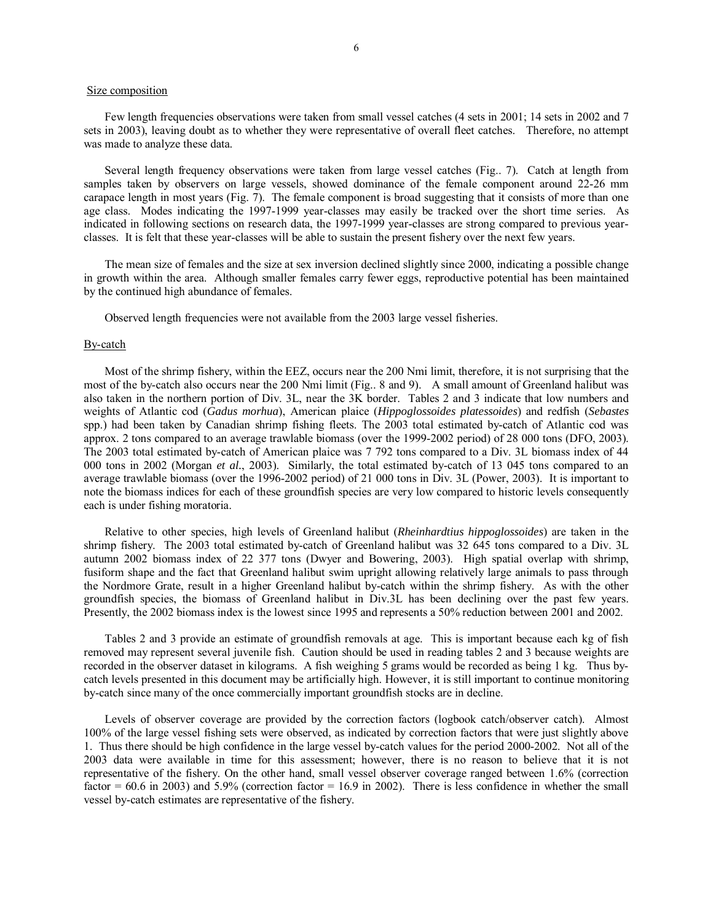### Size composition

Few length frequencies observations were taken from small vessel catches (4 sets in 2001; 14 sets in 2002 and 7 sets in 2003), leaving doubt as to whether they were representative of overall fleet catches. Therefore, no attempt was made to analyze these data.

Several length frequency observations were taken from large vessel catches (Fig.. 7). Catch at length from samples taken by observers on large vessels, showed dominance of the female component around 22-26 mm carapace length in most years (Fig. 7). The female component is broad suggesting that it consists of more than one age class. Modes indicating the 1997-1999 year-classes may easily be tracked over the short time series. As indicated in following sections on research data, the 1997-1999 year-classes are strong compared to previous yearclasses. It is felt that these year-classes will be able to sustain the present fishery over the next few years.

The mean size of females and the size at sex inversion declined slightly since 2000, indicating a possible change in growth within the area. Although smaller females carry fewer eggs, reproductive potential has been maintained by the continued high abundance of females.

Observed length frequencies were not available from the 2003 large vessel fisheries.

## By-catch

Most of the shrimp fishery, within the EEZ, occurs near the 200 Nmi limit, therefore, it is not surprising that the most of the by-catch also occurs near the 200 Nmi limit (Fig.. 8 and 9). A small amount of Greenland halibut was also taken in the northern portion of Div. 3L, near the 3K border. Tables 2 and 3 indicate that low numbers and weights of Atlantic cod (*Gadus morhua*), American plaice (*Hippoglossoides platessoides*) and redfish (*Sebastes*  spp.) had been taken by Canadian shrimp fishing fleets. The 2003 total estimated by-catch of Atlantic cod was approx. 2 tons compared to an average trawlable biomass (over the 1999-2002 period) of 28 000 tons (DFO, 2003). The 2003 total estimated by-catch of American plaice was 7 792 tons compared to a Div. 3L biomass index of 44 000 tons in 2002 (Morgan *et al.*, 2003). Similarly, the total estimated by-catch of 13 045 tons compared to an average trawlable biomass (over the 1996-2002 period) of 21 000 tons in Div. 3L (Power, 2003). It is important to note the biomass indices for each of these groundfish species are very low compared to historic levels consequently each is under fishing moratoria.

Relative to other species, high levels of Greenland halibut (*Rheinhardtius hippoglossoides*) are taken in the shrimp fishery. The 2003 total estimated by-catch of Greenland halibut was 32 645 tons compared to a Div. 3L autumn 2002 biomass index of 22 377 tons (Dwyer and Bowering, 2003). High spatial overlap with shrimp, fusiform shape and the fact that Greenland halibut swim upright allowing relatively large animals to pass through the Nordmore Grate, result in a higher Greenland halibut by-catch within the shrimp fishery. As with the other groundfish species, the biomass of Greenland halibut in Div.3L has been declining over the past few years. Presently, the 2002 biomass index is the lowest since 1995 and represents a 50% reduction between 2001 and 2002.

Tables 2 and 3 provide an estimate of groundfish removals at age. This is important because each kg of fish removed may represent several juvenile fish. Caution should be used in reading tables 2 and 3 because weights are recorded in the observer dataset in kilograms. A fish weighing 5 grams would be recorded as being 1 kg. Thus bycatch levels presented in this document may be artificially high. However, it is still important to continue monitoring by-catch since many of the once commercially important groundfish stocks are in decline.

Levels of observer coverage are provided by the correction factors (logbook catch/observer catch). Almost 100% of the large vessel fishing sets were observed, as indicated by correction factors that were just slightly above 1. Thus there should be high confidence in the large vessel by-catch values for the period 2000-2002. Not all of the 2003 data were available in time for this assessment; however, there is no reason to believe that it is not representative of the fishery. On the other hand, small vessel observer coverage ranged between 1.6% (correction factor =  $60.6$  in 2003) and 5.9% (correction factor =  $16.9$  in 2002). There is less confidence in whether the small vessel by-catch estimates are representative of the fishery.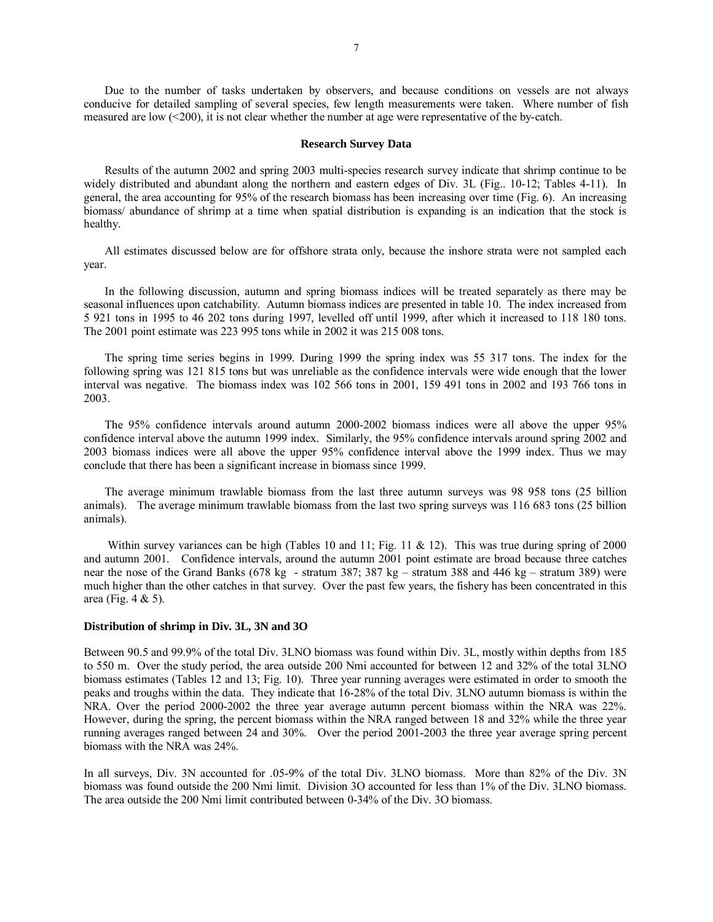Due to the number of tasks undertaken by observers, and because conditions on vessels are not always conducive for detailed sampling of several species, few length measurements were taken. Where number of fish measured are low (<200), it is not clear whether the number at age were representative of the by-catch.

#### **Research Survey Data**

Results of the autumn 2002 and spring 2003 multi-species research survey indicate that shrimp continue to be widely distributed and abundant along the northern and eastern edges of Div. 3L (Fig.. 10-12; Tables 4-11). In general, the area accounting for 95% of the research biomass has been increasing over time (Fig. 6). An increasing biomass/ abundance of shrimp at a time when spatial distribution is expanding is an indication that the stock is healthy.

All estimates discussed below are for offshore strata only, because the inshore strata were not sampled each year.

In the following discussion, autumn and spring biomass indices will be treated separately as there may be seasonal influences upon catchability. Autumn biomass indices are presented in table 10. The index increased from 5 921 tons in 1995 to 46 202 tons during 1997, levelled off until 1999, after which it increased to 118 180 tons. The 2001 point estimate was 223 995 tons while in 2002 it was 215 008 tons.

The spring time series begins in 1999. During 1999 the spring index was 55 317 tons. The index for the following spring was 121 815 tons but was unreliable as the confidence intervals were wide enough that the lower interval was negative. The biomass index was 102 566 tons in 2001, 159 491 tons in 2002 and 193 766 tons in 2003.

The 95% confidence intervals around autumn 2000-2002 biomass indices were all above the upper 95% confidence interval above the autumn 1999 index. Similarly, the 95% confidence intervals around spring 2002 and 2003 biomass indices were all above the upper 95% confidence interval above the 1999 index. Thus we may conclude that there has been a significant increase in biomass since 1999.

The average minimum trawlable biomass from the last three autumn surveys was 98 958 tons (25 billion animals). The average minimum trawlable biomass from the last two spring surveys was 116 683 tons (25 billion animals).

Within survey variances can be high (Tables 10 and 11; Fig. 11 & 12). This was true during spring of 2000 and autumn 2001. Confidence intervals, around the autumn 2001 point estimate are broad because three catches near the nose of the Grand Banks (678 kg - stratum 387; 387 kg – stratum 388 and 446 kg – stratum 389) were much higher than the other catches in that survey. Over the past few years, the fishery has been concentrated in this area (Fig. 4 & 5).

#### **Distribution of shrimp in Div. 3L, 3N and 3O**

Between 90.5 and 99.9% of the total Div. 3LNO biomass was found within Div. 3L, mostly within depths from 185 to 550 m. Over the study period, the area outside 200 Nmi accounted for between 12 and 32% of the total 3LNO biomass estimates (Tables 12 and 13; Fig. 10). Three year running averages were estimated in order to smooth the peaks and troughs within the data. They indicate that 16-28% of the total Div. 3LNO autumn biomass is within the NRA. Over the period 2000-2002 the three year average autumn percent biomass within the NRA was 22%. However, during the spring, the percent biomass within the NRA ranged between 18 and 32% while the three year running averages ranged between 24 and 30%. Over the period 2001-2003 the three year average spring percent biomass with the NRA was 24%.

In all surveys, Div. 3N accounted for .05-9% of the total Div. 3LNO biomass. More than 82% of the Div. 3N biomass was found outside the 200 Nmi limit. Division 3O accounted for less than 1% of the Div. 3LNO biomass. The area outside the 200 Nmi limit contributed between 0-34% of the Div. 3O biomass.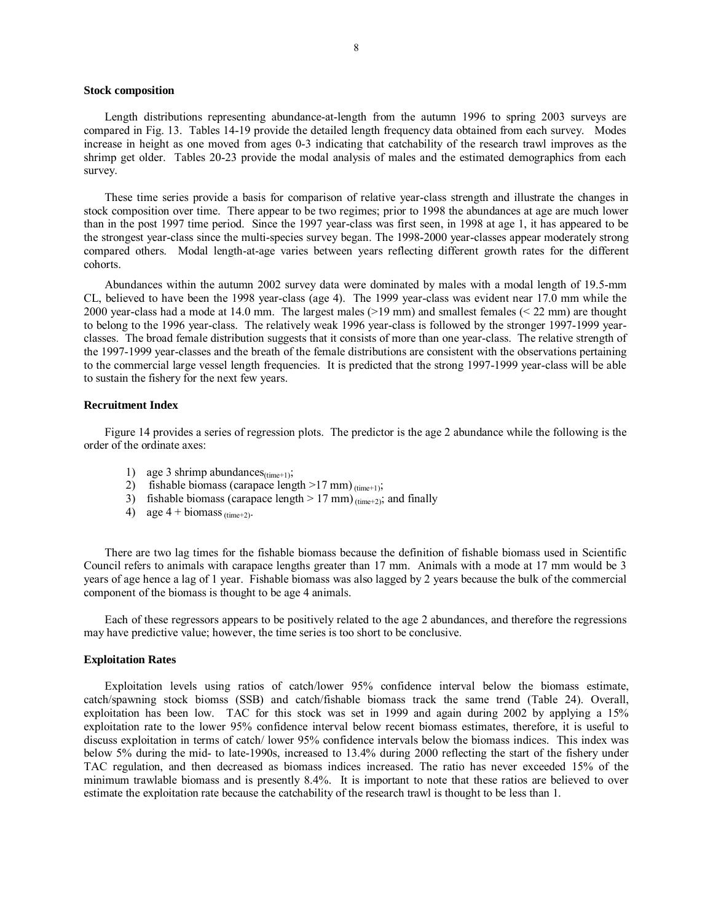#### **Stock composition**

Length distributions representing abundance-at-length from the autumn 1996 to spring 2003 surveys are compared in Fig. 13. Tables 14-19 provide the detailed length frequency data obtained from each survey. Modes increase in height as one moved from ages 0-3 indicating that catchability of the research trawl improves as the shrimp get older. Tables 20-23 provide the modal analysis of males and the estimated demographics from each survey.

These time series provide a basis for comparison of relative year-class strength and illustrate the changes in stock composition over time. There appear to be two regimes; prior to 1998 the abundances at age are much lower than in the post 1997 time period. Since the 1997 year-class was first seen, in 1998 at age 1, it has appeared to be the strongest year-class since the multi-species survey began. The 1998-2000 year-classes appear moderately strong compared others. Modal length-at-age varies between years reflecting different growth rates for the different cohorts.

Abundances within the autumn 2002 survey data were dominated by males with a modal length of 19.5-mm CL, believed to have been the 1998 year-class (age 4). The 1999 year-class was evident near 17.0 mm while the 2000 year-class had a mode at 14.0 mm. The largest males (>19 mm) and smallest females (< 22 mm) are thought to belong to the 1996 year-class. The relatively weak 1996 year-class is followed by the stronger 1997-1999 yearclasses. The broad female distribution suggests that it consists of more than one year-class. The relative strength of the 1997-1999 year-classes and the breath of the female distributions are consistent with the observations pertaining to the commercial large vessel length frequencies. It is predicted that the strong 1997-1999 year-class will be able to sustain the fishery for the next few years.

#### **Recruitment Index**

Figure 14 provides a series of regression plots. The predictor is the age 2 abundance while the following is the order of the ordinate axes:

- 1) age 3 shrimp abundances $_{\text{(time+1)}}$ ;
- 2) fishable biomass (carapace length  $>17$  mm)  $_{\text{(time+1)}}$ ;
- 3) fishable biomass (carapace length  $> 17$  mm)  $_{(time+2)}$ ; and finally
- 4) age  $4 + \text{biomass (time+2)}$ .

There are two lag times for the fishable biomass because the definition of fishable biomass used in Scientific Council refers to animals with carapace lengths greater than 17 mm. Animals with a mode at 17 mm would be 3 years of age hence a lag of 1 year. Fishable biomass was also lagged by 2 years because the bulk of the commercial component of the biomass is thought to be age 4 animals.

Each of these regressors appears to be positively related to the age 2 abundances, and therefore the regressions may have predictive value; however, the time series is too short to be conclusive.

#### **Exploitation Rates**

Exploitation levels using ratios of catch/lower 95% confidence interval below the biomass estimate, catch/spawning stock biomss (SSB) and catch/fishable biomass track the same trend (Table 24). Overall, exploitation has been low. TAC for this stock was set in 1999 and again during 2002 by applying a 15% exploitation rate to the lower 95% confidence interval below recent biomass estimates, therefore, it is useful to discuss exploitation in terms of catch/ lower 95% confidence intervals below the biomass indices. This index was below 5% during the mid- to late-1990s, increased to 13.4% during 2000 reflecting the start of the fishery under TAC regulation, and then decreased as biomass indices increased. The ratio has never exceeded 15% of the minimum trawlable biomass and is presently 8.4%. It is important to note that these ratios are believed to over estimate the exploitation rate because the catchability of the research trawl is thought to be less than 1.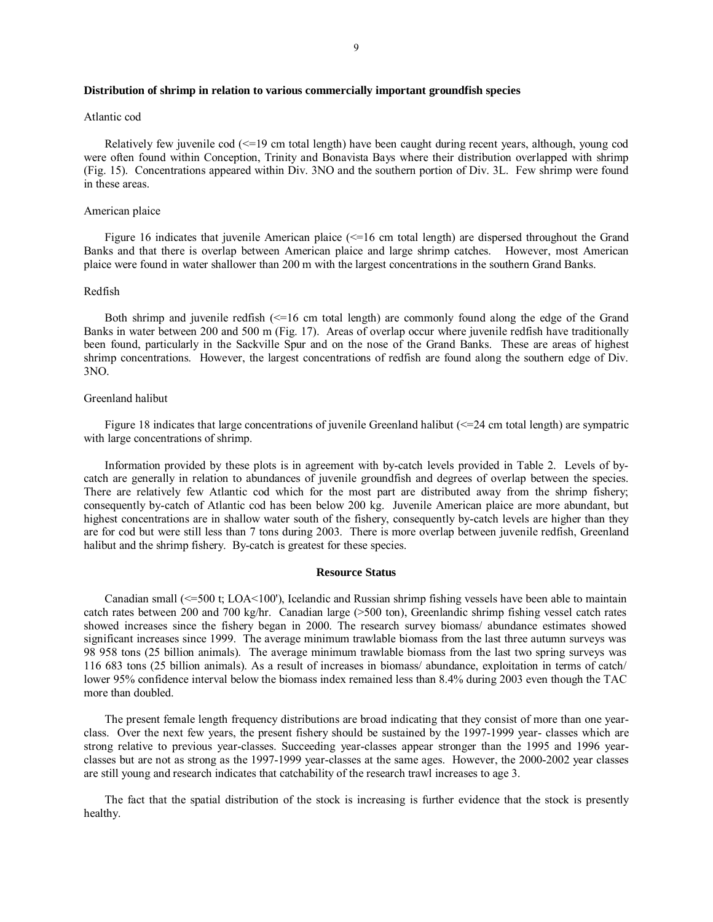#### **Distribution of shrimp in relation to various commercially important groundfish species**

#### Atlantic cod

Relatively few juvenile cod (<=19 cm total length) have been caught during recent years, although, young cod were often found within Conception, Trinity and Bonavista Bays where their distribution overlapped with shrimp (Fig. 15). Concentrations appeared within Div. 3NO and the southern portion of Div. 3L. Few shrimp were found in these areas.

#### American plaice

Figure 16 indicates that juvenile American plaice  $\ll$ =16 cm total length) are dispersed throughout the Grand Banks and that there is overlap between American plaice and large shrimp catches. However, most American plaice were found in water shallower than 200 m with the largest concentrations in the southern Grand Banks.

## Redfish

Both shrimp and juvenile redfish  $\ll$ =16 cm total length) are commonly found along the edge of the Grand Banks in water between 200 and 500 m (Fig. 17). Areas of overlap occur where juvenile redfish have traditionally been found, particularly in the Sackville Spur and on the nose of the Grand Banks. These are areas of highest shrimp concentrations. However, the largest concentrations of redfish are found along the southern edge of Div. 3NO.

#### Greenland halibut

Figure 18 indicates that large concentrations of juvenile Greenland halibut ( $\leq$ =24 cm total length) are sympatric with large concentrations of shrimp.

Information provided by these plots is in agreement with by-catch levels provided in Table 2. Levels of bycatch are generally in relation to abundances of juvenile groundfish and degrees of overlap between the species. There are relatively few Atlantic cod which for the most part are distributed away from the shrimp fishery; consequently by-catch of Atlantic cod has been below 200 kg. Juvenile American plaice are more abundant, but highest concentrations are in shallow water south of the fishery, consequently by-catch levels are higher than they are for cod but were still less than 7 tons during 2003. There is more overlap between juvenile redfish, Greenland halibut and the shrimp fishery. By-catch is greatest for these species.

#### **Resource Status**

Canadian small (<=500 t; LOA<100'), Icelandic and Russian shrimp fishing vessels have been able to maintain catch rates between 200 and 700 kg/hr. Canadian large (>500 ton), Greenlandic shrimp fishing vessel catch rates showed increases since the fishery began in 2000. The research survey biomass/ abundance estimates showed significant increases since 1999. The average minimum trawlable biomass from the last three autumn surveys was 98 958 tons (25 billion animals). The average minimum trawlable biomass from the last two spring surveys was 116 683 tons (25 billion animals). As a result of increases in biomass/ abundance, exploitation in terms of catch/ lower 95% confidence interval below the biomass index remained less than 8.4% during 2003 even though the TAC more than doubled.

The present female length frequency distributions are broad indicating that they consist of more than one yearclass. Over the next few years, the present fishery should be sustained by the 1997-1999 year- classes which are strong relative to previous year-classes. Succeeding year-classes appear stronger than the 1995 and 1996 yearclasses but are not as strong as the 1997-1999 year-classes at the same ages. However, the 2000-2002 year classes are still young and research indicates that catchability of the research trawl increases to age 3.

The fact that the spatial distribution of the stock is increasing is further evidence that the stock is presently healthy.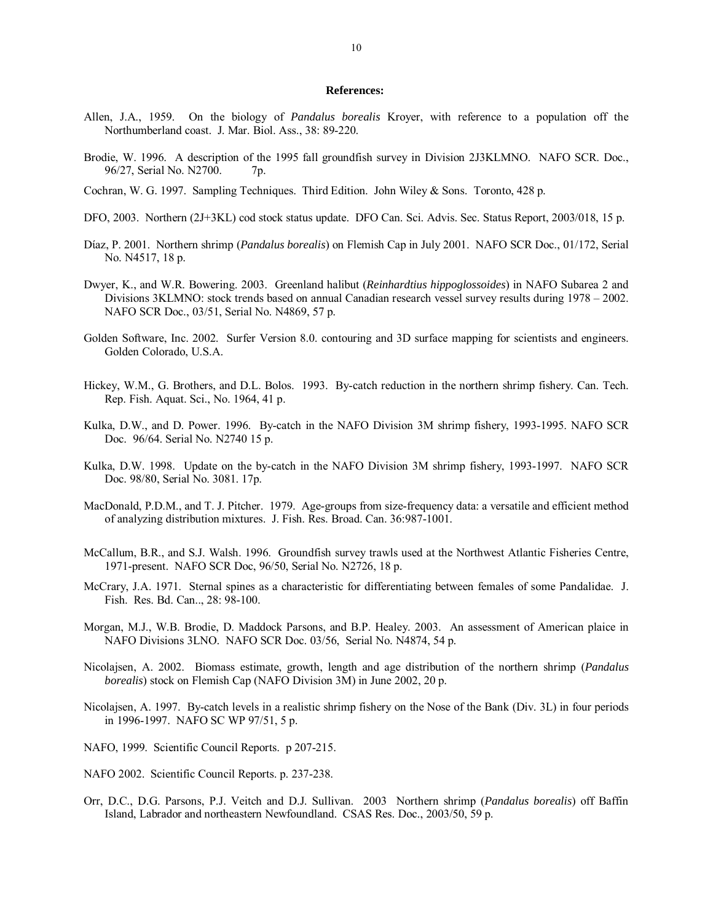#### **References:**

- Allen, J.A., 1959. On the biology of *Pandalus borealis* Kroyer, with reference to a population off the Northumberland coast. J. Mar. Biol. Ass., 38: 89-220.
- Brodie, W. 1996. A description of the 1995 fall groundfish survey in Division 2J3KLMNO. NAFO SCR. Doc., 96/27, Serial No. N2700. 7p.
- Cochran, W. G. 1997. Sampling Techniques. Third Edition. John Wiley & Sons. Toronto, 428 p.
- DFO, 2003. Northern (2J+3KL) cod stock status update. DFO Can. Sci. Advis. Sec. Status Report, 2003/018, 15 p.
- Dίaz, P. 2001. Northern shrimp (*Pandalus borealis*) on Flemish Cap in July 2001. NAFO SCR Doc., 01/172, Serial No. N4517, 18 p.
- Dwyer, K., and W.R. Bowering. 2003. Greenland halibut (*Reinhardtius hippoglossoides*) in NAFO Subarea 2 and Divisions 3KLMNO: stock trends based on annual Canadian research vessel survey results during  $1978 - 2002$ . NAFO SCR Doc., 03/51, Serial No. N4869, 57 p.
- Golden Software, Inc. 2002. Surfer Version 8.0. contouring and 3D surface mapping for scientists and engineers. Golden Colorado, U.S.A.
- Hickey, W.M., G. Brothers, and D.L. Bolos. 1993. By-catch reduction in the northern shrimp fishery. Can. Tech. Rep. Fish. Aquat. Sci., No. 1964, 41 p.
- Kulka, D.W., and D. Power. 1996. By-catch in the NAFO Division 3M shrimp fishery, 1993-1995. NAFO SCR Doc. 96/64. Serial No. N2740 15 p.
- Kulka, D.W. 1998. Update on the by-catch in the NAFO Division 3M shrimp fishery, 1993-1997. NAFO SCR Doc. 98/80, Serial No. 3081. 17p.
- MacDonald, P.D.M., and T. J. Pitcher. 1979. Age-groups from size-frequency data: a versatile and efficient method of analyzing distribution mixtures. J. Fish. Res. Broad. Can. 36:987-1001.
- McCallum, B.R., and S.J. Walsh. 1996. Groundfish survey trawls used at the Northwest Atlantic Fisheries Centre, 1971-present. NAFO SCR Doc, 96/50, Serial No. N2726, 18 p.
- McCrary, J.A. 1971. Sternal spines as a characteristic for differentiating between females of some Pandalidae. J. Fish. Res. Bd. Can.., 28: 98-100.
- Morgan, M.J., W.B. Brodie, D. Maddock Parsons, and B.P. Healey. 2003. An assessment of American plaice in NAFO Divisions 3LNO. NAFO SCR Doc. 03/56, Serial No. N4874, 54 p.
- Nicolajsen, A. 2002. Biomass estimate, growth, length and age distribution of the northern shrimp (*Pandalus borealis*) stock on Flemish Cap (NAFO Division 3M) in June 2002, 20 p.
- Nicolajsen, A. 1997. By-catch levels in a realistic shrimp fishery on the Nose of the Bank (Div. 3L) in four periods in 1996-1997. NAFO SC WP 97/51, 5 p.
- NAFO, 1999. Scientific Council Reports. p 207-215.
- NAFO 2002. Scientific Council Reports. p. 237-238.
- Orr, D.C., D.G. Parsons, P.J. Veitch and D.J. Sullivan. 2003 Northern shrimp (*Pandalus borealis*) off Baffin Island, Labrador and northeastern Newfoundland. CSAS Res. Doc., 2003/50, 59 p.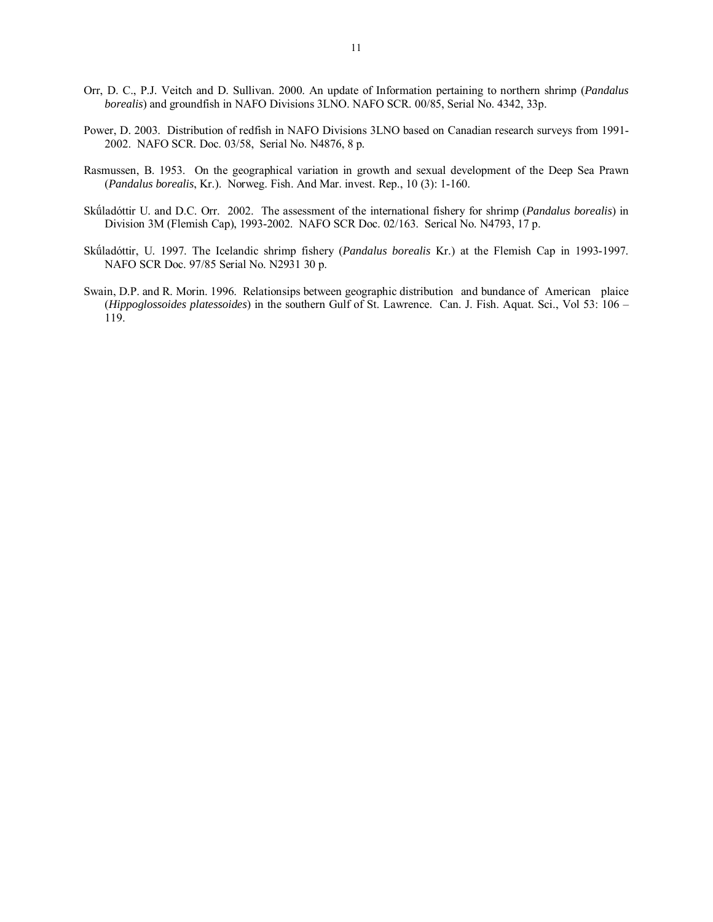- Orr, D. C., P.J. Veitch and D. Sullivan. 2000. An update of Information pertaining to northern shrimp (*Pandalus borealis*) and groundfish in NAFO Divisions 3LNO. NAFO SCR. 00/85, Serial No. 4342, 33p.
- Power, D. 2003. Distribution of redfish in NAFO Divisions 3LNO based on Canadian research surveys from 1991- 2002. NAFO SCR. Doc. 03/58, Serial No. N4876, 8 p.
- Rasmussen, B. 1953. On the geographical variation in growth and sexual development of the Deep Sea Prawn (*Pandalus borealis*, Kr.). Norweg. Fish. And Mar. invest. Rep., 10 (3): 1-160.
- Sküladóttir U. and D.C. Orr. 2002. The assessment of the international fishery for shrimp (*Pandalus borealis*) in Division 3M (Flemish Cap), 1993-2002. NAFO SCR Doc. 02/163. Serical No. N4793, 17 p.
- Skúladóttir, U. 1997. The Icelandic shrimp fishery (Pandalus borealis Kr.) at the Flemish Cap in 1993-1997. NAFO SCR Doc. 97/85 Serial No. N2931 30 p.
- Swain, D.P. and R. Morin. 1996. Relationsips between geographic distribution and bundance of American plaice (*Hippoglossoides platessoides*) in the southern Gulf of St. Lawrence. Can. J. Fish. Aquat. Sci., Vol 53:  $106 -$ 119.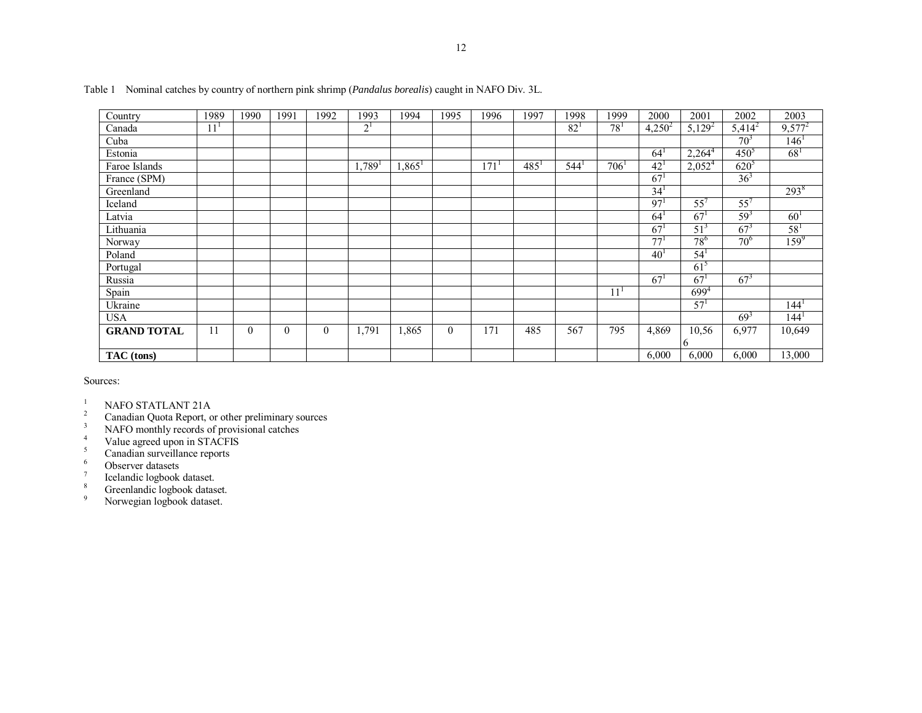| Country            | 1989            | 1990     | 1991     | 1992     | 1993                 | 1994                 | 1995     | 1996 | 1997    | 1998     | 1999             | 2000            | 2001            | 2002            | 2003             |
|--------------------|-----------------|----------|----------|----------|----------------------|----------------------|----------|------|---------|----------|------------------|-----------------|-----------------|-----------------|------------------|
| Canada             | 11 <sup>1</sup> |          |          |          | 2 <sup>1</sup>       |                      |          |      |         | $82^{1}$ | $78^{1}$         | $4,250^2$       | $5,129^2$       | $5,414^2$       | $9,577^2$        |
| Cuba               |                 |          |          |          |                      |                      |          |      |         |          |                  |                 |                 | 70 <sup>3</sup> | 146 <sup>1</sup> |
| Estonia            |                 |          |          |          |                      |                      |          |      |         |          |                  | 64              | $2,264^4$       | $450^{5}$       | 68 <sup>1</sup>  |
| Faroe Islands      |                 |          |          |          | $1,789$ <sup>1</sup> | $1,865$ <sup>1</sup> |          | 171  | $485^1$ | 544      | 706 <sup>1</sup> | $42^{1}$        | $2,052^4$       | $620^{5}$       |                  |
| France (SPM)       |                 |          |          |          |                      |                      |          |      |         |          |                  | 67 <sup>1</sup> |                 | 36 <sup>3</sup> |                  |
| Greenland          |                 |          |          |          |                      |                      |          |      |         |          |                  | 34 <sup>1</sup> |                 |                 | $293^8$          |
| Iceland            |                 |          |          |          |                      |                      |          |      |         |          |                  | 97'             | 55'             | 55'             |                  |
| Latvia             |                 |          |          |          |                      |                      |          |      |         |          |                  | 64              | 67              | $59^3$          | 60 <sup>1</sup>  |
| Lithuania          |                 |          |          |          |                      |                      |          |      |         |          |                  | 67              | 51 <sup>3</sup> | $67^3$          | $58^{1}$         |
| Norway             |                 |          |          |          |                      |                      |          |      |         |          |                  | 77              | $78^{6}$        | $70^{6}$        | $159^{9}$        |
| Poland             |                 |          |          |          |                      |                      |          |      |         |          |                  | $40^{\circ}$    | 54 <sup>1</sup> |                 |                  |
| Portugal           |                 |          |          |          |                      |                      |          |      |         |          |                  |                 | $61^5$          |                 |                  |
| Russia             |                 |          |          |          |                      |                      |          |      |         |          |                  | 67              | 67              | $67^3$          |                  |
| Spain              |                 |          |          |          |                      |                      |          |      |         |          | 11               |                 | $699^{4}$       |                 |                  |
| Ukraine            |                 |          |          |          |                      |                      |          |      |         |          |                  |                 | 57 <sup>1</sup> |                 | 144 <sup>1</sup> |
| <b>USA</b>         |                 |          |          |          |                      |                      |          |      |         |          |                  |                 |                 | $69^{3}$        | 144 <sup>1</sup> |
| <b>GRAND TOTAL</b> | 11              | $\theta$ | $\theta$ | $\theta$ | 1,791                | ,865                 | $\Omega$ | 171  | 485     | 567      | 795              | 4,869           | 10,56           | 6,977           | 10,649           |
|                    |                 |          |          |          |                      |                      |          |      |         |          |                  |                 | <sub>0</sub>    |                 |                  |
| TAC (tons)         |                 |          |          |          |                      |                      |          |      |         |          |                  | 6,000           | 6,000           | 6,000           | 13,000           |

Table 1 Nominal catches by country of northern pink shrimp (*Pandalus borealis*) caught in NAFO Div. 3L.

Sources:

<sup>1</sup> NAFO STATLANT 21A<br><sup>2</sup> Canadian Quote Bonert,  $\frac{1}{2}$ 

<sup>2</sup> Canadian Quota Report, or other preliminary sources

<sup>3</sup> NAFO monthly records of provisional catches

- <sup>4</sup> Value agreed upon in STACFIS
- <sup>5</sup> Canadian surveillance reports
- <sup>6</sup> Observer datasets

 $7$  Icelandic logbook dataset.

<sup>8</sup> Greenlandic logbook dataset.

<sup>9</sup> Norwegian logbook dataset.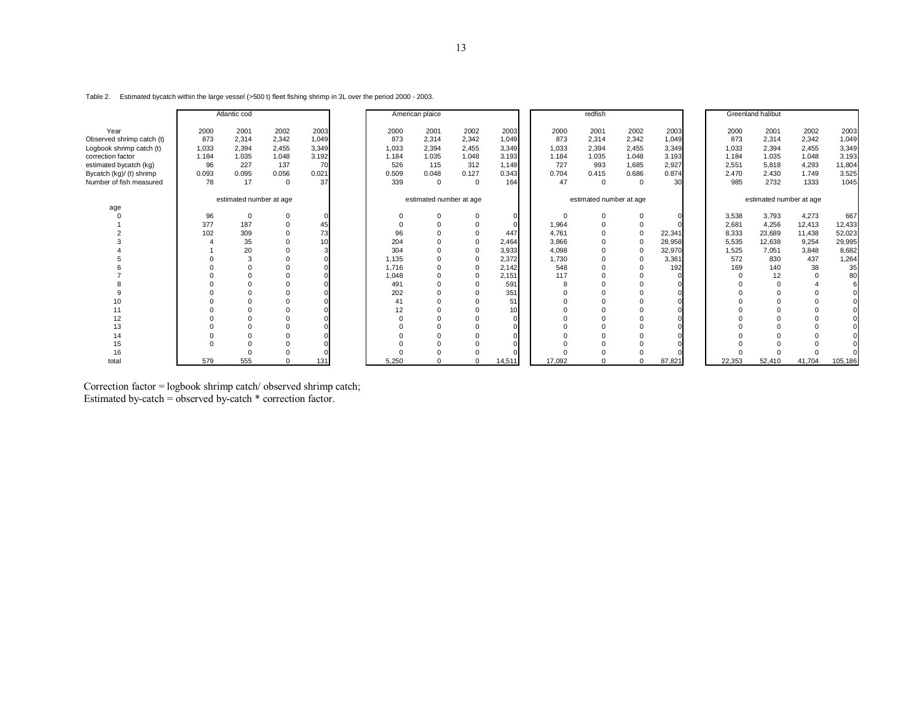|  |  | Table 2. Estimated bycatch within the large vessel (>500 t) fleet fishing shrimp in 3L over the period 2000 - 2003. |
|--|--|---------------------------------------------------------------------------------------------------------------------|
|--|--|---------------------------------------------------------------------------------------------------------------------|

|                                                                                                                                                                     |                                                    | Atlantic cod                                          |                                                             |                                                      |                                                      | American plaice                                      |                                                             |                                                          |                                                     | redfish                                              |                                                               |                                                         |                                                        | <b>Greenland halibut</b>                                  |                                                           |                                                            |
|---------------------------------------------------------------------------------------------------------------------------------------------------------------------|----------------------------------------------------|-------------------------------------------------------|-------------------------------------------------------------|------------------------------------------------------|------------------------------------------------------|------------------------------------------------------|-------------------------------------------------------------|----------------------------------------------------------|-----------------------------------------------------|------------------------------------------------------|---------------------------------------------------------------|---------------------------------------------------------|--------------------------------------------------------|-----------------------------------------------------------|-----------------------------------------------------------|------------------------------------------------------------|
| Year<br>Observed shrimp catch (t)<br>Logbook shrimp catch (t)<br>correction factor<br>estimated bycatch (kg)<br>Bycatch (kg)/ (t) shrimp<br>Number of fish measured | 2000<br>873<br>1,033<br>1.184<br>96<br>0.093<br>78 | 2001<br>2,314<br>2,394<br>1.035<br>227<br>0.095<br>17 | 2002<br>2.342<br>2,455<br>1.048<br>137<br>0.056<br>$\Omega$ | 2003<br>1,049<br>3,349<br>3.192<br>70<br>0.021<br>37 | 2000<br>873<br>1.033<br>1.184<br>526<br>0.509<br>339 | 2001<br>2,314<br>2,394<br>1.035<br>115<br>0.048<br>0 | 2002<br>2,342<br>2,455<br>1.048<br>312<br>0.127<br>$\Omega$ | 2003<br>1,049<br>3,349<br>3.193<br>1.149<br>0.343<br>164 | 2000<br>873<br>1,033<br>1.184<br>727<br>0.704<br>47 | 2001<br>2,314<br>2,394<br>1.035<br>993<br>0.415<br>0 | 2002<br>2,342<br>2,455<br>1.048<br>1,685<br>0.686<br>$\Omega$ | 2003<br>1,049<br>3,349<br>3.193<br>2,927<br>0.874<br>30 | 2000<br>873<br>1,033<br>1.184<br>2,551<br>2.470<br>985 | 2001<br>2,314<br>2,394<br>1.035<br>5,818<br>2.430<br>2732 | 2002<br>2,342<br>2,455<br>1.048<br>4,293<br>1.749<br>1333 | 2003<br>1,049<br>3,349<br>3.193<br>11,804<br>3.525<br>1045 |
|                                                                                                                                                                     |                                                    | estimated number at age                               |                                                             |                                                      |                                                      | estimated number at age                              |                                                             |                                                          |                                                     | estimated number at age                              |                                                               |                                                         |                                                        | estimated number at age                                   |                                                           |                                                            |
| age                                                                                                                                                                 |                                                    |                                                       |                                                             |                                                      |                                                      |                                                      |                                                             |                                                          |                                                     |                                                      |                                                               |                                                         |                                                        |                                                           |                                                           |                                                            |
|                                                                                                                                                                     | 96                                                 |                                                       |                                                             |                                                      | $\Omega$                                             |                                                      |                                                             |                                                          | $\Omega$                                            |                                                      |                                                               |                                                         | 3,538                                                  | 3,793                                                     | 4,273                                                     | 667                                                        |
|                                                                                                                                                                     | 377                                                | 187                                                   |                                                             | 45                                                   | $\Omega$                                             |                                                      | $\Omega$                                                    |                                                          | 1,964                                               |                                                      | $\Omega$                                                      |                                                         | 2,681                                                  | 4,256                                                     | 12,413                                                    | 12,433                                                     |
|                                                                                                                                                                     | 102                                                | 309                                                   |                                                             | 73                                                   | 96                                                   |                                                      |                                                             | 447                                                      | 4,761                                               | $\Omega$                                             | $\Omega$                                                      | 22,341                                                  | 8,333                                                  | 23,689                                                    | 11,438                                                    | 52,023                                                     |
|                                                                                                                                                                     |                                                    | 35                                                    |                                                             | 10 <sup>1</sup>                                      | 204                                                  |                                                      |                                                             | 2,464                                                    | 3,866                                               |                                                      |                                                               | 28,958                                                  | 5,535                                                  | 12,638                                                    | 9,254                                                     | 29,995                                                     |
|                                                                                                                                                                     |                                                    | 20                                                    |                                                             |                                                      | 304                                                  | $\Omega$                                             |                                                             | 3,933                                                    | 4,098                                               |                                                      | ∩                                                             | 32,970                                                  | 1,525                                                  | 7,051                                                     | 3,848                                                     | 8,682                                                      |
|                                                                                                                                                                     |                                                    | 3                                                     |                                                             |                                                      | 1.135                                                |                                                      |                                                             | 2,372                                                    | 1,730                                               |                                                      |                                                               | 3,361                                                   | 572                                                    | 830                                                       | 437                                                       | 1,264                                                      |
|                                                                                                                                                                     |                                                    |                                                       |                                                             |                                                      | 1.716                                                |                                                      |                                                             | 2.142                                                    | 548                                                 |                                                      |                                                               | 192                                                     | 169                                                    | 140                                                       | 38                                                        | 35                                                         |
|                                                                                                                                                                     |                                                    |                                                       |                                                             |                                                      | 1.048                                                |                                                      |                                                             | 2,151                                                    | 117                                                 |                                                      |                                                               |                                                         |                                                        | 12                                                        |                                                           | 80                                                         |
|                                                                                                                                                                     |                                                    |                                                       |                                                             |                                                      | 491                                                  |                                                      |                                                             | 591                                                      | 8                                                   |                                                      |                                                               |                                                         |                                                        |                                                           |                                                           |                                                            |
|                                                                                                                                                                     |                                                    |                                                       |                                                             |                                                      | 202                                                  | $\Omega$                                             | $\Omega$                                                    | 351                                                      | $\Omega$                                            |                                                      | $\Omega$                                                      |                                                         |                                                        |                                                           |                                                           |                                                            |
| 10                                                                                                                                                                  |                                                    |                                                       |                                                             |                                                      | 41                                                   |                                                      |                                                             | 51                                                       |                                                     |                                                      |                                                               |                                                         |                                                        |                                                           |                                                           |                                                            |
| 11                                                                                                                                                                  |                                                    |                                                       |                                                             |                                                      | 12                                                   |                                                      | $\Omega$                                                    | 10                                                       |                                                     |                                                      |                                                               |                                                         |                                                        |                                                           |                                                           |                                                            |
| 12                                                                                                                                                                  |                                                    |                                                       |                                                             |                                                      |                                                      |                                                      |                                                             |                                                          |                                                     |                                                      |                                                               |                                                         |                                                        |                                                           |                                                           |                                                            |
| 13                                                                                                                                                                  |                                                    |                                                       |                                                             |                                                      |                                                      |                                                      |                                                             |                                                          |                                                     |                                                      |                                                               |                                                         |                                                        |                                                           |                                                           |                                                            |
| 14                                                                                                                                                                  |                                                    |                                                       |                                                             |                                                      |                                                      |                                                      |                                                             |                                                          |                                                     |                                                      |                                                               |                                                         |                                                        |                                                           |                                                           |                                                            |
| 15                                                                                                                                                                  |                                                    |                                                       |                                                             |                                                      |                                                      |                                                      |                                                             |                                                          |                                                     |                                                      |                                                               |                                                         |                                                        |                                                           |                                                           |                                                            |
| 16                                                                                                                                                                  |                                                    |                                                       |                                                             |                                                      |                                                      |                                                      |                                                             |                                                          |                                                     |                                                      |                                                               |                                                         |                                                        |                                                           |                                                           |                                                            |
| total                                                                                                                                                               | 579                                                | 555                                                   |                                                             | 131                                                  | 5.250                                                | $\Omega$                                             |                                                             | 14,511                                                   | 17.092                                              |                                                      | $\Omega$                                                      | 87,821                                                  | 22,353                                                 | 52,410                                                    | 41,704                                                    | 105,186                                                    |

Correction factor = logbook shrimp catch/ observed shrimp catch; Estimated by-catch = observed by-catch \* correction factor.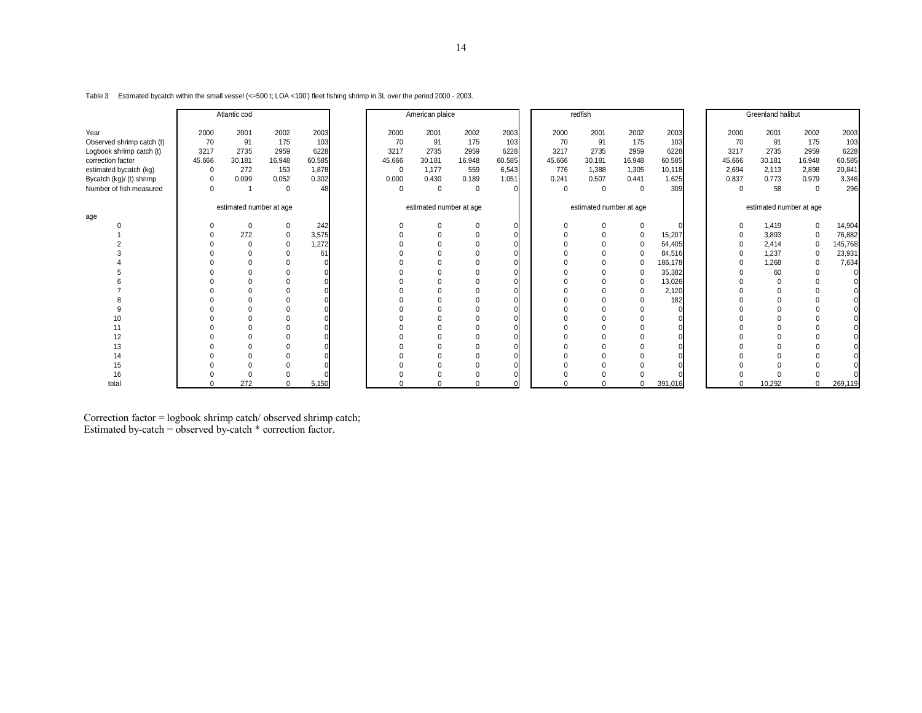Table 3 Estimated bycatch within the small vessel (<=500 t; LOA <100') fleet fishing shrimp in 3L over the period 2000 - 2003.

|                           |             | Atlantic cod            |             |        |             | American plaice         |             |          | redfish |                         |          |         | Greenland halibut |                         |             |         |
|---------------------------|-------------|-------------------------|-------------|--------|-------------|-------------------------|-------------|----------|---------|-------------------------|----------|---------|-------------------|-------------------------|-------------|---------|
| Year                      | 2000        | 2001                    | 2002        | 2003   | 2000        | 2001                    | 2002        | 2003     | 2000    | 2001                    | 2002     | 2003    | 2000              | 2001                    | 2002        | 2003    |
| Observed shrimp catch (t) | 70          | 91                      | 175         | 103    | 70          | 91                      | 175         | 103      | 70      | 91                      | 175      | 103     | 70                | 91                      | 175         | 103     |
| Logbook shrimp catch (t)  | 3217        | 2735                    | 2959        | 6228   | 3217        | 2735                    | 2959        | 6228     | 3217    | 2735                    | 2959     | 6228    | 3217              | 2735                    | 2959        | 6228    |
| correction factor         | 45.666      | 30.181                  | 16.948      | 60.585 | 45.666      | 30.181                  | 16.948      | 60.585   | 45.666  | 30.181                  | 16.948   | 60.585  | 45.666            | 30.181                  | 16.948      | 60.585  |
| estimated bycatch (kg)    | $\mathbf 0$ | 272                     | 153         | 1,878  | 0           | 1,177                   | 559         | 6,543    | 776     | 1,388                   | 1,305    | 10,118  | 2,694             | 2,113                   | 2,898       | 20,841  |
| Bycatch (kg)/ (t) shrimp  | $\mathbf 0$ | 0.099                   | 0.052       | 0.302  | 0.000       | 0.430                   | 0.189       | 1.051    | 0.241   | 0.507                   | 0.441    | 1.625   | 0.837             | 0.773                   | 0.979       | 3.346   |
| Number of fish measured   | $\mathbf 0$ |                         | $\mathbf 0$ | 48     | $\mathbf 0$ | $\mathbf 0$             | $\mathbf 0$ |          | 0       | $\mathbf 0$             | $\Omega$ | 309     | 0                 | 58                      | $\mathbf 0$ | 296     |
|                           |             | estimated number at age |             |        |             | estimated number at age |             |          |         | estimated number at age |          |         |                   | estimated number at age |             |         |
| age                       |             |                         |             |        |             |                         |             |          |         |                         |          |         |                   |                         |             |         |
|                           |             | $\Omega$                | 0           | 242    | $\Omega$    |                         |             | $\Omega$ |         |                         | $\Omega$ |         | 0                 | 1,419                   | $\mathbf 0$ | 14,904  |
|                           |             | 272                     |             | 3,575  |             |                         |             |          |         | $\Omega$                |          | 15,207  | 0                 | 3,893                   | $\mathbf 0$ | 76,882  |
|                           |             | $\Omega$                | $\Omega$    | 1,272  |             |                         |             |          |         | $\Omega$                |          | 54,405  | 0                 | 2,414                   | $\mathbf 0$ | 145,768 |
|                           |             |                         |             | 61     |             |                         |             |          |         | $\Omega$                |          | 84,516  | 0                 | 1,237                   | $\mathbf 0$ | 23,931  |
|                           |             |                         |             |        |             |                         | $\Omega$    |          |         | $\Omega$                |          | 186,178 | $\Omega$          | 1,268                   | $\Omega$    | 7,634   |
|                           |             |                         |             |        |             |                         |             |          |         |                         |          | 35,382  |                   | 60                      | $\Omega$    |         |
|                           |             |                         |             |        |             |                         |             |          |         |                         | $\Omega$ | 13,026  |                   |                         |             |         |
|                           |             |                         |             |        |             |                         |             |          |         | $\Omega$                |          | 2,120   |                   |                         |             |         |
|                           |             |                         |             |        |             |                         |             |          |         |                         |          | 182     |                   |                         |             |         |
|                           |             |                         |             |        |             |                         |             |          |         | $\Omega$                |          |         |                   |                         |             |         |
| 10                        |             |                         |             |        |             |                         |             |          |         |                         |          |         |                   |                         |             |         |
| 11                        |             |                         |             |        |             |                         | $\Omega$    |          |         | $\Omega$                |          |         |                   |                         |             |         |
| 12                        |             |                         |             |        |             |                         |             |          |         |                         |          |         |                   |                         |             |         |
| 13                        |             |                         |             |        |             |                         |             |          |         |                         |          |         |                   |                         |             |         |
| 14                        |             |                         |             |        |             |                         |             |          |         |                         |          |         |                   |                         |             |         |
| 15                        |             |                         |             |        |             |                         |             |          |         |                         |          |         |                   |                         |             |         |
| 16                        |             |                         |             |        |             |                         |             |          |         |                         |          |         |                   |                         |             |         |
| total                     |             | 272                     | $\Omega$    | 5,150  | $\Omega$    | U                       | $\Omega$    |          |         | $\Omega$                | $\Omega$ | 391,016 | $\Omega$          | 10,292                  | $\Omega$    | 269,119 |

Correction factor = logbook shrimp catch/ observed shrimp catch; Estimated by-catch = observed by-catch \* correction factor.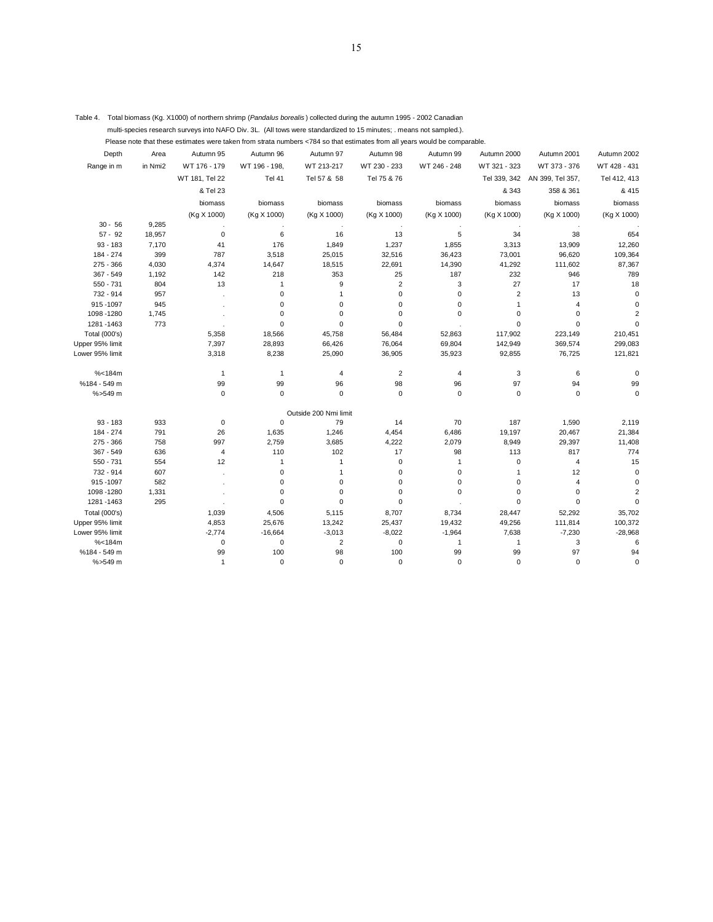| Table 4. Total biomass (Kg. X1000) of northern shrimp (Pandalus borealis) collected during the autumn 1995 - 2002 Canadian |  |
|----------------------------------------------------------------------------------------------------------------------------|--|
| multi-species research surveys into NAFO Div. 3L. (All tows were standardized to 15 minutes; means not sampled.).          |  |

Please note that these estimates were taken from strata numbers <784 so that estimates from all years would be comparable.

| . Please note that these estimates were taken from strata numbers <784 so that estimates from all vears would be comparable. |  |
|------------------------------------------------------------------------------------------------------------------------------|--|
|                                                                                                                              |  |

| Depth                | Area    | Autumn 95      | Autumn 96     | Autumn 97             | Autumn 98      | Autumn 99    | Autumn 2000    | Autumn 2001      | Autumn 2002             |
|----------------------|---------|----------------|---------------|-----------------------|----------------|--------------|----------------|------------------|-------------------------|
| Range in m           | in Nmi2 | WT 176 - 179   | WT 196 - 198, | WT 213-217            | WT 230 - 233   | WT 246 - 248 | WT 321 - 323   | WT 373 - 376     | WT 428 - 431            |
|                      |         | WT 181, Tel 22 | <b>Tel 41</b> | Tel 57 & 58           | Tel 75 & 76    |              | Tel 339, 342   | AN 399, Tel 357, | Tel 412, 413            |
|                      |         | & Tel 23       |               |                       |                |              | & 343          | 358 & 361        | & 415                   |
|                      |         | biomass        | biomass       | biomass               | biomass        | biomass      | biomass        | biomass          | biomass                 |
|                      |         | (Kg X 1000)    | (Kg X 1000)   | (Kg X 1000)           | (Kg X 1000)    | (Kg X 1000)  | (Kg X 1000)    | (Kg X 1000)      | (Kg X 1000)             |
| $30 - 56$            | 9,285   |                |               |                       |                |              |                |                  |                         |
| $57 - 92$            | 18,957  | $\mathbf 0$    | 6             | 16                    | 13             | 5            | 34             | 38               | 654                     |
| $93 - 183$           | 7,170   | 41             | 176           | 1,849                 | 1,237          | 1,855        | 3,313          | 13,909           | 12,260                  |
| 184 - 274            | 399     | 787            | 3,518         | 25,015                | 32,516         | 36,423       | 73,001         | 96,620           | 109,364                 |
| $275 - 366$          | 4,030   | 4,374          | 14,647        | 18,515                | 22,691         | 14,390       | 41,292         | 111,602          | 87,367                  |
| 367 - 549            | 1,192   | 142            | 218           | 353                   | 25             | 187          | 232            | 946              | 789                     |
| 550 - 731            | 804     | 13             | 1             | 9                     | $\overline{2}$ | 3            | 27             | 17               | 18                      |
| 732 - 914            | 957     |                | 0             | $\overline{1}$        | 0              | 0            | $\overline{2}$ | 13               | $\mathbf 0$             |
| 915-1097             | 945     |                | 0             | $\mathbf 0$           | 0              | 0            | 1              | 4                | 0                       |
| 1098-1280            | 1,745   |                | $\mathbf 0$   | 0                     | $\overline{0}$ | $\Omega$     | 0              | $\mathbf 0$      | $\overline{2}$          |
| 1281-1463            | 773     |                | $\pmb{0}$     | 0                     | 0              |              | 0              | 0                | $\Omega$                |
| <b>Total (000's)</b> |         | 5,358          | 18,566        | 45,758                | 56,484         | 52,863       | 117,902        | 223,149          | 210,451                 |
| Upper 95% limit      |         | 7,397          | 28,893        | 66,426                | 76,064         | 69,804       | 142,949        | 369,574          | 299,083                 |
| Lower 95% limit      |         | 3,318          | 8,238         | 25,090                | 36,905         | 35,923       | 92,855         | 76,725           | 121,821                 |
| % < 184m             |         | $\mathbf{1}$   | $\mathbf{1}$  | 4                     | $\overline{2}$ | 4            | 3              | 6                | 0                       |
| %184 - 549 m         |         | 99             | 99            | 96                    | 98             | 96           | 97             | 94               | 99                      |
| %>549 m              |         | $\mathbf 0$    | $\mathbf 0$   | $\mathbf 0$           | 0              | 0            | $\mathbf 0$    | 0                | $\mathbf 0$             |
|                      |         |                |               | Outside 200 Nmi limit |                |              |                |                  |                         |
| $93 - 183$           | 933     | $\pmb{0}$      | $\pmb{0}$     | 79                    | 14             | 70           | 187            | 1,590            | 2,119                   |
| 184 - 274            | 791     | 26             | 1,635         | 1,246                 | 4,454          | 6,486        | 19,197         | 20,467           | 21,384                  |
| $275 - 366$          | 758     | 997            | 2,759         | 3,685                 | 4,222          | 2,079        | 8,949          | 29,397           | 11,408                  |
| $367 - 549$          | 636     | $\overline{4}$ | 110           | 102                   | 17             | 98           | 113            | 817              | 774                     |
| 550 - 731            | 554     | 12             | 1             | $\overline{1}$        | 0              | 1            | 0              | 4                | 15                      |
| 732 - 914            | 607     |                | 0             | $\overline{1}$        | 0              | 0            | 1              | 12               | $\mathbf 0$             |
| 915-1097             | 582     |                | 0             | $\mathbf 0$           | 0              | 0            | 0              | 4                | $\mathbf 0$             |
| 1098-1280            | 1,331   |                | $\mathbf 0$   | $\mathbf 0$           | 0              | 0            | 0              | 0                | $\overline{\mathbf{c}}$ |
| 1281-1463            | 295     |                | $\mathbf 0$   | $\mathbf 0$           | 0              |              | $\mathbf 0$    | $\mathbf 0$      | $\mathbf 0$             |
| Total (000's)        |         | 1,039          | 4,506         | 5,115                 | 8,707          | 8,734        | 28,447         | 52,292           | 35,702                  |
| Upper 95% limit      |         | 4,853          | 25,676        | 13,242                | 25,437         | 19,432       | 49,256         | 111,814          | 100,372                 |
| Lower 95% limit      |         | $-2,774$       | $-16,664$     | $-3,013$              | $-8,022$       | $-1,964$     | 7,638          | $-7,230$         | $-28,968$               |
| % < 184m             |         | $\mathbf 0$    | $\pmb{0}$     | $\overline{2}$        | 0              | 1            | 1              | 3                | 6                       |
| %184 - 549 m         |         | 99             | 100           | 98                    | 100            | 99           | 99             | 97               | 94                      |
| %>549 m              |         | $\mathbf{1}$   | $\mathbf 0$   | $\Omega$              | 0              | $\Omega$     | 0              | $\Omega$         | $\Omega$                |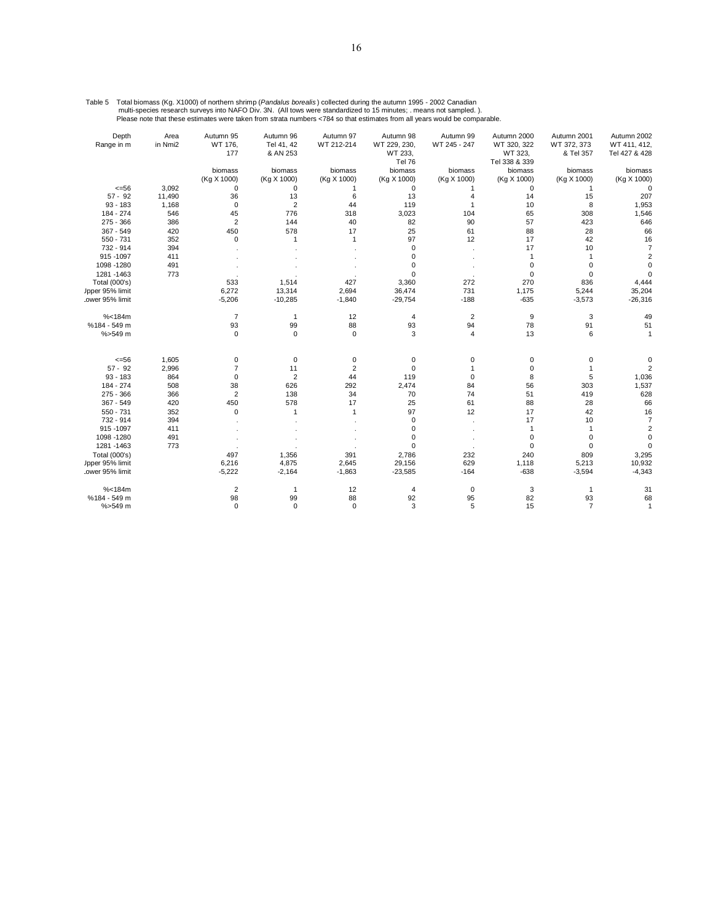| Table 5 Total biomass (Kg. X1000) of northern shrimp (Pandalus borealis) collected during the autumn 1995 - 2002 Canadian  |
|----------------------------------------------------------------------------------------------------------------------------|
| multi-species research surveys into NAFO Div. 3N. (All tows were standardized to 15 minutes; means not sampled.).          |
| Please note that these estimates were taken from strata numbers <784 so that estimates from all years would be comparable. |

| Depth<br>Range in m  | Area<br>in Nmi2 | Autumn 95<br>WT 176, | Autumn 96<br>Tel 41, 42 | Autumn 97<br>WT 212-214 | Autumn 98<br>WT 229, 230, | Autumn 99<br>WT 245 - 247 | Autumn 2000<br>WT 320, 322 | Autumn 2001<br>WT 372, 373 | Autumn 2002<br>WT 411, 412, |
|----------------------|-----------------|----------------------|-------------------------|-------------------------|---------------------------|---------------------------|----------------------------|----------------------------|-----------------------------|
|                      |                 | 177                  | & AN 253                |                         | WT 233,<br>Tel 76         |                           | WT 323,<br>Tel 338 & 339   | & Tel 357                  | Tel 427 & 428               |
|                      |                 | biomass              | biomass                 | biomass                 | biomass                   | biomass                   | biomass                    | biomass                    | biomass                     |
|                      |                 | (Kg X 1000)          | (Kg X 1000)             | (Kg X 1000)             | (Kg X 1000)               | (Kg X 1000)               | (Kg X 1000)                | (Kg X 1000)                | (Kg X 1000)                 |
| $<=56$               | 3,092           | 0                    | 0                       |                         | 0                         |                           | 0                          |                            |                             |
| $57 - 92$            | 11,490          | 36                   | 13                      | 6                       | 13                        | 4                         | 14                         | 15                         | 207                         |
| $93 - 183$           | 1,168           | $\mathbf 0$          | $\overline{2}$          | 44                      | 119                       | $\mathbf{1}$              | 10                         | 8                          | 1,953                       |
| 184 - 274            | 546             | 45                   | 776                     | 318                     | 3,023                     | 104                       | 65                         | 308                        | 1,546                       |
| $275 - 366$          | 386             | $\overline{2}$       | 144                     | 40                      | 82                        | 90                        | 57                         | 423                        | 646                         |
| 367 - 549            | 420             | 450                  | 578                     | 17                      | 25                        | 61                        | 88                         | 28                         | 66                          |
| $550 - 731$          | 352             | $\mathbf 0$          |                         | $\mathbf{1}$            | 97                        | 12                        | 17                         | 42                         | 16                          |
| 732 - 914            | 394             |                      |                         |                         | $\mathbf 0$               |                           | 17                         | 10                         |                             |
| 915-1097             | 411             |                      |                         |                         | 0                         |                           | 1                          |                            |                             |
| 1098-1280            | 491             |                      |                         |                         | 0                         |                           | 0                          | 0                          |                             |
| 1281-1463            | 773             |                      |                         |                         | $\mathbf 0$               |                           | 0                          | $\Omega$                   |                             |
| <b>Total (000's)</b> |                 | 533                  | 1,514                   | 427                     | 3,360                     | 272                       | 270                        | 836                        | 4,444                       |
| Jpper 95% limit      |                 | 6,272                | 13,314                  | 2,694                   | 36,474                    | 731                       | 1,175                      | 5,244                      | 35,204                      |
| ower 95% limit.      |                 | $-5,206$             | $-10,285$               | $-1,840$                | $-29,754$                 | $-188$                    | $-635$                     | $-3,573$                   | $-26,316$                   |
| % < 184m             |                 | $\overline{7}$       | $\mathbf{1}$            | 12                      | 4                         | $\overline{2}$            | 9                          | 3                          | 49                          |
| %184 - 549 m         |                 | 93                   | 99                      | 88                      | 93                        | 94                        | 78                         | 91                         | 51                          |
| %>549 m              |                 | $\mathbf 0$          | $\mathbf 0$             | $\mathbf 0$             | 3                         | $\overline{4}$            | 13                         | 6                          |                             |
| $<=56$               | 1,605           | 0                    | $\pmb{0}$               | $\mathbf 0$             | 0                         | 0                         | 0                          | 0                          |                             |
| $57 - 92$            | 2,996           | $\overline{7}$       | 11                      | $\overline{2}$          | $\mathbf 0$               | 1                         | $\mathbf 0$                |                            |                             |
| $93 - 183$           | 864             | $\mathbf 0$          | $\overline{2}$          | 44                      | 119                       | $\mathbf 0$               | 8                          | 5                          | 1,036                       |
| 184 - 274            | 508             | 38                   | 626                     | 292                     | 2,474                     | 84                        | 56                         | 303                        | 1,537                       |
| $275 - 366$          | 366             | $\overline{2}$       | 138                     | 34                      | 70                        | 74                        | 51                         | 419                        | 628                         |
| 367 - 549            | 420             | 450                  | 578                     | 17                      | 25                        | 61                        | 88                         | 28                         | 66                          |
| $550 - 731$          | 352             | $\mathbf 0$          | 1                       | $\mathbf{1}$            | 97                        | 12                        | 17                         | 42                         | 16                          |
| 732 - 914            | 394             |                      |                         |                         | $\mathbf 0$               |                           | 17                         | 10                         |                             |
| 915 - 1097           | 411             |                      |                         |                         | 0                         |                           | $\mathbf{1}$               | $\mathbf{1}$               |                             |
| 1098-1280            | 491             |                      |                         |                         | 0                         |                           | 0                          | $\mathbf 0$                |                             |
| 1281-1463            | 773             |                      |                         |                         | 0                         |                           | 0                          | $\Omega$                   |                             |
| Total (000's)        |                 | 497                  | 1,356                   | 391                     | 2,786                     | 232                       | 240                        | 809                        | 3,295                       |
| Jpper 95% limit      |                 | 6,216                | 4,875                   | 2,645                   | 29,156                    | 629                       | 1,118                      | 5,213                      | 10,932                      |
| ower 95% limit.      |                 | $-5,222$             | $-2,164$                | $-1,863$                | $-23,585$                 | $-164$                    | $-638$                     | $-3,594$                   | $-4,343$                    |
| % < 184m             |                 | $\overline{2}$       | $\mathbf{1}$            | 12                      | 4                         | 0                         | 3                          | $\mathbf{1}$               | 31                          |
| %184 - 549 m         |                 | 98                   | 99                      | 88                      | 92                        | 95                        | 82                         | 93                         | 68                          |
| %>549 m              |                 | $\Omega$             | $\Omega$                | $\Omega$                | 3                         | 5                         | 15                         | $\overline{7}$             | 1                           |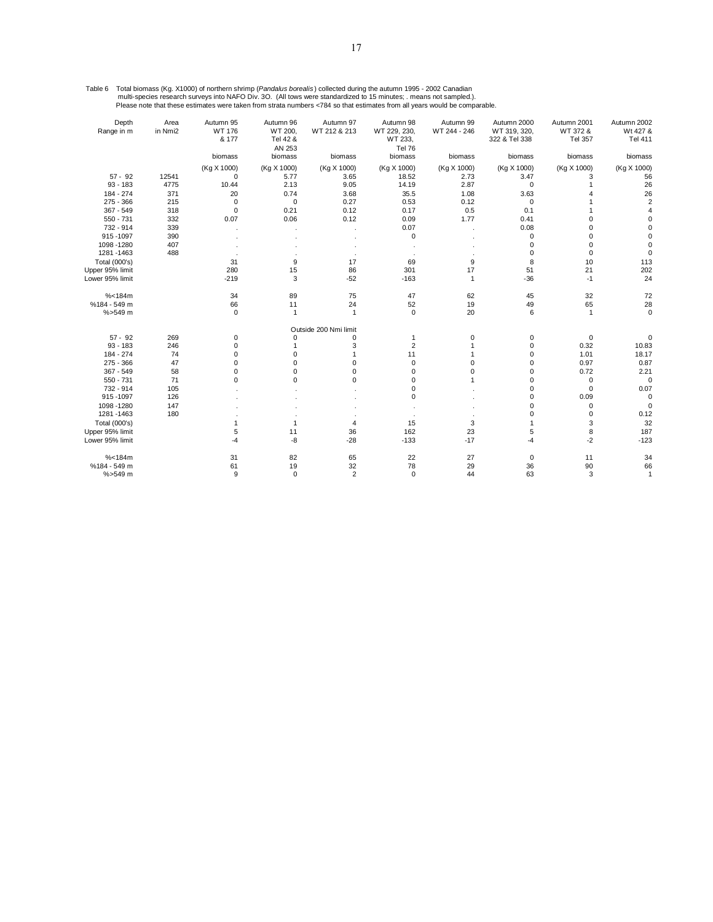Table 6 Total biomass (Kg. X1000) of northern shrimp (*Pandalus borealis*) collected during the autumn 1995 - 2002 Canadian<br>multi-species research surveys into NAFO Div. 3O. (All tows were standardized to 15 minutes; . mea

| Depth           | Area    | Autumn 95       | Autumn 96                     | Autumn 97             | Autumn 98                                | Autumn 99    | Autumn 2000                   | Autumn 2001         | Autumn 2002         |
|-----------------|---------|-----------------|-------------------------------|-----------------------|------------------------------------------|--------------|-------------------------------|---------------------|---------------------|
| Range in m      | in Nmi2 | WT 176<br>& 177 | WT 200.<br>Tel 42 &<br>AN 253 | WT 212 & 213          | WT 229, 230,<br>WT 233,<br><b>Tel 76</b> | WT 244 - 246 | WT 319, 320,<br>322 & Tel 338 | WT 372 &<br>Tel 357 | Wt 427 &<br>Tel 411 |
|                 |         | biomass         | biomass                       | biomass               | biomass                                  | biomass      | biomass                       | biomass             | biomass             |
|                 |         | (Kg X 1000)     | (Kg X 1000)                   | (Kg X 1000)           | (Kg X 1000)                              | (Kg X 1000)  | (Kg X 1000)                   | (Kg X 1000)         | (Kg X 1000)         |
| $57 - 92$       | 12541   | $\mathbf 0$     | 5.77                          | 3.65                  | 18.52                                    | 2.73         | 3.47                          | з                   | 56                  |
| $93 - 183$      | 4775    | 10.44           | 2.13                          | 9.05                  | 14.19                                    | 2.87         | 0                             |                     | 26                  |
| 184 - 274       | 371     | 20              | 0.74                          | 3.68                  | 35.5                                     | 1.08         | 3.63                          |                     | 26                  |
| $275 - 366$     | 215     | $\mathbf 0$     | $\mathbf 0$                   | 0.27                  | 0.53                                     | 0.12         | 0                             |                     |                     |
| $367 - 549$     | 318     | $\mathbf 0$     | 0.21                          | 0.12                  | 0.17                                     | 0.5          | 0.1                           |                     |                     |
| $550 - 731$     | 332     | 0.07            | 0.06                          | 0.12                  | 0.09                                     | 1.77         | 0.41                          | 0                   |                     |
| 732 - 914       | 339     |                 |                               |                       | 0.07                                     |              | 0.08                          | U                   |                     |
| 915-1097        | 390     |                 |                               |                       | 0                                        |              | 0                             | $\Omega$            |                     |
| 1098-1280       | 407     |                 |                               |                       |                                          |              | 0                             | 0                   |                     |
| 1281-1463       | 488     |                 |                               |                       |                                          |              | 0                             | $\mathbf 0$         |                     |
| Total (000's)   |         | 31              | 9                             | 17                    | 69                                       | 9            | 8                             | 10                  | 113                 |
| Upper 95% limit |         | 280             | 15                            | 86                    | 301                                      | 17           | 51                            | 21                  | 202                 |
| Lower 95% limit |         | $-219$          | 3                             | $-52$                 | $-163$                                   | $\mathbf{1}$ | $-36$                         | $-1$                | 24                  |
| % < 184m        |         | 34              | 89                            | 75                    | 47                                       | 62           | 45                            | 32                  | 72                  |
| %184 - 549 m    |         | 66              | 11                            | 24                    | 52                                       | 19           | 49                            | 65                  | 28                  |
| %>549 m         |         | $\mathbf 0$     | 1                             | $\mathbf{1}$          | $\mathbf 0$                              | 20           | 6                             | $\mathbf{1}$        | $\Omega$            |
|                 |         |                 |                               | Outside 200 Nmi limit |                                          |              |                               |                     |                     |
| $57 - 92$       | 269     | 0               | 0                             | 0                     | 1                                        | 0            | 0                             | $\pmb{0}$           |                     |
| $93 - 183$      | 246     | 0               |                               | 3                     | $\overline{2}$                           |              | 0                             | 0.32                | 10.83               |
| 184 - 274       | 74      | 0               | $\Omega$                      | 1                     | 11                                       |              | 0                             | 1.01                | 18.17               |
| 275 - 366       | 47      | 0               | 0                             | 0                     | 0                                        | 0            | 0                             | 0.97                | 0.87                |
| $367 - 549$     | 58      | 0               | 0                             | 0                     | 0                                        | $\mathbf 0$  | 0                             | 0.72                | 2.21                |
| 550 - 731       | 71      | 0               | 0                             | 0                     | 0                                        |              | 0                             | 0                   | C                   |
| 732 - 914       | 105     |                 |                               |                       | 0                                        |              | $\Omega$                      | 0                   | 0.07                |
| 915-1097        | 126     |                 |                               |                       | $\Omega$                                 |              | $\Omega$                      | 0.09                |                     |
| 1098-1280       | 147     |                 |                               |                       |                                          |              | 0                             | 0                   |                     |
| 1281-1463       | 180     |                 |                               |                       |                                          |              | 0                             | $\Omega$            | 0.12                |
| Total (000's)   |         | 1               |                               | 4                     | 15                                       | 3            |                               | 3                   | 32                  |
| Upper 95% limit |         | 5               | 11                            | 36                    | 162                                      | 23           | 5                             | 8                   | 187                 |
| Lower 95% limit |         | -4              | -8                            | $-28$                 | $-133$                                   | $-17$        | $-4$                          | $-2$                | $-123$              |
| % < 184m        |         | 31              | 82                            | 65                    | 22                                       | 27           | 0                             | 11                  | 34                  |
| %184 - 549 m    |         | 61              | 19                            | 32                    | 78                                       | 29           | 36                            | 90                  | 66                  |
| %>549 m         |         | 9               | $\Omega$                      | $\overline{2}$        | $\mathbf 0$                              | 44           | 63                            | 3                   | 1                   |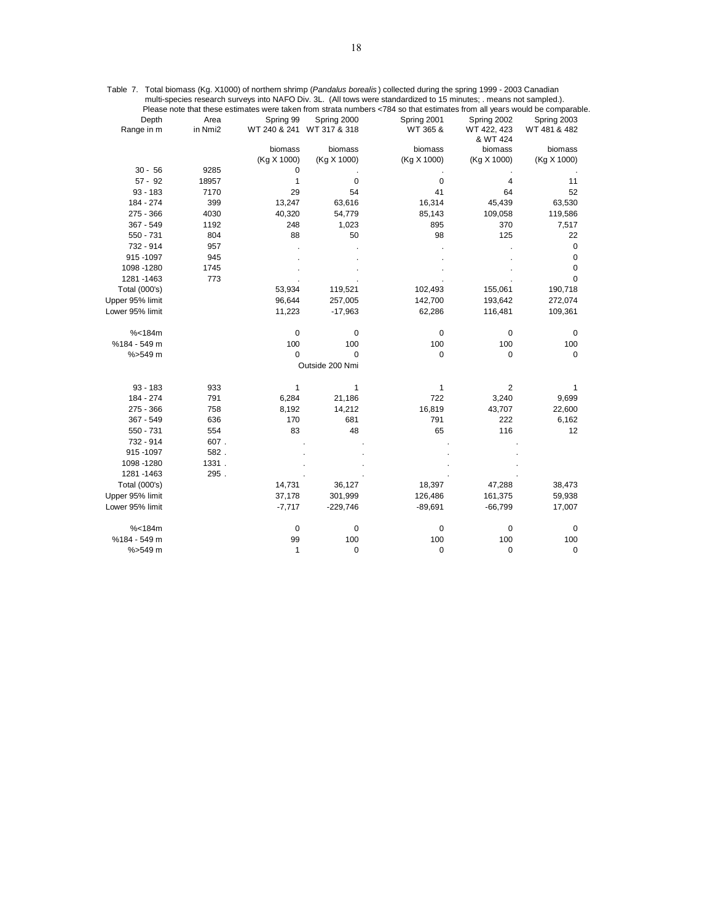|                 |         |                           |                 | mun-species research surveys lino net O Div. JL. (All tows were standardized to TO minutes, . means not sampled.).<br>Please note that these estimates were taken from strata numbers <784 so that estimates from all years would be comparable. |                         |              |
|-----------------|---------|---------------------------|-----------------|--------------------------------------------------------------------------------------------------------------------------------------------------------------------------------------------------------------------------------------------------|-------------------------|--------------|
| Depth           | Area    | Spring 99                 | Spring 2000     | Spring 2001                                                                                                                                                                                                                                      | Spring 2002             | Spring 2003  |
| Range in m      | in Nmi2 | WT 240 & 241 WT 317 & 318 |                 | WT 365 &                                                                                                                                                                                                                                         | WT 422, 423<br>& WT 424 | WT 481 & 482 |
|                 |         | biomass                   | biomass         | biomass                                                                                                                                                                                                                                          | biomass                 | biomass      |
|                 |         | (Kg X 1000)               | (Kg X 1000)     | (Kg X 1000)                                                                                                                                                                                                                                      | (Kg X 1000)             | (Kg X 1000)  |
| $30 - 56$       | 9285    | 0                         |                 |                                                                                                                                                                                                                                                  |                         |              |
| $57 - 92$       | 18957   | $\mathbf{1}$              | 0               | 0                                                                                                                                                                                                                                                | $\overline{4}$          | 11           |
| $93 - 183$      | 7170    | 29                        | 54              | 41                                                                                                                                                                                                                                               | 64                      | 52           |
| 184 - 274       | 399     | 13,247                    | 63,616          | 16,314                                                                                                                                                                                                                                           | 45,439                  | 63,530       |
| $275 - 366$     | 4030    | 40,320                    | 54,779          | 85,143                                                                                                                                                                                                                                           | 109,058                 | 119,586      |
| 367 - 549       | 1192    | 248                       | 1,023           | 895                                                                                                                                                                                                                                              | 370                     | 7,517        |
| 550 - 731       | 804     | 88                        | 50              | 98                                                                                                                                                                                                                                               | 125                     | 22           |
| 732 - 914       | 957     |                           |                 |                                                                                                                                                                                                                                                  |                         | 0            |
| 915-1097        | 945     |                           |                 |                                                                                                                                                                                                                                                  |                         | $\mathbf 0$  |
| 1098 - 1280     | 1745    |                           |                 |                                                                                                                                                                                                                                                  |                         | 0            |
| 1281 - 1463     | 773     |                           |                 |                                                                                                                                                                                                                                                  |                         | 0            |
| Total (000's)   |         | 53,934                    | 119,521         | 102,493                                                                                                                                                                                                                                          | 155,061                 | 190,718      |
| Upper 95% limit |         | 96,644                    | 257,005         | 142,700                                                                                                                                                                                                                                          | 193,642                 | 272,074      |
| Lower 95% limit |         | 11,223                    | $-17,963$       | 62,286                                                                                                                                                                                                                                           | 116,481                 | 109,361      |
| % < 184m        |         | 0                         | 0               | 0                                                                                                                                                                                                                                                | 0                       | 0            |
| %184 - 549 m    |         | 100                       | 100             | 100                                                                                                                                                                                                                                              | 100                     | 100          |
| %>549 m         |         | 0                         | 0               | 0                                                                                                                                                                                                                                                | 0                       | 0            |
|                 |         |                           | Outside 200 Nmi |                                                                                                                                                                                                                                                  |                         |              |
| 93 - 183        | 933     | 1                         | 1               | 1                                                                                                                                                                                                                                                | $\overline{2}$          | 1            |
| 184 - 274       | 791     | 6,284                     | 21,186          | 722                                                                                                                                                                                                                                              | 3,240                   | 9,699        |
| 275 - 366       | 758     | 8,192                     | 14,212          | 16,819                                                                                                                                                                                                                                           | 43,707                  | 22,600       |
| 367 - 549       | 636     | 170                       | 681             | 791                                                                                                                                                                                                                                              | 222                     | 6,162        |
| 550 - 731       | 554     | 83                        | 48              | 65                                                                                                                                                                                                                                               | 116                     | 12           |
| 732 - 914       | 607.    |                           |                 |                                                                                                                                                                                                                                                  |                         |              |
| 915-1097        | 582.    |                           |                 |                                                                                                                                                                                                                                                  |                         |              |
| 1098 - 1280     | 1331.   |                           |                 |                                                                                                                                                                                                                                                  |                         |              |
| 1281 - 1463     | 295.    |                           |                 |                                                                                                                                                                                                                                                  |                         |              |
| Total (000's)   |         | 14,731                    | 36,127          | 18,397                                                                                                                                                                                                                                           | 47,288                  | 38,473       |
| Upper 95% limit |         | 37,178                    | 301,999         | 126,486                                                                                                                                                                                                                                          | 161,375                 | 59,938       |
| Lower 95% limit |         | $-7,717$                  | $-229,746$      | $-89,691$                                                                                                                                                                                                                                        | $-66,799$               | 17,007       |
| % < 184m        |         | 0                         | 0               | 0                                                                                                                                                                                                                                                | 0                       | 0            |
| %184 - 549 m    |         | 99                        | 100             | 100                                                                                                                                                                                                                                              | 100                     | 100          |
| %>549 m         |         | 1                         | 0               | 0                                                                                                                                                                                                                                                | 0                       | 0            |

Table 7. Total biomass (Kg. X1000) of northern shrimp (*Pandalus borealis* ) collected during the spring 1999 - 2003 Canadian multi-species research surveys into NAFO Div. 3L. (All tows were standardized to 15 minutes; . means not sampled.).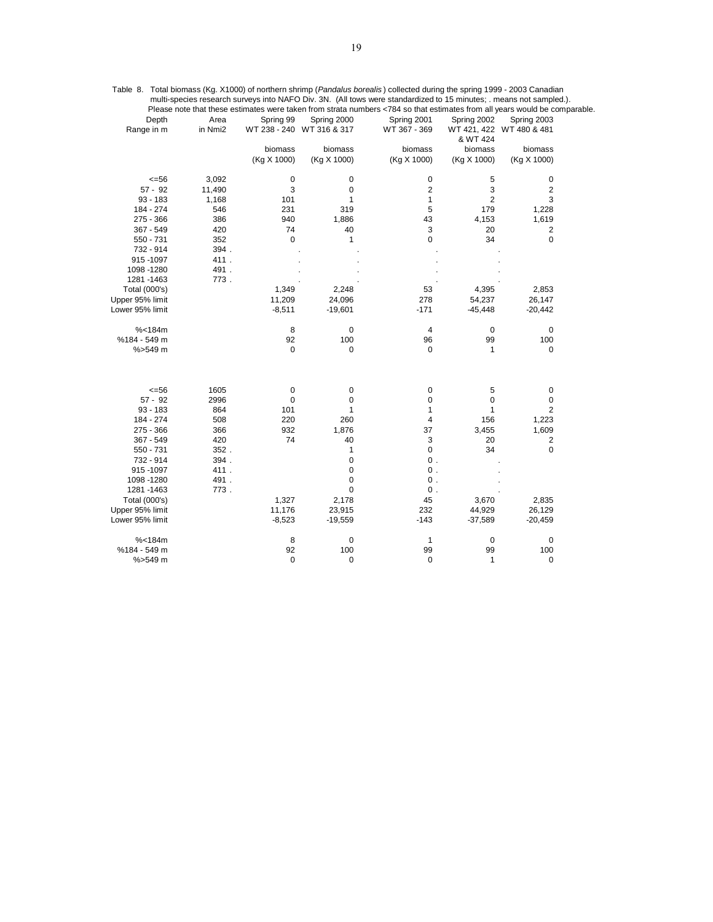|                 |         |             |                           | Please note that these estimates were taken from strata numbers <784 so that estimates from all years would be comparable. |                |                          |  |
|-----------------|---------|-------------|---------------------------|----------------------------------------------------------------------------------------------------------------------------|----------------|--------------------------|--|
| Depth           | Area    | Spring 99   | Spring 2000               | Spring 2001                                                                                                                | Spring 2002    | Spring 2003              |  |
| Range in m      | in Nmi2 |             | WT 238 - 240 WT 316 & 317 | WT 367 - 369                                                                                                               | & WT 424       | WT 421, 422 WT 480 & 481 |  |
|                 |         | biomass     | biomass                   | biomass                                                                                                                    | biomass        | biomass                  |  |
|                 |         | (Kg X 1000) | (Kg X 1000)               | (Kg X 1000)                                                                                                                | (Kg X 1000)    | (Kg X 1000)              |  |
| $= 56$          | 3,092   | 0           | 0                         | 0                                                                                                                          | 5              | $\pmb{0}$                |  |
| $57 - 92$       | 11,490  | 3           | 0                         | 2                                                                                                                          | 3              | 2                        |  |
| $93 - 183$      | 1,168   | 101         | 1                         | $\mathbf{1}$                                                                                                               | $\overline{2}$ | 3                        |  |
| 184 - 274       | 546     | 231         | 319                       | 5                                                                                                                          | 179            | 1,228                    |  |
| $275 - 366$     | 386     | 940         | 1,886                     | 43                                                                                                                         | 4,153          | 1,619                    |  |
| 367 - 549       | 420     | 74          | 40                        | 3                                                                                                                          | 20             | 2                        |  |
| 550 - 731       | 352     | 0           | 1                         | 0                                                                                                                          | 34             | 0                        |  |
| 732 - 914       | 394.    |             |                           |                                                                                                                            |                |                          |  |
| 915-1097        | 411.    |             |                           |                                                                                                                            |                |                          |  |
| 1098 - 1280     | 491.    |             |                           |                                                                                                                            |                |                          |  |
| 1281 - 1463     | 773.    |             |                           |                                                                                                                            |                |                          |  |
| Total (000's)   |         | 1,349       | 2,248                     | 53                                                                                                                         | 4,395          | 2,853                    |  |
| Upper 95% limit |         | 11,209      | 24,096                    | 278                                                                                                                        | 54,237         | 26,147                   |  |
| Lower 95% limit |         | $-8,511$    | $-19,601$                 | $-171$                                                                                                                     | $-45,448$      | $-20,442$                |  |
| % < 184m        |         | 8           | 0                         | 4                                                                                                                          | 0              | $\pmb{0}$                |  |
| %184 - 549 m    |         | 92          | 100                       | 96                                                                                                                         | 99             | 100                      |  |
| $% > 549$ m     |         | 0           | 0                         | 0                                                                                                                          | 1              | 0                        |  |
| $= 56$          | 1605    | 0           | 0                         | 0                                                                                                                          | 5              | $\pmb{0}$                |  |
| $57 - 92$       | 2996    | $\pmb{0}$   | 0                         | 0                                                                                                                          | 0              | $\pmb{0}$                |  |
| $93 - 183$      | 864     | 101         | 1                         | 1                                                                                                                          | 1              | 2                        |  |
| 184 - 274       | 508     | 220         | 260                       | 4                                                                                                                          | 156            | 1,223                    |  |
| 275 - 366       | 366     | 932         | 1,876                     | 37                                                                                                                         | 3,455          | 1,609                    |  |
| 367 - 549       | 420     | 74          | 40                        | 3                                                                                                                          | 20             | $\overline{c}$           |  |
| 550 - 731       | $352$ . |             | 1                         | 0                                                                                                                          | 34             | $\mathbf 0$              |  |
| 732 - 914       | 394.    |             | 0                         | 0.                                                                                                                         |                |                          |  |
| 915-1097        | 411.    |             | 0                         | $\mathbf 0$ .                                                                                                              |                |                          |  |
| 1098 - 1280     | 491.    |             | 0                         | $0$ .                                                                                                                      |                |                          |  |
| 1281 - 1463     | 773.    |             | 0                         | $\mathbf 0$ .                                                                                                              |                |                          |  |
| Total (000's)   |         | 1,327       | 2,178                     | 45                                                                                                                         | 3,670          | 2,835                    |  |
| Upper 95% limit |         | 11,176      | 23,915                    | 232                                                                                                                        | 44,929         | 26,129                   |  |
| Lower 95% limit |         | $-8,523$    | $-19,559$                 | $-143$                                                                                                                     | $-37,589$      | $-20,459$                |  |
| % < 184m        |         | 8           | 0                         | 1                                                                                                                          | 0              | 0                        |  |
| %184 - 549 m    |         | 92          | 100                       | 99                                                                                                                         | 99             | 100                      |  |
| %>549 m         |         | 0           | 0                         | 0                                                                                                                          | $\mathbf{1}$   | $\pmb{0}$                |  |

Table 8. Total biomass (Kg. X1000) of northern shrimp (*Pandalus borealis* ) collected during the spring 1999 - 2003 Canadian multi-species research surveys into NAFO Div. 3N. (All tows were standardized to 15 minutes; . means not sampled.).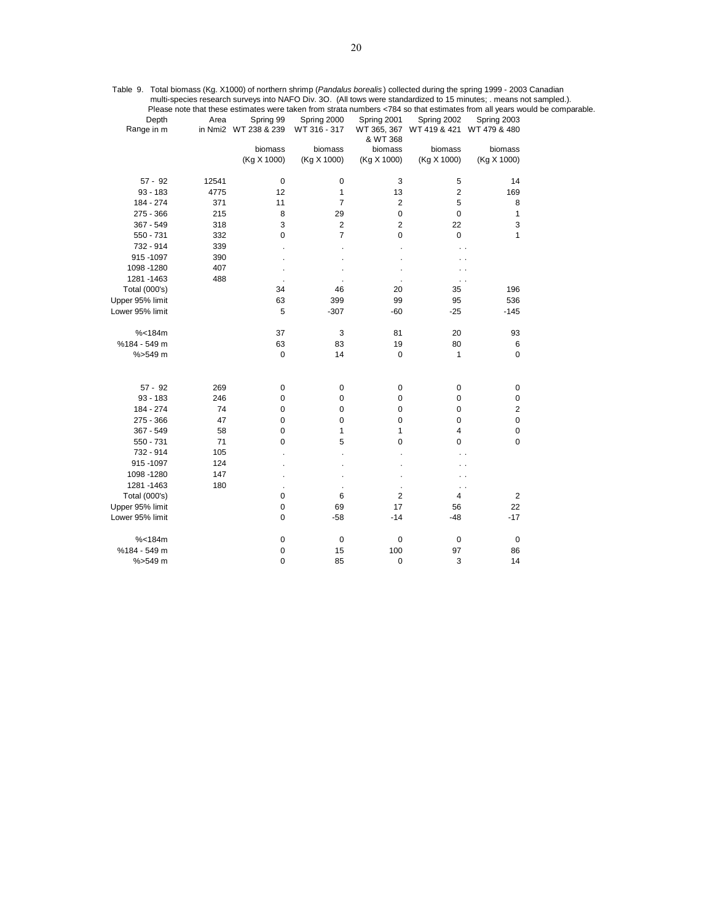|                     |       |                                   |                             |                     |                                                      |                | Please note that these estimates were taken from strata numbers <784 so that estimates from all years would be comparable. |
|---------------------|-------|-----------------------------------|-----------------------------|---------------------|------------------------------------------------------|----------------|----------------------------------------------------------------------------------------------------------------------------|
| Depth<br>Range in m | Area  | Spring 99<br>in Nmi2 WT 238 & 239 | Spring 2000<br>WT 316 - 317 | Spring 2001         | Spring 2002<br>WT 365, 367 WT 419 & 421 WT 479 & 480 | Spring 2003    |                                                                                                                            |
|                     |       | biomass                           | biomass                     | & WT 368<br>biomass | biomass                                              | biomass        |                                                                                                                            |
|                     |       | (Kg X 1000)                       | (Kg X 1000)                 | (Kg X 1000)         | (Kg X 1000)                                          | (Kg X 1000)    |                                                                                                                            |
| $57 - 92$           | 12541 | $\mathbf 0$                       | 0                           | 3                   | 5                                                    | 14             |                                                                                                                            |
| $93 - 183$          | 4775  | 12                                | 1                           | 13                  | $\sqrt{2}$                                           | 169            |                                                                                                                            |
| 184 - 274           | 371   | 11                                | $\overline{7}$              | $\overline{2}$      | 5                                                    | 8              |                                                                                                                            |
| 275 - 366           | 215   | 8                                 | 29                          | 0                   | $\pmb{0}$                                            | 1              |                                                                                                                            |
| 367 - 549           | 318   | 3                                 | 2                           | 2                   | 22                                                   | 3              |                                                                                                                            |
| 550 - 731           | 332   | 0                                 | $\overline{7}$              | 0                   | 0                                                    | 1              |                                                                                                                            |
| 732 - 914           | 339   |                                   |                             |                     | . .                                                  |                |                                                                                                                            |
| 915-1097            | 390   |                                   |                             |                     |                                                      |                |                                                                                                                            |
| 1098 - 1280         | 407   |                                   |                             |                     |                                                      |                |                                                                                                                            |
| 1281 - 1463         | 488   |                                   |                             |                     | $\sim$ $\sim$                                        |                |                                                                                                                            |
| Total (000's)       |       | 34                                | 46                          | 20                  | 35                                                   | 196            |                                                                                                                            |
| Upper 95% limit     |       | 63                                | 399                         | 99                  | 95                                                   | 536            |                                                                                                                            |
| Lower 95% limit     |       | 5                                 | $-307$                      | $-60$               | $-25$                                                | $-145$         |                                                                                                                            |
| % < 184m            |       | 37                                | 3                           | 81                  | 20                                                   | 93             |                                                                                                                            |
| %184 - 549 m        |       | 63                                | 83                          | 19                  | 80                                                   | 6              |                                                                                                                            |
| %>549 m             |       | 0                                 | 14                          | 0                   | 1                                                    | 0              |                                                                                                                            |
| $57 - 92$           | 269   | $\pmb{0}$                         | 0                           | 0                   | 0                                                    | $\pmb{0}$      |                                                                                                                            |
| $93 - 183$          | 246   | 0                                 | 0                           | 0                   | 0                                                    | 0              |                                                                                                                            |
| 184 - 274           | 74    | 0                                 | 0                           | 0                   | 0                                                    | $\overline{2}$ |                                                                                                                            |
| 275 - 366           | 47    | 0                                 | 0                           | 0                   | 0                                                    | 0              |                                                                                                                            |
| 367 - 549           | 58    | 0                                 | 1                           | 1                   | $\sqrt{4}$                                           | $\pmb{0}$      |                                                                                                                            |
| 550 - 731           | 71    | 0                                 | 5                           | 0                   | 0                                                    | 0              |                                                                                                                            |
| 732 - 914           | 105   |                                   |                             |                     | . .                                                  |                |                                                                                                                            |
| 915-1097            | 124   |                                   |                             |                     |                                                      |                |                                                                                                                            |
| 1098 - 1280         | 147   |                                   |                             |                     | . .                                                  |                |                                                                                                                            |
| 1281 - 1463         | 180   |                                   |                             |                     | $\ddotsc$                                            |                |                                                                                                                            |
| Total (000's)       |       | 0                                 | 6                           | 2                   | 4                                                    | $\overline{2}$ |                                                                                                                            |
| Upper 95% limit     |       | 0                                 | 69                          | 17                  | 56                                                   | 22             |                                                                                                                            |
| Lower 95% limit     |       | 0                                 | $-58$                       | -14                 | $-48$                                                | $-17$          |                                                                                                                            |
| % < 184m            |       | $\pmb{0}$                         | $\mathbf 0$                 | 0                   | $\pmb{0}$                                            | $\pmb{0}$      |                                                                                                                            |
| %184 - 549 m        |       | $\pmb{0}$                         | 15                          | 100                 | 97                                                   | 86             |                                                                                                                            |
| %>549 m             |       | $\mathbf 0$                       | 85                          | 0                   | 3                                                    | 14             |                                                                                                                            |

Table 9. Total biomass (Kg. X1000) of northern shrimp (*Pandalus borealis* ) collected during the spring 1999 - 2003 Canadian multi-species research surveys into NAFO Div. 3O. (All tows were standardized to 15 minutes; . means not sampled.).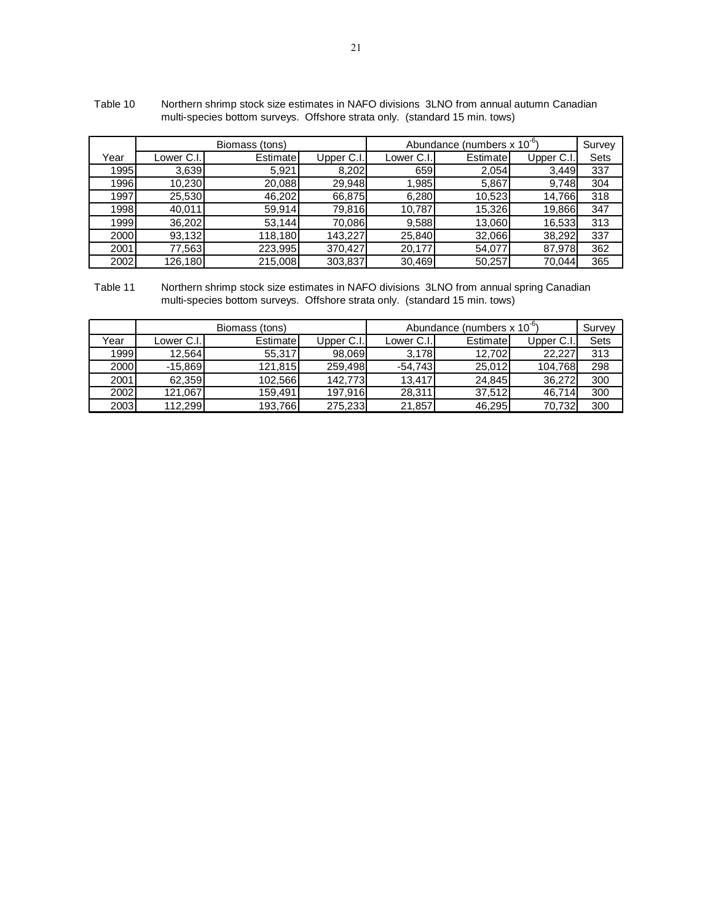|      |            | Biomass (tons) |            | Abundance (numbers $x 10^{-6}$ ) |           | Survey    |      |
|------|------------|----------------|------------|----------------------------------|-----------|-----------|------|
| Year | Lower C.I. | Estimatel      | Upper C.I. | Lower C.I.                       | Estimatel | Upper C.I | Sets |
| 1995 | 3,639      | 5,921          | 8,202      | 659                              | 2,054     | 3,449     | 337  |
| 1996 | 10,230     | 20,088         | 29,948     | 1,985                            | 5,867     | 9,748     | 304  |
| 1997 | 25,530     | 46,202         | 66,875     | 6,280                            | 10.523    | 14,766    | 318  |
| 1998 | 40.011     | 59,914         | 79,816     | 10,787                           | 15,326    | 19,866    | 347  |
| 1999 | 36,202     | 53,144         | 70,086     | 9,588                            | 13,060    | 16,533    | 313  |
| 2000 | 93,132     | 118,180        | 143.227    | 25,840                           | 32,066    | 38,292    | 337  |
| 2001 | 77,563     | 223,995        | 370.427    | 20,177                           | 54,077    | 87,978    | 362  |
| 2002 | 126,180    | 215,008        | 303,837    | 30,469                           | 50,257    | 70.044    | 365  |

 Table 10 Northern shrimp stock size estimates in NAFO divisions 3LNO from annual autumn Canadian multi-species bottom surveys. Offshore strata only. (standard 15 min. tows)

 Table 11 Northern shrimp stock size estimates in NAFO divisions 3LNO from annual spring Canadian multi-species bottom surveys. Offshore strata only. (standard 15 min. tows)

|      |            | Biomass (tons) |            | Abundance (numbers $x 10^{-6}$ ) | Survey    |            |      |
|------|------------|----------------|------------|----------------------------------|-----------|------------|------|
| Year | Lower C.I. | Estimate       | Upper C.I. | Lower C.I.I                      | Estimatel | Upper C.I. | Sets |
| 1999 | 12.564     | 55,317         | 98.069     | 3,178                            | 12.702    | 22.227     | 313  |
| 2000 | $-15,869$  | 121,815        | 259,498    | $-54,743$                        | 25,012    | 104,768    | 298  |
| 2001 | 62.359     | 102.566        | 142.773    | 13.417                           | 24.845    | 36,272     | 300  |
| 2002 | 121.067    | 159.491        | 197.916    | 28.311                           | 37.512    | 46.714     | 300  |
| 2003 | 112.299    | 193,766        | 275,233    | 21.857                           | 46.295    | 70.732     | 300  |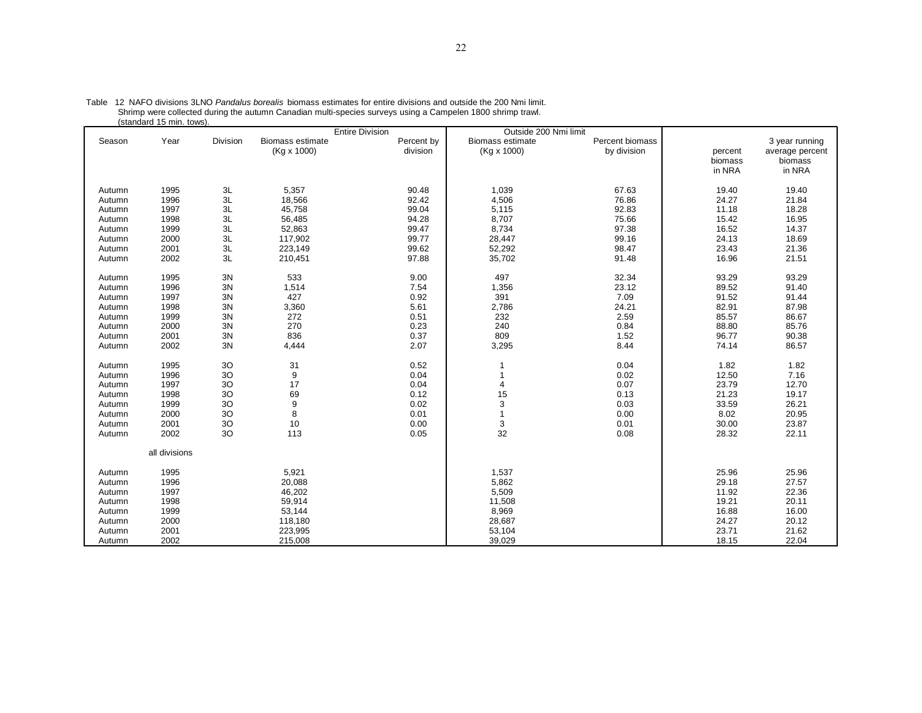|                                                                                                                                                              | (Stanuaru To mini. tuws)                                                                                                     |                                                                                                                                  |                                                                                                          | <b>Entire Division</b>                                                                                                       | Outside 200 Nmi limit                                                                      |                                                                                                                                 |                                                                                                                                            |                                                                                                                                            |
|--------------------------------------------------------------------------------------------------------------------------------------------------------------|------------------------------------------------------------------------------------------------------------------------------|----------------------------------------------------------------------------------------------------------------------------------|----------------------------------------------------------------------------------------------------------|------------------------------------------------------------------------------------------------------------------------------|--------------------------------------------------------------------------------------------|---------------------------------------------------------------------------------------------------------------------------------|--------------------------------------------------------------------------------------------------------------------------------------------|--------------------------------------------------------------------------------------------------------------------------------------------|
| Season                                                                                                                                                       | Year                                                                                                                         | Division                                                                                                                         | <b>Biomass estimate</b><br>(Kg x 1000)                                                                   | Percent by<br>division                                                                                                       | <b>Biomass estimate</b><br>(Kg x 1000)                                                     | Percent biomass<br>by division                                                                                                  | percent<br>biomass<br>in NRA                                                                                                               | 3 year running<br>average percent<br>biomass<br>in NRA                                                                                     |
| Autumn<br>Autumn<br>Autumn<br>Autumn<br>Autumn<br>Autumn                                                                                                     | 1995<br>1996<br>1997<br>1998<br>1999<br>2000                                                                                 | 3L<br>3L<br>3L<br>$3L$<br>3L<br>3L                                                                                               | 5,357<br>18,566<br>45,758<br>56,485<br>52,863<br>117,902                                                 | 90.48<br>92.42<br>99.04<br>94.28<br>99.47<br>99.77                                                                           | 1,039<br>4,506<br>5,115<br>8,707<br>8,734<br>28,447                                        | 67.63<br>76.86<br>92.83<br>75.66<br>97.38<br>99.16                                                                              | 19.40<br>24.27<br>11.18<br>15.42<br>16.52<br>24.13                                                                                         | 19.40<br>21.84<br>18.28<br>16.95<br>14.37<br>18.69                                                                                         |
| Autumn<br>Autumn                                                                                                                                             | 2001<br>2002                                                                                                                 | $3L$<br>3L                                                                                                                       | 223,149<br>210,451                                                                                       | 99.62<br>97.88                                                                                                               | 52,292<br>35,702                                                                           | 98.47<br>91.48                                                                                                                  | 23.43<br>16.96                                                                                                                             | 21.36<br>21.51                                                                                                                             |
| Autumn<br>Autumn<br>Autumn<br>Autumn<br>Autumn<br>Autumn<br>Autumn<br>Autumn<br>Autumn<br>Autumn<br>Autumn<br>Autumn<br>Autumn<br>Autumn<br>Autumn<br>Autumn | 1995<br>1996<br>1997<br>1998<br>1999<br>2000<br>2001<br>2002<br>1995<br>1996<br>1997<br>1998<br>1999<br>2000<br>2001<br>2002 | 3N<br>3N<br>3N<br>3N<br>3N<br>3N<br>3N<br>3N<br>3O<br>3 <sub>O</sub><br>30<br>30<br>3O<br>3 <sub>O</sub><br>3 <sub>O</sub><br>3O | 533<br>1,514<br>427<br>3,360<br>272<br>270<br>836<br>4,444<br>31<br>9<br>17<br>69<br>9<br>8<br>10<br>113 | 9.00<br>7.54<br>0.92<br>5.61<br>0.51<br>0.23<br>0.37<br>2.07<br>0.52<br>0.04<br>0.04<br>0.12<br>0.02<br>0.01<br>0.00<br>0.05 | 497<br>1,356<br>391<br>2,786<br>232<br>240<br>809<br>3,295<br>4<br>15<br>3<br>1<br>3<br>32 | 32.34<br>23.12<br>7.09<br>24.21<br>2.59<br>0.84<br>1.52<br>8.44<br>0.04<br>0.02<br>0.07<br>0.13<br>0.03<br>0.00<br>0.01<br>0.08 | 93.29<br>89.52<br>91.52<br>82.91<br>85.57<br>88.80<br>96.77<br>74.14<br>1.82<br>12.50<br>23.79<br>21.23<br>33.59<br>8.02<br>30.00<br>28.32 | 93.29<br>91.40<br>91.44<br>87.98<br>86.67<br>85.76<br>90.38<br>86.57<br>1.82<br>7.16<br>12.70<br>19.17<br>26.21<br>20.95<br>23.87<br>22.11 |
|                                                                                                                                                              | all divisions                                                                                                                |                                                                                                                                  |                                                                                                          |                                                                                                                              |                                                                                            |                                                                                                                                 |                                                                                                                                            |                                                                                                                                            |
| Autumn<br>Autumn<br>Autumn<br>Autumn<br>Autumn<br>Autumn<br>Autumn<br>Autumn                                                                                 | 1995<br>1996<br>1997<br>1998<br>1999<br>2000<br>2001<br>2002                                                                 |                                                                                                                                  | 5,921<br>20,088<br>46,202<br>59,914<br>53,144<br>118,180<br>223,995<br>215,008                           |                                                                                                                              | 1,537<br>5,862<br>5,509<br>11,508<br>8,969<br>28,687<br>53,104<br>39,029                   |                                                                                                                                 | 25.96<br>29.18<br>11.92<br>19.21<br>16.88<br>24.27<br>23.71<br>18.15                                                                       | 25.96<br>27.57<br>22.36<br>20.11<br>16.00<br>20.12<br>21.62<br>22.04                                                                       |

Table 12 NAFO divisions 3LNO *Pandalus borealis* biomass estimates for entire divisions and outside the 200 Nmi limit.<br>Shrimp were collected during the autumn Canadian multi-species surveys using a Campelen 1800 shrimp tra (standard 15 min. tows).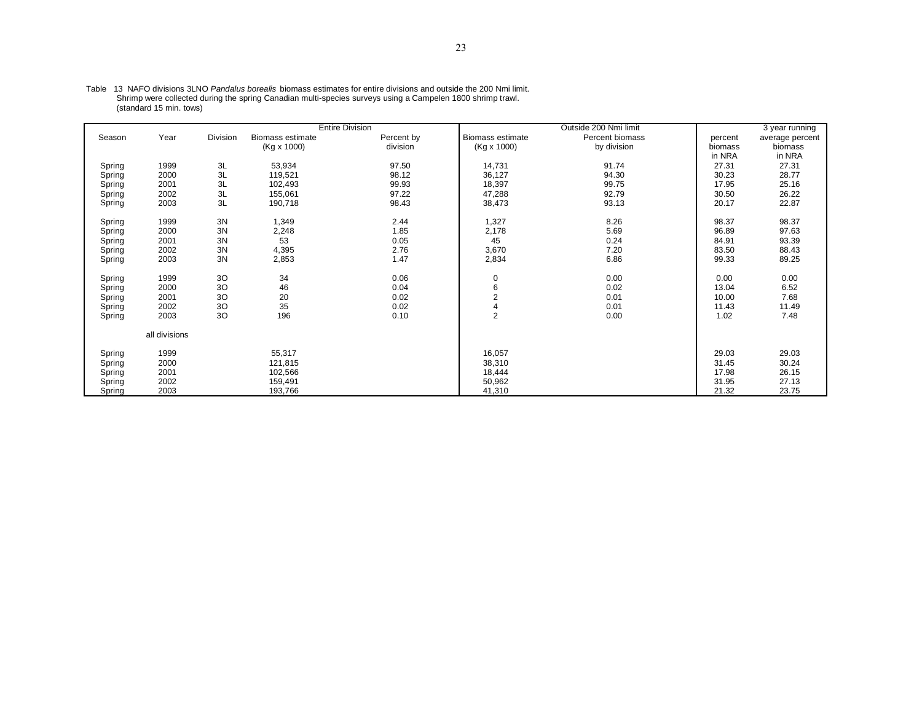|        |               |          |                         | <b>Entire Division</b> |                         | Outside 200 Nmi limit |         | 3 year running  |
|--------|---------------|----------|-------------------------|------------------------|-------------------------|-----------------------|---------|-----------------|
| Season | Year          | Division | <b>Biomass estimate</b> | Percent by             | <b>Biomass estimate</b> | Percent biomass       | percent | average percent |
|        |               |          | (Kg x 1000)             | division               | (Kg x 1000)             | by division           | biomass | biomass         |
|        |               |          |                         |                        |                         |                       | in NRA  | in NRA          |
| Spring | 1999          | 3L       | 53,934                  | 97.50                  | 14,731                  | 91.74                 | 27.31   | 27.31           |
| Spring | 2000          | 3L       | 119,521                 | 98.12                  | 36,127                  | 94.30                 | 30.23   | 28.77           |
| Spring | 2001          | 3L       | 102,493                 | 99.93                  | 18,397                  | 99.75                 | 17.95   | 25.16           |
| Spring | 2002          | 3L       | 155,061                 | 97.22                  | 47,288                  | 92.79                 | 30.50   | 26.22           |
| Spring | 2003          | 3L       | 190,718                 | 98.43                  | 38,473                  | 93.13                 | 20.17   | 22.87           |
|        |               |          |                         |                        |                         |                       |         |                 |
| Spring | 1999          | 3N       | 1,349                   | 2.44                   | 1,327                   | 8.26                  | 98.37   | 98.37           |
| Spring | 2000          | 3N       | 2,248                   | 1.85                   | 2,178                   | 5.69                  | 96.89   | 97.63           |
| Spring | 2001          | 3N       | 53                      | 0.05                   | 45                      | 0.24                  | 84.91   | 93.39           |
| Spring | 2002          | 3N       | 4,395                   | 2.76                   | 3,670                   | 7.20                  | 83.50   | 88.43           |
| Spring | 2003          | 3N       | 2,853                   | 1.47                   | 2,834                   | 6.86                  | 99.33   | 89.25           |
|        |               |          |                         |                        |                         |                       |         |                 |
| Spring | 1999          | 3O       | 34                      | 0.06                   | 0                       | 0.00                  | 0.00    | 0.00            |
| Spring | 2000          | 3O       | 46                      | 0.04                   | 6                       | 0.02                  | 13.04   | 6.52            |
| Spring | 2001          | 3O       | 20                      | 0.02                   | $\overline{2}$          | 0.01                  | 10.00   | 7.68            |
| Spring | 2002          | 3O       | 35                      | 0.02                   |                         | 0.01                  | 11.43   | 11.49           |
| Spring | 2003          | 30       | 196                     | 0.10                   | $\overline{2}$          | 0.00                  | 1.02    | 7.48            |
|        | all divisions |          |                         |                        |                         |                       |         |                 |
|        |               |          |                         |                        |                         |                       |         |                 |
| Spring | 1999          |          | 55,317                  |                        | 16,057                  |                       | 29.03   | 29.03           |
| Spring | 2000          |          | 121,815                 |                        | 38,310                  |                       | 31.45   | 30.24           |
| Spring | 2001          |          | 102,566                 |                        | 18,444                  |                       | 17.98   | 26.15           |
| Spring | 2002          |          | 159,491                 |                        | 50,962                  |                       | 31.95   | 27.13           |
| Spring | 2003          |          | 193,766                 |                        | 41,310                  |                       | 21.32   | 23.75           |

Table 13 NAFO divisions 3LNO *Pandalus borealis* biomass estimates for entire divisions and outside the 200 Nmi limit.<br>Shrimp were collected during the spring Canadian multi-species surveys using a Campelen 1800 shrimp tra (standard 15 min. tows)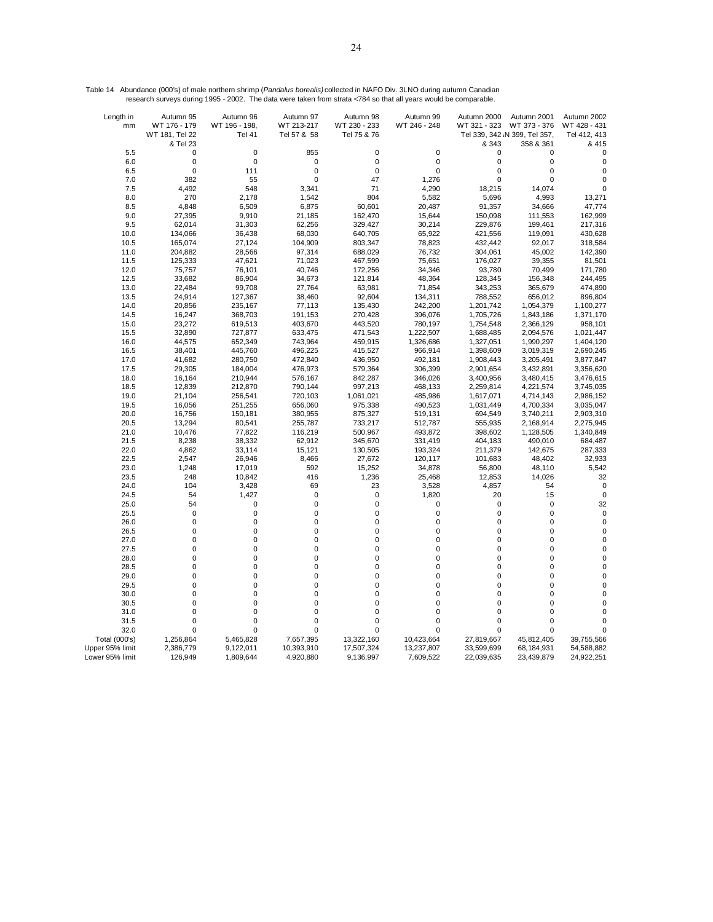| Table 14 Abundance (000's) of male northern shrimp (Pandalus borealis) collected in NAFO Div. 3LNO during autumn Canadian |  |
|---------------------------------------------------------------------------------------------------------------------------|--|
| research surveys during 1995 - 2002. The data were taken from strata <784 so that all years would be comparable.          |  |

| Length in       | Autumn 95                  | Autumn 96                  | Autumn 97        | Autumn 98                  | Autumn 99          | Autumn 2000                | Autumn 2001                   | Autumn 2002                 |
|-----------------|----------------------------|----------------------------|------------------|----------------------------|--------------------|----------------------------|-------------------------------|-----------------------------|
| mm              | WT 176 - 179               | WT 196 - 198,              | WT 213-217       | WT 230 - 233               | WT 246 - 248       | WT 321 - 323               | WT 373 - 376                  | WT 428 - 431                |
|                 | WT 181, Tel 22             | Tel 41                     | Tel 57 & 58      | Tel 75 & 76                |                    |                            | Tel 339, 342 \N 399, Tel 357, | Tel 412, 413                |
|                 | & Tel 23                   |                            |                  |                            |                    | & 343                      | 358 & 361                     | & 415                       |
| 5.5             | 0<br>$\mathbf 0$           | $\mathbf 0$<br>$\mathbf 0$ | 855<br>0         | $\mathbf 0$<br>$\pmb{0}$   | 0<br>0             | 0<br>0                     | 0<br>$\mathbf 0$              | $\mathbf{0}$<br>$\mathbf 0$ |
| 6.0<br>6.5      | $\mathbf 0$                | 111                        | 0                | $\mathbf 0$                | 0                  | 0                          | $\mathbf 0$                   | $\mathbf 0$                 |
| 7.0             | 382                        | 55                         | $\mathbf 0$      | 47                         | 1,276              | $\mathbf 0$                | $\overline{0}$                | $\mathbf 0$                 |
| 7.5             | 4,492                      | 548                        | 3,341            | 71                         | 4,290              | 18,215                     | 14,074                        | 0                           |
| 8.0             | 270                        | 2,178                      | 1,542            | 804                        | 5,582              | 5,696                      | 4,993                         | 13,271                      |
| 8.5             | 4,848                      | 6,509                      | 6,875            | 60,601                     | 20,487             | 91,357                     | 34,666                        | 47,774                      |
| 9.0             | 27,395                     | 9,910                      | 21,185           | 162,470                    | 15,644             | 150,098                    | 111,553                       | 162,999                     |
| 9.5             | 62,014                     | 31,303                     | 62,256           | 329,427                    | 30,214             | 229,876                    | 199,461                       | 217,316                     |
| 10.0            | 134,066                    | 36,438                     | 68,030           | 640,705                    | 65,922             | 421,556                    | 119,091                       | 430,628                     |
| 10.5            | 165,074                    | 27,124                     | 104,909          | 803,347                    | 78,823             | 432,442                    | 92,017                        | 318,584                     |
| 11.0            | 204,882                    | 28,566                     | 97,314           | 688,029                    | 76,732             | 304,061                    | 45,002                        | 142,390                     |
| 11.5            | 125,333                    | 47,621                     | 71,023           | 467,599                    | 75,651             | 176,027                    | 39,355                        | 81,501                      |
| 12.0            | 75,757                     | 76,101                     | 40,746           | 172,256                    | 34,346             | 93,780                     | 70,499                        | 171,780                     |
| 12.5            | 33,682                     | 86,904                     | 34,673           | 121,814                    | 48,364             | 128,345                    | 156,348                       | 244,495                     |
| 13.0            | 22,484                     | 99,708                     | 27,764           | 63,981<br>92,604           | 71,854             | 343,253                    | 365,679                       | 474,890                     |
| 13.5<br>14.0    | 24,914<br>20,856           | 127,367<br>235,167         | 38,460<br>77,113 | 135,430                    | 134,311<br>242,200 | 788,552<br>1,201,742       | 656,012<br>1,054,379          | 896,804<br>1,100,277        |
| 14.5            | 16,247                     | 368,703                    | 191,153          | 270,428                    | 396,076            | 1,705,726                  | 1,843,186                     | 1,371,170                   |
| 15.0            | 23,272                     | 619,513                    | 403,670          | 443,520                    | 780,197            | 1,754,548                  | 2,366,129                     | 958,101                     |
| 15.5            | 32,890                     | 727,877                    | 633,475          | 471,543                    | 1,222,507          | 1,688,485                  | 2,094,576                     | 1,021,447                   |
| 16.0            | 44,575                     | 652,349                    | 743,964          | 459,915                    | 1,326,686          | 1,327,051                  | 1,990,297                     | 1,404,120                   |
| 16.5            | 38,401                     | 445,760                    | 496,225          | 415,527                    | 966,914            | 1,398,609                  | 3,019,319                     | 2,690,245                   |
| 17.0            | 41,682                     | 280,750                    | 472,840          | 436,950                    | 492,181            | 1,908,443                  | 3,205,491                     | 3,877,847                   |
| 17.5            | 29,305                     | 184,004                    | 476,973          | 579,364                    | 306,399            | 2,901,654                  | 3,432,891                     | 3,356,620                   |
| 18.0            | 16,164                     | 210,944                    | 576,167          | 842,287                    | 346,026            | 3,400,956                  | 3,480,415                     | 3,476,615                   |
| 18.5            | 12,839                     | 212,870                    | 790,144          | 997,213                    | 468,133            | 2,259,814                  | 4,221,574                     | 3,745,035                   |
| 19.0            | 21,104                     | 256,541                    | 720,103          | 1,061,021                  | 485,986            | 1,617,071                  | 4,714,143                     | 2,986,152                   |
| 19.5            | 16,056                     | 251,255                    | 656,060          | 975,338                    | 490,523            | 1,031,449                  | 4,700,334                     | 3,035,047                   |
| 20.0            | 16,756                     | 150,181                    | 380,955          | 875,327                    | 519,131            | 694,549                    | 3,740,211                     | 2,903,310                   |
| 20.5            | 13,294                     | 80,541                     | 255,787          | 733,217                    | 512,787            | 555,935                    | 2,168,914                     | 2,275,945                   |
| 21.0            | 10,476                     | 77,822                     | 116,219          | 500,967                    | 493,872            | 398,602                    | 1,128,505                     | 1,340,849                   |
| 21.5            | 8,238                      | 38,332                     | 62,912           | 345,670                    | 331,419            | 404,183                    | 490,010                       | 684,487                     |
| 22.0            | 4,862                      | 33,114                     | 15,121           | 130,505                    | 193,324            | 211,379                    | 142,675                       | 287,333                     |
| 22.5            | 2,547                      | 26,946                     | 8,466            | 27,672                     | 120,117            | 101,683                    | 48,402                        | 32,933                      |
| 23.0            | 1,248                      | 17,019                     | 592              | 15,252                     | 34,878             | 56,800                     | 48,110                        | 5,542                       |
| 23.5            | 248                        | 10,842                     | 416              | 1,236                      | 25,468             | 12,853                     | 14,026                        | 32                          |
| 24.0            | 104                        | 3,428                      | 69               | 23                         | 3,528              | 4,857                      | 54                            | $\mathbf 0$                 |
| 24.5            | 54                         | 1,427                      | 0                | $\mathbf 0$                | 1,820              | 20                         | 15                            | 0                           |
| 25.0            | 54                         | $\mathbf 0$                | $\mathbf 0$      | $\mathbf 0$                | 0                  | 0                          | $\mathbf 0$                   | 32                          |
| 25.5            | $\mathbf 0$                | $\mathbf 0$                | 0                | 0                          | 0                  | 0                          | $\mathbf 0$                   | $\mathbf 0$                 |
| 26.0            | $\mathbf 0$<br>$\mathbf 0$ | $\mathbf 0$<br>$\mathbf 0$ | 0<br>0           | $\mathbf 0$<br>$\mathbf 0$ | 0<br>0             | $\mathbf 0$<br>$\mathbf 0$ | 0<br>$\mathbf 0$              | $\mathbf 0$<br>$\mathbf 0$  |
| 26.5<br>27.0    | 0                          | $\mathbf 0$                | 0                | 0                          | 0                  | $\mathbf 0$                | $\mathbf 0$                   | $\mathbf 0$                 |
| 27.5            | 0                          | $\mathbf 0$                | 0                | 0                          | 0                  | $\mathbf 0$                | $\mathbf 0$                   | $\mathbf 0$                 |
| 28.0            | 0                          | $\mathbf 0$                | 0                | 0                          | 0                  | $\mathbf 0$                | $\mathbf 0$                   | $\mathbf 0$                 |
| 28.5            | 0                          | $\mathbf 0$                | 0                | 0                          | 0                  | $\mathbf 0$                | $\mathbf 0$                   | $\mathbf 0$                 |
| 29.0            | 0                          | $\mathbf 0$                | 0                | 0                          | 0                  | 0                          | 0                             | $\mathbf 0$                 |
| 29.5            | 0                          | $\mathbf 0$                | $\mathbf 0$      | $\mathbf 0$                | 0                  | $\mathbf 0$                | $\mathbf 0$                   | $\mathbf 0$                 |
| 30.0            | 0                          | $\mathbf 0$                | 0                | 0                          | 0                  | $\mathbf 0$                | 0                             | $\mathbf 0$                 |
| 30.5            | $\mathbf 0$                | $\mathbf 0$                | 0                | 0                          | 0                  | 0                          | $\mathbf 0$                   | $\mathbf 0$                 |
| 31.0            | $\mathbf 0$                | $\mathbf 0$                | $\mathbf 0$      | 0                          | 0                  | $\mathbf 0$                | $\mathbf 0$                   | $\mathbf 0$                 |
| 31.5            | 0                          | $\mathbf 0$                | $\mathbf 0$      | $\mathbf 0$                | $\mathbf 0$        | $\mathbf 0$                | $\mathbf 0$                   | $\mathbf 0$                 |
| 32.0            | $\mathbf 0$                | $\mathbf 0$                | $\mathbf 0$      | $\mathbf 0$                | 0                  | $\mathbf 0$                | $\mathbf 0$                   | 0                           |
| Total (000's)   | 1,256,864                  | 5,465,828                  | 7,657,395        | 13,322,160                 | 10,423,664         | 27,819,667                 | 45,812,405                    | 39,755,566                  |
| Upper 95% limit | 2,386,779                  | 9,122,011                  | 10,393,910       | 17,507,324                 | 13,237,807         | 33,599,699                 | 68,184,931                    | 54,588,882                  |
| Lower 95% limit | 126,949                    | 1,809,644                  | 4,920,880        | 9,136,997                  | 7,609,522          | 22,039,635                 | 23,439,879                    | 24,922,251                  |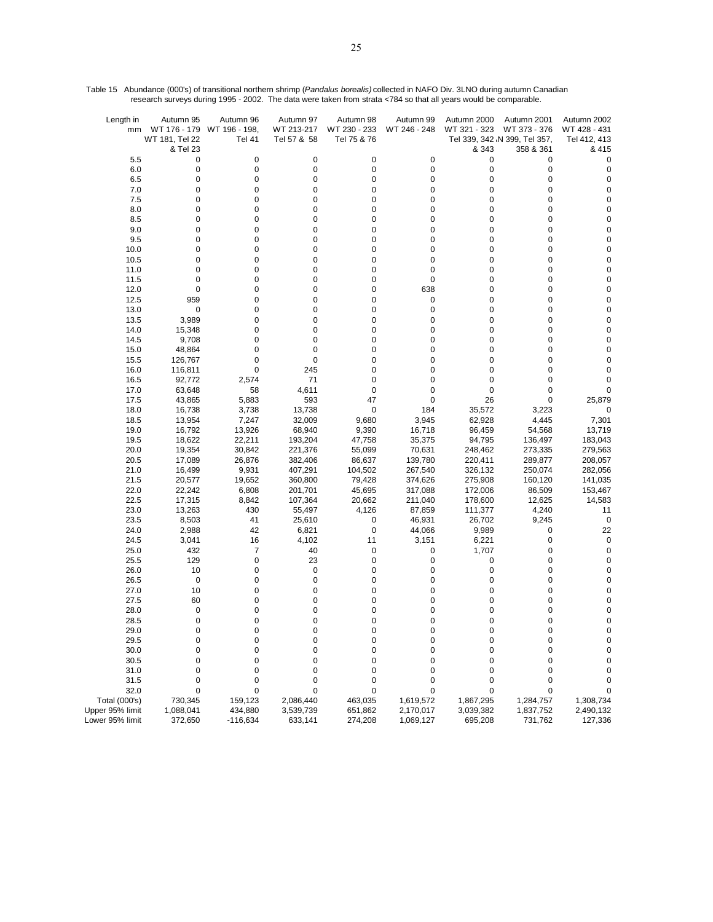| Length in<br>mm | Autumn 95<br>WT 181, Tel 22 | Autumn 96<br>WT 176 - 179 WT 196 - 198,<br><b>Tel 41</b> | Autumn 97<br>WT 213-217<br>Tel 57 & 58 | Autumn 98<br>WT 230 - 233<br>Tel 75 & 76 | Autumn 99<br>WT 246 - 248 | Autumn 2000<br>WT 321 - 323 | Autumn 2001<br>WT 373 - 376<br>Tel 339, 342 \N 399, Tel 357, | Autumn 2002<br>WT 428 - 431<br>Tel 412, 413 |
|-----------------|-----------------------------|----------------------------------------------------------|----------------------------------------|------------------------------------------|---------------------------|-----------------------------|--------------------------------------------------------------|---------------------------------------------|
|                 | & Tel 23                    |                                                          |                                        |                                          |                           | & 343                       | 358 & 361                                                    | & 415                                       |
| 5.5             | 0                           | 0                                                        | 0                                      | 0                                        | 0                         | 0                           | 0                                                            | 0                                           |
| 6.0             | $\pmb{0}$                   | 0                                                        | $\pmb{0}$                              | 0                                        | 0                         | 0                           | 0                                                            | $\pmb{0}$                                   |
| 6.5             | $\pmb{0}$                   | 0                                                        | $\pmb{0}$                              | 0                                        | 0                         | 0                           | 0                                                            | $\pmb{0}$                                   |
| 7.0             | $\pmb{0}$<br>$\pmb{0}$      | 0<br>0                                                   | 0<br>0                                 | 0<br>0                                   | 0<br>0                    | 0<br>0                      | 0<br>0                                                       | $\pmb{0}$<br>0                              |
| 7.5<br>8.0      | 0                           | 0                                                        | 0                                      | 0                                        | 0                         | 0                           | 0                                                            | 0                                           |
| 8.5             | $\pmb{0}$                   | 0                                                        | 0                                      | 0                                        | 0                         | 0                           | 0                                                            | 0                                           |
| 9.0             | 0                           | 0                                                        | 0                                      | 0                                        | 0                         | 0                           | 0                                                            | 0                                           |
| 9.5             | $\pmb{0}$                   | 0                                                        | 0                                      | 0                                        | 0                         | 0                           | 0                                                            | 0                                           |
| 10.0            | $\pmb{0}$                   | 0                                                        | 0                                      | 0                                        | 0                         | 0                           | 0                                                            | 0                                           |
| 10.5            | $\pmb{0}$                   | 0                                                        | $\pmb{0}$                              | 0                                        | 0                         | 0                           | 0                                                            | $\pmb{0}$                                   |
| 11.0            | 0                           | 0                                                        | $\mathbf 0$                            | 0                                        | 0                         | 0                           | 0                                                            | 0                                           |
| 11.5            | 0                           | 0                                                        | 0                                      | 0                                        | 0                         | 0                           | 0                                                            | 0                                           |
| 12.0            | 0                           | 0                                                        | $\mathbf 0$                            | 0                                        | 638                       | 0                           | 0                                                            | 0                                           |
| 12.5            | 959                         | 0                                                        | 0                                      | 0                                        | 0                         | 0                           | 0                                                            | 0                                           |
| 13.0            | 0                           | 0                                                        | 0                                      | 0                                        | 0                         | 0                           | 0                                                            | 0                                           |
| 13.5            | 3,989                       | 0                                                        | 0                                      | 0                                        | 0                         | 0                           | 0                                                            | 0                                           |
| 14.0            | 15,348                      | 0                                                        | $\pmb{0}$                              | 0                                        | 0                         | 0                           | 0                                                            | 0                                           |
| 14.5            | 9,708                       | 0                                                        | 0                                      | 0                                        | 0                         | 0                           | 0                                                            | 0                                           |
| 15.0            | 48,864                      | 0                                                        | 0                                      | 0                                        | 0                         | 0                           | 0                                                            | 0                                           |
| 15.5            | 126,767                     | 0                                                        | 0                                      | 0                                        | 0                         | 0                           | 0                                                            | 0                                           |
| 16.0            | 116,811                     | 0                                                        | 245                                    | 0                                        | 0                         | 0                           | 0                                                            | 0                                           |
| 16.5            | 92,772                      | 2,574                                                    | 71                                     | 0                                        | 0                         | 0                           | 0                                                            | 0                                           |
| 17.0            | 63,648                      | 58                                                       | 4,611                                  | 0<br>47                                  | 0<br>0                    | 0                           | 0<br>0                                                       | 0                                           |
| 17.5<br>18.0    | 43,865<br>16,738            | 5,883<br>3,738                                           | 593<br>13,738                          | 0                                        | 184                       | 26<br>35,572                | 3,223                                                        | 25,879<br>0                                 |
| 18.5            | 13,954                      | 7,247                                                    | 32,009                                 | 9,680                                    | 3,945                     | 62,928                      | 4,445                                                        | 7,301                                       |
| 19.0            | 16,792                      | 13,926                                                   | 68,940                                 | 9,390                                    | 16,718                    | 96,459                      | 54,568                                                       | 13,719                                      |
| 19.5            | 18,622                      | 22,211                                                   | 193,204                                | 47,758                                   | 35,375                    | 94,795                      | 136,497                                                      | 183,043                                     |
| 20.0            | 19,354                      | 30,842                                                   | 221,376                                | 55,099                                   | 70,631                    | 248,462                     | 273,335                                                      | 279,563                                     |
| 20.5            | 17,089                      | 26,876                                                   | 382,406                                | 86,637                                   | 139,780                   | 220,411                     | 289,877                                                      | 208,057                                     |
| 21.0            | 16,499                      | 9,931                                                    | 407,291                                | 104,502                                  | 267,540                   | 326,132                     | 250,074                                                      | 282,056                                     |
| 21.5            | 20,577                      | 19,652                                                   | 360,800                                | 79,428                                   | 374,626                   | 275,908                     | 160,120                                                      | 141,035                                     |
| 22.0            | 22,242                      | 6,808                                                    | 201,701                                | 45,695                                   | 317,088                   | 172,006                     | 86,509                                                       | 153,467                                     |
| 22.5            | 17,315                      | 8,842                                                    | 107,364                                | 20,662                                   | 211,040                   | 178,600                     | 12,625                                                       | 14,583                                      |
| 23.0            | 13,263                      | 430                                                      | 55,497                                 | 4,126                                    | 87,859                    | 111,377                     | 4,240                                                        | 11                                          |
| 23.5            | 8,503                       | 41                                                       | 25,610                                 | 0                                        | 46,931                    | 26,702                      | 9,245                                                        | $\mathbf 0$                                 |
| 24.0            | 2,988                       | 42                                                       | 6,821                                  | 0                                        | 44,066                    | 9,989                       | 0                                                            | 22                                          |
| 24.5            | 3,041                       | 16                                                       | 4,102                                  | 11                                       | 3,151                     | 6,221                       | 0                                                            | 0                                           |
| 25.0            | 432                         | 7                                                        | 40                                     | 0                                        | 0                         | 1,707                       | 0                                                            | 0                                           |
| 25.5            | 129                         | 0<br>0                                                   | 23<br>0                                | 0<br>0                                   | 0<br>0                    | 0<br>0                      | 0<br>0                                                       | $\pmb{0}$                                   |
| 26.0<br>26.5    | 10<br>0                     | 0                                                        | 0                                      | 0                                        | 0                         | 0                           | 0                                                            | 0<br>0                                      |
| 27.0            | 10                          | 0                                                        | $\mathbf 0$                            | 0                                        | 0                         | 0                           | 0                                                            | 0                                           |
| 27.5            | 60                          | 0                                                        | 0                                      | 0                                        | 0                         | 0                           | 0                                                            | 0                                           |
| 28.0            | 0                           | 0                                                        | 0                                      | 0                                        | 0                         | 0                           | 0                                                            | $\pmb{0}$                                   |
| 28.5            | 0                           | 0                                                        | 0                                      | 0                                        | 0                         | 0                           | 0                                                            | 0                                           |
| 29.0            | $\mathbf 0$                 | $\mathbf 0$                                              | $\Omega$                               | 0                                        | 0                         | $\mathbf 0$                 | 0                                                            | 0                                           |
| 29.5            | 0                           | 0                                                        | 0                                      | 0                                        | 0                         | 0                           | 0                                                            | 0                                           |
| 30.0            | $\pmb{0}$                   | 0                                                        | $\pmb{0}$                              | 0                                        | 0                         | 0                           | 0                                                            | $\pmb{0}$                                   |
| 30.5            | $\pmb{0}$                   | 0                                                        | 0                                      | 0                                        | 0                         | 0                           | 0                                                            | 0                                           |
| 31.0            | $\pmb{0}$                   | 0                                                        | 0                                      | 0                                        | 0                         | 0                           | 0                                                            | 0                                           |
| 31.5            | 0                           | 0                                                        | 0                                      | 0                                        | 0                         | 0                           | 0                                                            | 0                                           |
| 32.0            | 0                           | 0                                                        | 0                                      | 0                                        | 0                         | 0                           | 0                                                            | 0                                           |
| Total (000's)   | 730,345                     | 159,123                                                  | 2,086,440                              | 463,035                                  | 1,619,572                 | 1,867,295                   | 1,284,757                                                    | 1,308,734                                   |
| Upper 95% limit | 1,088,041                   | 434,880                                                  | 3,539,739                              | 651,862                                  | 2,170,017                 | 3,039,382                   | 1,837,752                                                    | 2,490,132                                   |
| Lower 95% limit | 372,650                     | $-116,634$                                               | 633,141                                | 274,208                                  | 1,069,127                 | 695,208                     | 731,762                                                      | 127,336                                     |

Table 15 Abundance (000's) of transitional northern shrimp (*Pandalus borealis)* collected in NAFO Div. 3LNO during autumn Canadian research surveys during 1995 - 2002. The data were taken from strata <784 so that all years would be comparable.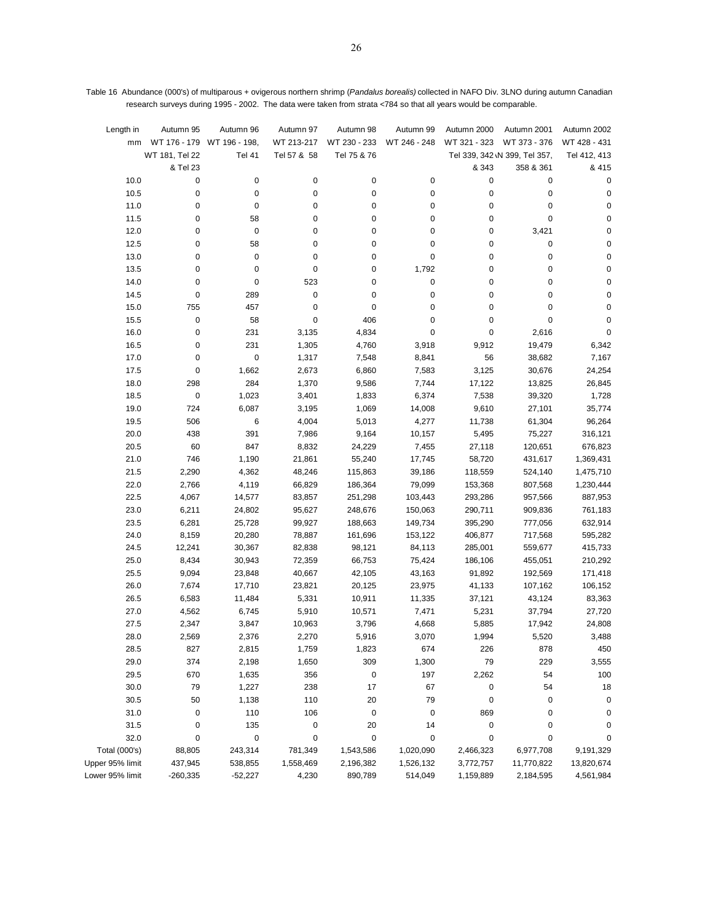| Length in<br>mm      | Autumn 95      | Autumn 96<br>WT 176 - 179 WT 196 - 198, | Autumn 97<br>WT 213-217 | Autumn 98<br>WT 230 - 233 | Autumn 99<br>WT 246 - 248 | Autumn 2000<br>WT 321 - 323 | Autumn 2001<br>WT 373 - 376   | Autumn 2002<br>WT 428 - 431 |
|----------------------|----------------|-----------------------------------------|-------------------------|---------------------------|---------------------------|-----------------------------|-------------------------------|-----------------------------|
|                      | WT 181, Tel 22 | <b>Tel 41</b>                           | Tel 57 & 58             | Tel 75 & 76               |                           |                             | Tel 339, 342 \N 399, Tel 357, | Tel 412, 413                |
|                      | & Tel 23       |                                         |                         |                           |                           | & 343                       | 358 & 361                     | & 415                       |
| 10.0                 | 0              | 0                                       | $\pmb{0}$               | 0                         | 0                         | 0                           | 0                             | 0                           |
| 10.5                 | 0              | 0                                       | 0                       | 0                         | 0                         | 0                           | 0                             | 0                           |
| 11.0                 | 0              | 0                                       | $\pmb{0}$               | 0                         | 0                         | $\pmb{0}$                   | 0                             | $\pmb{0}$                   |
| 11.5                 | 0              | 58                                      | $\pmb{0}$               | 0                         | 0                         | 0                           | 0                             | 0                           |
| 12.0                 | 0              | 0                                       | $\pmb{0}$               | 0                         | 0                         | 0                           | 3,421                         | 0                           |
| 12.5                 | 0              | 58                                      | $\pmb{0}$               | 0                         | 0                         | 0                           | 0                             | 0                           |
| 13.0                 | 0              | 0                                       | $\pmb{0}$               | 0                         | 0                         | 0                           | $\pmb{0}$                     | 0                           |
| 13.5                 | 0              | 0                                       | $\pmb{0}$               | 0                         | 1,792                     | 0                           | 0                             | $\pmb{0}$                   |
| 14.0                 | 0              | $\pmb{0}$                               | 523                     | 0                         | 0                         | 0                           | 0                             | $\pmb{0}$                   |
| 14.5                 | 0              | 289                                     | $\pmb{0}$               | 0                         | 0                         | 0                           | 0                             | 0                           |
| 15.0                 | 755            | 457                                     | $\pmb{0}$               | 0                         | 0                         | 0                           | 0                             | $\pmb{0}$                   |
| 15.5                 | 0              | 58                                      | $\pmb{0}$               | 406                       | 0                         | 0                           | 0                             | 0                           |
| 16.0                 | 0              | 231                                     | 3,135                   | 4,834                     | 0                         | 0                           | 2,616                         | 0                           |
| 16.5                 | 0              | 231                                     | 1,305                   | 4,760                     | 3,918                     | 9,912                       | 19,479                        | 6,342                       |
| 17.0                 | 0              | 0                                       | 1,317                   | 7,548                     | 8,841                     | 56                          | 38,682                        | 7,167                       |
| 17.5                 | $\pmb{0}$      | 1,662                                   | 2,673                   | 6,860                     | 7,583                     | 3,125                       | 30,676                        | 24,254                      |
| 18.0                 | 298            | 284                                     | 1,370                   | 9,586                     | 7,744                     | 17,122                      | 13,825                        | 26,845                      |
| 18.5                 | $\pmb{0}$      | 1,023                                   | 3,401                   | 1,833                     | 6,374                     | 7,538                       | 39,320                        | 1,728                       |
| 19.0                 | 724            | 6,087                                   | 3,195                   | 1,069                     | 14,008                    | 9,610                       | 27,101                        | 35,774                      |
| 19.5                 | 506            | 6                                       | 4,004                   | 5,013                     | 4,277                     | 11,738                      | 61,304                        | 96,264                      |
| 20.0                 | 438            | 391                                     | 7,986                   | 9,164                     | 10,157                    | 5,495                       | 75,227                        | 316,121                     |
| 20.5                 | 60             | 847                                     | 8,832                   | 24,229                    | 7,455                     | 27,118                      | 120,651                       | 676,823                     |
| 21.0                 | 746            | 1,190                                   | 21,861                  | 55,240                    | 17,745                    | 58,720                      | 431,617                       | 1,369,431                   |
| 21.5                 | 2,290          | 4,362                                   | 48,246                  | 115,863                   | 39,186                    | 118,559                     | 524,140                       | 1,475,710                   |
| 22.0                 | 2,766          | 4,119                                   | 66,829                  | 186,364                   | 79,099                    | 153,368                     | 807,568                       | 1,230,444                   |
| 22.5                 | 4,067          | 14,577                                  | 83,857                  | 251,298                   | 103,443                   | 293,286                     | 957,566                       | 887,953                     |
| 23.0                 | 6,211          | 24,802                                  | 95,627                  | 248,676                   | 150,063                   | 290,711                     | 909,836                       | 761,183                     |
| 23.5                 | 6,281          | 25,728                                  | 99,927                  | 188,663                   | 149,734                   | 395,290                     | 777,056                       | 632,914                     |
| 24.0<br>24.5         | 8,159          | 20,280                                  | 78,887                  | 161,696                   | 153,122                   | 406,877                     | 717,568                       | 595,282                     |
| 25.0                 | 12,241         | 30,367                                  | 82,838                  | 98,121                    | 84,113                    | 285,001                     | 559,677                       | 415,733                     |
| 25.5                 | 8,434<br>9,094 | 30,943                                  | 72,359                  | 66,753<br>42,105          | 75,424                    | 186,106<br>91,892           | 455,051<br>192,569            | 210,292<br>171,418          |
| 26.0                 | 7,674          | 23,848<br>17,710                        | 40,667<br>23,821        | 20,125                    | 43,163<br>23,975          | 41,133                      | 107,162                       | 106,152                     |
| 26.5                 | 6,583          | 11,484                                  | 5,331                   | 10,911                    | 11,335                    | 37,121                      | 43,124                        | 83,363                      |
| 27.0                 | 4,562          | 6,745                                   | 5,910                   | 10,571                    | 7,471                     | 5,231                       | 37,794                        | 27,720                      |
| 27.5                 | 2,347          | 3,847                                   | 10,963                  | 3,796                     | 4,668                     | 5,885                       | 17,942                        | 24,808                      |
| 28.0                 | 2,569          | 2,376                                   | 2,270                   | 5,916                     | 3,070                     | 1,994                       | 5,520                         | 3,488                       |
| 28.5                 | 827            | 2,815                                   | 1,759                   | 1,823                     | 674                       | 226                         | 878                           | 450                         |
| 29.0                 | 374            | 2,198                                   | 1,650                   | 309                       | 1,300                     | 79                          | 229                           | 3,555                       |
| 29.5                 | 670            | 1,635                                   | 356                     | $\pmb{0}$                 | 197                       | 2,262                       | 54                            | 100                         |
| 30.0                 | 79             | 1,227                                   | 238                     | 17                        | 67                        | 0                           | 54                            | 18                          |
| 30.5                 | 50             | 1,138                                   | 110                     | 20                        | 79                        | 0                           | 0                             | 0                           |
| 31.0                 | 0              | 110                                     | 106                     | $\pmb{0}$                 | $\pmb{0}$                 | 869                         | 0                             | 0                           |
| 31.5                 | 0              | 135                                     | 0                       | 20                        | 14                        | $\pmb{0}$                   | 0                             | 0                           |
| 32.0                 | 0              | 0                                       | 0                       | $\pmb{0}$                 | $\pmb{0}$                 | 0                           | 0                             | 0                           |
| <b>Total (000's)</b> | 88,805         | 243,314                                 | 781,349                 | 1,543,586                 | 1,020,090                 | 2,466,323                   | 6,977,708                     | 9,191,329                   |
| Upper 95% limit      | 437,945        | 538,855                                 | 1,558,469               | 2,196,382                 | 1,526,132                 | 3,772,757                   | 11,770,822                    | 13,820,674                  |
| Lower 95% limit      | $-260,335$     | $-52,227$                               | 4,230                   | 890,789                   | 514,049                   | 1,159,889                   | 2,184,595                     | 4,561,984                   |

Table 16 Abundance (000's) of multiparous + ovigerous northern shrimp (*Pandalus borealis)* collected in NAFO Div. 3LNO during autumn Canadian research surveys during 1995 - 2002. The data were taken from strata <784 so that all years would be comparable.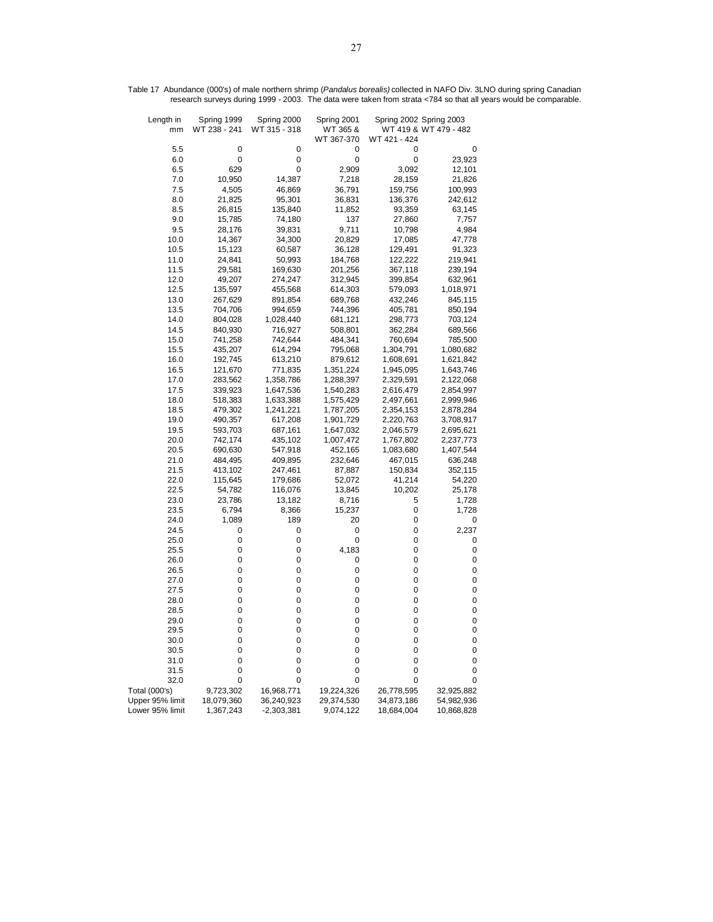| Length in<br>mm | Spring 1999<br>WT 238 - 241 | Spring 2000<br>WT 315 - 318 | Spring 2001<br>WT 365 &<br>WT 367-370 | WT 421 - 424 | Spring 2002 Spring 2003<br>WT 419 & WT 479 - 482 |
|-----------------|-----------------------------|-----------------------------|---------------------------------------|--------------|--------------------------------------------------|
| 5.5             | 0                           | 0                           | 0                                     | 0            | 0                                                |
| 6.0             | 0                           | 0                           | 0                                     | 0            | 23,923                                           |
| 6.5             | 629                         | 0                           | 2,909                                 | 3,092        | 12,101                                           |
| 7.0             | 10,950                      | 14,387                      | 7,218                                 | 28,159       | 21,826                                           |
| 7.5             | 4,505                       | 46,869                      | 36,791                                | 159,756      | 100,993                                          |
| 8.0             | 21,825                      | 95,301                      | 36,831                                | 136,376      | 242,612                                          |
| 8.5             | 26,815                      | 135,840                     | 11,852                                | 93,359       | 63,145                                           |
| 9.0             | 15,785                      | 74,180                      | 137                                   | 27,860       | 7,757                                            |
| 9.5             | 28,176                      | 39,831                      | 9,711                                 | 10,798       | 4,984                                            |
| 10.0            | 14,367                      | 34,300                      | 20,829                                | 17,085       | 47,778                                           |
| 10.5            | 15,123                      | 60,587                      | 36,128                                | 129,491      | 91,323                                           |
| 11.0            | 24,841                      | 50,993                      | 184,768                               | 122,222      | 219,941                                          |
| 11.5            | 29,581                      | 169,630                     | 201,256                               | 367,118      | 239,194                                          |
| 12.0            | 49,207                      | 274,247                     | 312,945                               | 399,854      | 632,961                                          |
| 12.5            | 135,597                     | 455,568                     | 614,303                               | 579,093      | 1,018,971                                        |
| 13.0            | 267,629                     | 891,854                     | 689,768                               | 432,246      | 845,115                                          |
| 13.5            | 704,706                     | 994,659                     | 744,396                               | 405,781      | 850,194                                          |
| 14.0            | 804,028                     | 1,028,440                   | 681,121                               | 298,773      | 703,124                                          |
| 14.5            | 840,930                     | 716,927                     | 508,801                               | 362,284      | 689,566                                          |
| 15.0            | 741,258                     | 742,644                     | 484,341                               | 760,694      | 785,500                                          |
| 15.5            | 435,207                     | 614,294                     | 795,068                               | 1,304,791    | 1,080,682                                        |
| 16.0            | 192,745                     | 613,210                     | 879,612                               | 1,608,691    | 1,621,842                                        |
| 16.5            | 121,670                     | 771,835                     | 1,351,224                             | 1,945,095    | 1,643,746                                        |
| 17.0            | 283,562                     | 1,358,786                   | 1,288,397                             | 2,329,591    | 2,122,068                                        |
| 17.5            | 339,923                     | 1,647,536                   | 1,540,283                             | 2,616,479    | 2,854,997                                        |
| 18.0            | 518,383                     | 1,633,388                   | 1,575,429                             | 2,497,661    | 2,999,946                                        |
| 18.5            | 479,302                     | 1,241,221                   | 1,787,205                             | 2,354,153    | 2,878,284                                        |
| 19.0            | 490,357                     | 617,208                     | 1,901,729                             | 2,220,763    | 3,708,917                                        |
| 19.5            | 593,703                     | 687,161                     | 1,647,032                             | 2,046,579    | 2,695,621                                        |
| 20.0            | 742,174                     | 435,102                     | 1,007,472                             | 1,767,802    | 2,237,773                                        |
| 20.5            | 690,630                     | 547,918                     | 452,165                               | 1,083,680    | 1,407,544                                        |
| 21.0            | 484,495                     | 409,895                     | 232,646                               | 467,015      | 636,248                                          |
| 21.5            | 413,102                     | 247,461                     | 87,887                                | 150,834      | 352,115                                          |
| 22.0            | 115,645                     | 179,686                     | 52,072                                | 41,214       | 54,220                                           |
| 22.5            | 54,782                      | 116,076                     | 13,845                                | 10,202       | 25,178                                           |
| 23.0            | 23,786                      | 13,182                      | 8,716                                 | 5            | 1,728                                            |
| 23.5            | 6,794                       | 8,366                       | 15,237                                | 0            | 1,728                                            |
| 24.0            | 1,089                       | 189                         | 20                                    | 0            | 0                                                |
| 24.5            | 0                           | 0                           | 0                                     | 0            | 2,237                                            |
| 25.0            | 0                           | 0                           | 0                                     | 0            | 0                                                |
| 25.5            | 0<br>0                      | 0<br>0                      | 4,183                                 | 0<br>0       | 0<br>0                                           |
| 26.0<br>26.5    | 0                           | 0                           | 0<br>0                                | 0            | 0                                                |
| 27.0            | 0                           | 0                           | 0                                     | 0            | 0                                                |
| 27.5            | 0                           | 0                           | 0                                     | 0            | 0                                                |
| 28.0            | 0                           | 0                           | 0                                     | 0            | 0                                                |
| 28.5            | 0                           | 0                           | 0                                     | 0            | 0                                                |
| 29.0            | 0                           | 0                           | 0                                     | 0            | 0                                                |
| 29.5            | 0                           | 0                           | 0                                     | 0            | 0                                                |
| 30.0            | 0                           | 0                           | 0                                     | 0            | 0                                                |
| 30.5            | 0                           | 0                           | 0                                     | 0            | 0                                                |
| 31.0            | 0                           | 0                           | 0                                     | 0            | 0                                                |
| 31.5            | 0                           | 0                           | 0                                     | 0            | 0                                                |
| 32.0            | 0                           | 0                           | 0                                     | 0            | 0                                                |
| Total (000's)   | 9,723,302                   | 16,968,771                  | 19,224,326                            | 26,778,595   | 32,925,882                                       |
| Upper 95% limit | 18,079,360                  | 36,240,923                  | 29,374,530                            | 34,873,186   | 54,982,936                                       |
| Lower 95% limit | 1,367,243                   | $-2,303,381$                | 9,074,122                             | 18,684,004   | 10,868,828                                       |

Table 17 Abundance (000's) of male northern shrimp (*Pandalus borealis)* collected in NAFO Div. 3LNO during spring Canadian research surveys during 1999 - 2003. The data were taken from strata <784 so that all years would be comparable.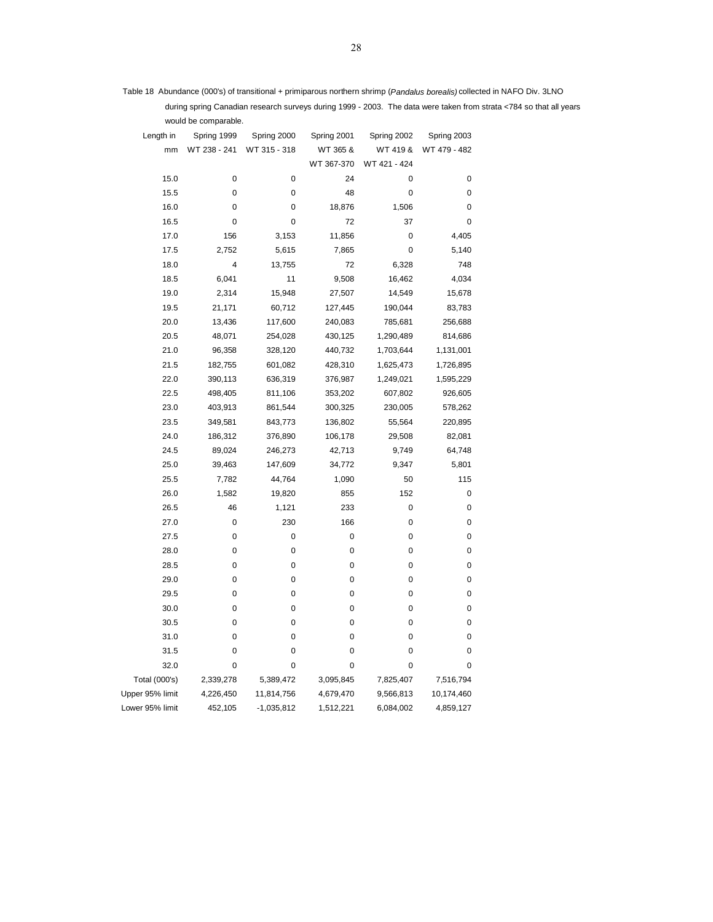Table 18 Abundance (000's) of transitional + primiparous northern shrimp (*Pandalus borealis)* collected in NAFO Div. 3LNO

 during spring Canadian research surveys during 1999 - 2003. The data were taken from strata <784 so that all years would be comparable.

| Length in       | Spring 1999  | Spring 2000  | Spring 2001 | Spring 2002  | Spring 2003  |
|-----------------|--------------|--------------|-------------|--------------|--------------|
| mm              | WT 238 - 241 | WT 315 - 318 | WT 365 &    | WT 419 &     | WT 479 - 482 |
|                 |              |              | WT 367-370  | WT 421 - 424 |              |
| 15.0            | 0            | 0            | 24          | 0            | 0            |
| 15.5            | 0            | 0            | 48          | 0            | 0            |
| 16.0            | 0            | 0            | 18,876      | 1,506        | 0            |
| 16.5            | 0            | 0            | 72          | 37           | 0            |
| 17.0            | 156          | 3,153        | 11,856      | 0            | 4,405        |
| 17.5            | 2,752        | 5,615        | 7,865       | $\pmb{0}$    | 5,140        |
| 18.0            | 4            | 13,755       | 72          | 6,328        | 748          |
| 18.5            | 6,041        | 11           | 9,508       | 16,462       | 4,034        |
| 19.0            | 2,314        | 15,948       | 27,507      | 14,549       | 15,678       |
| 19.5            | 21,171       | 60,712       | 127,445     | 190,044      | 83,783       |
| 20.0            | 13,436       | 117,600      | 240,083     | 785,681      | 256,688      |
| 20.5            | 48,071       | 254,028      | 430,125     | 1,290,489    | 814,686      |
| 21.0            | 96,358       | 328,120      | 440,732     | 1,703,644    | 1,131,001    |
| 21.5            | 182,755      | 601,082      | 428,310     | 1,625,473    | 1,726,895    |
| 22.0            | 390,113      | 636,319      | 376,987     | 1,249,021    | 1,595,229    |
| 22.5            | 498,405      | 811,106      | 353,202     | 607,802      | 926,605      |
| 23.0            | 403,913      | 861,544      | 300,325     | 230,005      | 578,262      |
| 23.5            | 349,581      | 843,773      | 136,802     | 55,564       | 220,895      |
| 24.0            | 186,312      | 376,890      | 106,178     | 29,508       | 82,081       |
| 24.5            | 89,024       | 246,273      | 42,713      | 9,749        | 64,748       |
| 25.0            | 39,463       | 147,609      | 34,772      | 9,347        | 5,801        |
| 25.5            | 7,782        | 44,764       | 1,090       | 50           | 115          |
| 26.0            | 1,582        | 19,820       | 855         | 152          | 0            |
| 26.5            | 46           | 1,121        | 233         | 0            | 0            |
| 27.0            | 0            | 230          | 166         | 0            | 0            |
| 27.5            | 0            | 0            | 0           | 0            | 0            |
| 28.0            | 0            | 0            | 0           | 0            | 0            |
| 28.5            | 0            | 0            | 0           | 0            | 0            |
| 29.0            | 0            | 0            | 0           | 0            | 0            |
| 29.5            | 0            | 0            | 0           | $\pmb{0}$    | 0            |
| 30.0            | 0            | 0            | 0           | 0            | 0            |
| 30.5            | 0            | 0            | 0           | 0            | 0            |
| 31.0            | 0            | 0            | 0           | 0            | 0            |
| 31.5            | 0            | 0            | 0           | 0            | 0            |
| 32.0            | 0            | 0            | 0           | 0            | 0            |
| Total (000's)   | 2,339,278    | 5,389,472    | 3,095,845   | 7,825,407    | 7,516,794    |
| Upper 95% limit | 4,226,450    | 11,814,756   | 4,679,470   | 9,566,813    | 10,174,460   |
| Lower 95% limit | 452,105      | -1,035,812   | 1,512,221   | 6,084,002    | 4,859,127    |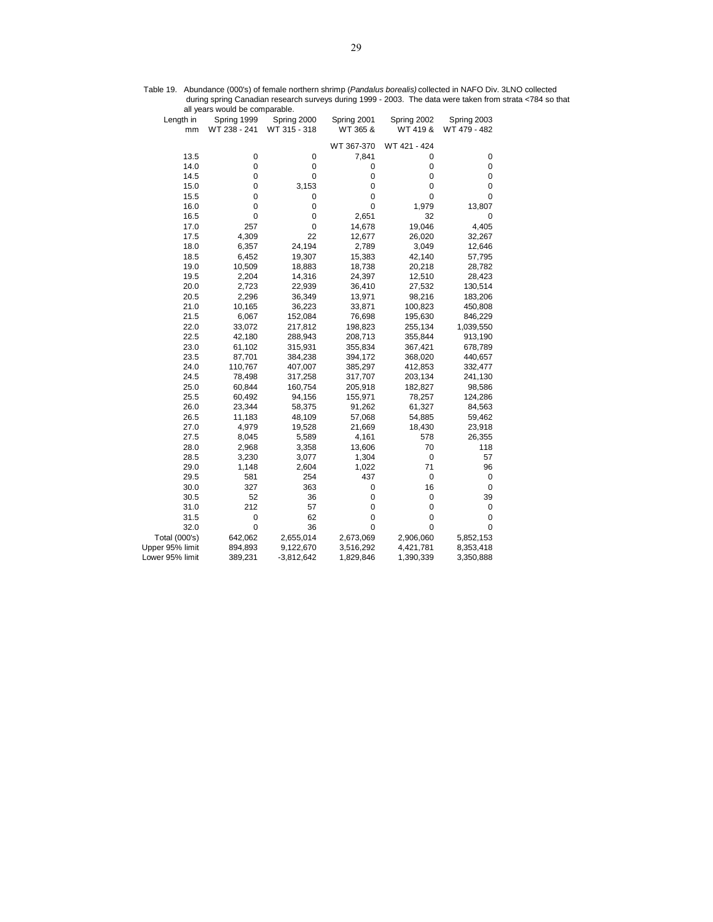|                 | all years would be comparable. |              |             |              |              |
|-----------------|--------------------------------|--------------|-------------|--------------|--------------|
| Length in       | Spring 1999                    | Spring 2000  | Spring 2001 | Spring 2002  | Spring 2003  |
| mm              | WT 238 - 241                   | WT 315 - 318 | WT 365 &    | WT 419 &     | WT 479 - 482 |
|                 |                                |              | WT 367-370  | WT 421 - 424 |              |
| 13.5            | $\pmb{0}$                      | 0            | 7,841       | 0            | 0            |
| 14.0            | $\pmb{0}$                      | 0            | 0           | 0            | 0            |
| 14.5            | $\pmb{0}$                      | 0            | 0           | 0            | 0            |
| 15.0            | 0                              | 3,153        | 0           | 0            | 0            |
| 15.5            | 0                              | 0            | 0           | $\mathbf 0$  | 0            |
| 16.0            | 0                              | 0            | 0           | 1,979        | 13,807       |
| 16.5            | $\pmb{0}$                      | 0            | 2,651       | 32           | 0            |
| 17.0            | 257                            | 0            | 14,678      | 19,046       | 4,405        |
| 17.5            | 4,309                          | 22           | 12,677      | 26,020       | 32,267       |
| 18.0            | 6,357                          | 24,194       | 2,789       | 3,049        | 12,646       |
| 18.5            | 6,452                          | 19,307       | 15,383      | 42,140       | 57,795       |
| 19.0            | 10,509                         | 18,883       | 18,738      | 20,218       | 28,782       |
| 19.5            | 2,204                          | 14,316       | 24,397      | 12,510       | 28,423       |
| 20.0            | 2,723                          | 22,939       | 36,410      | 27,532       | 130,514      |
| 20.5            | 2,296                          | 36,349       | 13,971      | 98,216       | 183,206      |
| 21.0            | 10,165                         | 36,223       | 33,871      | 100,823      | 450,808      |
| 21.5            | 6,067                          | 152,084      | 76,698      | 195,630      | 846,229      |
| 22.0            | 33,072                         | 217,812      | 198,823     | 255,134      | 1,039,550    |
| 22.5            | 42,180                         | 288,943      | 208,713     | 355,844      | 913,190      |
| 23.0            | 61,102                         | 315,931      | 355,834     | 367,421      | 678,789      |
| 23.5            | 87,701                         | 384,238      | 394,172     | 368,020      | 440,657      |
| 24.0            | 110,767                        | 407,007      | 385,297     | 412,853      | 332,477      |
| 24.5            | 78,498                         | 317,258      | 317,707     | 203,134      | 241,130      |
| 25.0            | 60,844                         | 160,754      | 205,918     | 182,827      | 98,586       |
| 25.5            | 60,492                         | 94,156       | 155,971     | 78,257       | 124,286      |
| 26.0            | 23,344                         | 58,375       | 91,262      | 61,327       | 84,563       |
| 26.5            | 11,183                         | 48,109       | 57,068      | 54,885       | 59,462       |
| 27.0            | 4,979                          | 19,528       | 21,669      | 18,430       | 23,918       |
| 27.5            | 8,045                          | 5,589        | 4,161       | 578          | 26,355       |
| 28.0            | 2,968                          | 3,358        | 13,606      | 70           | 118          |
| 28.5            | 3,230                          | 3,077        | 1,304       | 0            | 57           |
| 29.0            | 1,148                          | 2,604        | 1,022       | 71           | 96           |
| 29.5            | 581                            | 254          | 437         | $\pmb{0}$    | 0            |
| 30.0            | 327                            | 363          | 0           | 16           | $\pmb{0}$    |
| 30.5            | 52                             | 36           | 0           | 0            | 39           |
| 31.0            | 212                            | 57           | 0           | 0            | 0            |
| 31.5            | $\pmb{0}$                      | 62           | 0           | 0            | 0            |
| 32.0            | $\mathbf 0$                    | 36           | 0           | 0            | 0            |
| Total (000's)   | 642,062                        | 2,655,014    | 2,673,069   | 2,906,060    | 5,852,153    |
| Upper 95% limit | 894,893                        | 9,122,670    | 3,516,292   | 4,421,781    | 8,353,418    |
| Lower 95% limit | 389,231                        | $-3,812,642$ | 1,829,846   | 1,390,339    | 3,350,888    |

Table 19. Abundance (000's) of female northern shrimp (*Pandalus borealis)* collected in NAFO Div. 3LNO collected during spring Canadian research surveys during 1999 - 2003. The data were taken from strata <784 so that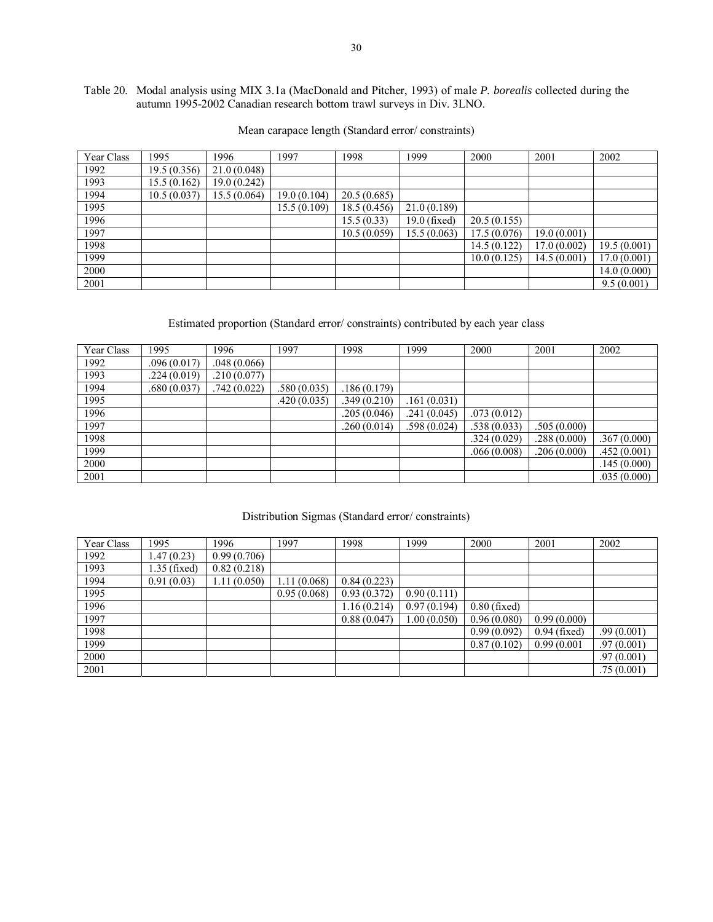# Table 20. Modal analysis using MIX 3.1a (MacDonald and Pitcher, 1993) of male *P. borealis* collected during the autumn 1995-2002 Canadian research bottom trawl surveys in Div. 3LNO.

| Year Class | 1995         | 1996        | 1997         | 1998        | 1999         | 2000        | 2001        | 2002        |
|------------|--------------|-------------|--------------|-------------|--------------|-------------|-------------|-------------|
| 1992       | 19.5 (0.356) | 21.0(0.048) |              |             |              |             |             |             |
| 1993       | 15.5(0.162)  | 19.0(0.242) |              |             |              |             |             |             |
| 1994       | 10.5(0.037)  | 15.5(0.064) | 19.0 (0.104) | 20.5(0.685) |              |             |             |             |
| 1995       |              |             | 15.5(0.109)  | 18.5(0.456) | 21.0(0.189)  |             |             |             |
| 1996       |              |             |              | 15.5(0.33)  | 19.0 (fixed) | 20.5(0.155) |             |             |
| 1997       |              |             |              | 10.5(0.059) | 15.5 (0.063) | 17.5(0.076) | 19.0(0.001) |             |
| 1998       |              |             |              |             |              | 14.5(0.122) | 17.0(0.002) | 19.5(0.001) |
| 1999       |              |             |              |             |              | 10.0(0.125) | 14.5(0.001) | 17.0(0.001) |
| 2000       |              |             |              |             |              |             |             | 14.0(0.000) |
| 2001       |              |             |              |             |              |             |             | 9.5(0.001)  |

# Mean carapace length (Standard error/ constraints)

# Estimated proportion (Standard error/ constraints) contributed by each year class

| Year Class | 1995        | 1996        | 1997        | 1998        | 1999        | 2000        | 2001        | 2002        |
|------------|-------------|-------------|-------------|-------------|-------------|-------------|-------------|-------------|
| 1992       | .096(0.017) | .048(0.066) |             |             |             |             |             |             |
| 1993       | .224(0.019) | .210(0.077) |             |             |             |             |             |             |
| 1994       | .680(0.037) | .742(0.022) | .580(0.035) | .186(0.179) |             |             |             |             |
| 1995       |             |             | .420(0.035) | .349(0.210) | .161(0.031) |             |             |             |
| 1996       |             |             |             | .205(0.046) | .241(0.045) | .073(0.012) |             |             |
| 1997       |             |             |             | .260(0.014) | .598(0.024) | .538(0.033) | .505(0.000) |             |
| 1998       |             |             |             |             |             | .324(0.029) | .288(0.000) | .367(0.000) |
| 1999       |             |             |             |             |             | .066(0.008) | .206(0.000) | .452(0.001) |
| 2000       |             |             |             |             |             |             |             | .145(0.000) |
| 2001       |             |             |             |             |             |             |             | .035(0.000) |

# Distribution Sigmas (Standard error/ constraints)

| Year Class | 1995          | 1996        | 1997         | 1998        | 1999        | 2000           | 2001           | 2002       |
|------------|---------------|-------------|--------------|-------------|-------------|----------------|----------------|------------|
| 1992       | .47(0.23)     | 0.99(0.706) |              |             |             |                |                |            |
| 1993       | $.35$ (fixed) | 0.82(0.218) |              |             |             |                |                |            |
| 1994       | 0.91(0.03)    | 1.11(0.050) | 1.11 (0.068) | 0.84(0.223) |             |                |                |            |
| 1995       |               |             | 0.95(0.068)  | 0.93(0.372) | 0.90(0.111) |                |                |            |
| 1996       |               |             |              | 1.16(0.214) | 0.97(0.194) | $0.80$ (fixed) |                |            |
| 1997       |               |             |              | 0.88(0.047) | 1.00(0.050) | 0.96(0.080)    | 0.99(0.000)    |            |
| 1998       |               |             |              |             |             | 0.99(0.092)    | $0.94$ (fixed) | .99(0.001) |
| 1999       |               |             |              |             |             | 0.87(0.102)    | 0.99(0.001)    | .97(0.001) |
| 2000       |               |             |              |             |             |                |                | .97(0.001) |
| 2001       |               |             |              |             |             |                |                | .75(0.001) |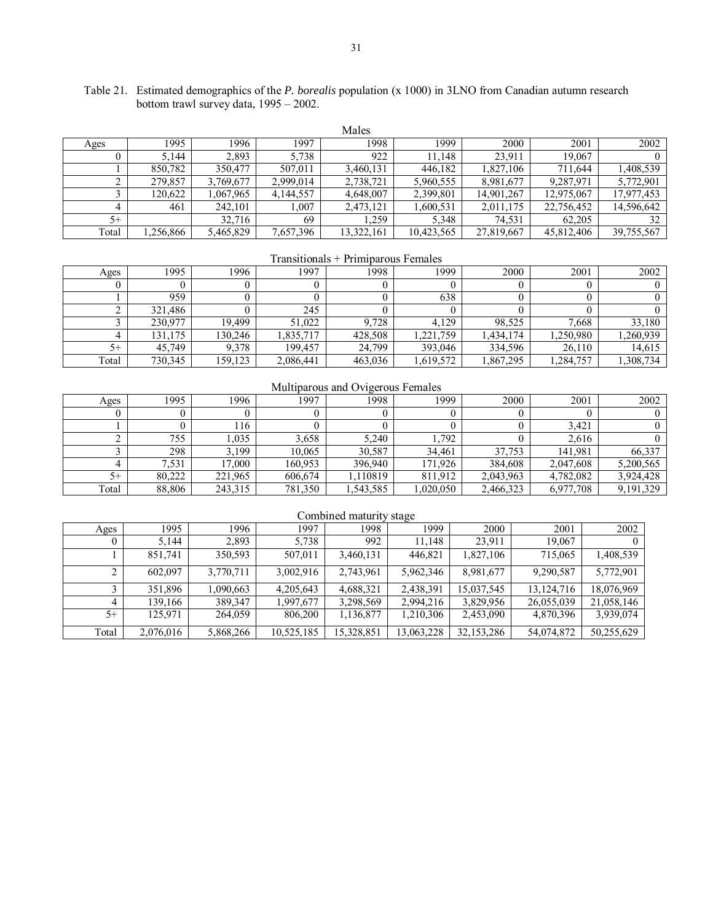| Table 21. Estimated demographics of the <i>P. borealis</i> population (x 1000) in 3LNO from Canadian autumn research |
|----------------------------------------------------------------------------------------------------------------------|
| bottom trawl survey data, $1995 - 2002$ .                                                                            |

|       | Males    |           |           |            |            |            |            |            |  |  |
|-------|----------|-----------|-----------|------------|------------|------------|------------|------------|--|--|
| Ages  | 1995     | 1996      | 1997      | 1998       | 1999       | 2000       | 2001       | 2002       |  |  |
|       | 5.144    | 2,893     | 5,738     | 922        | 11.148     | 23.911     | 19,067     |            |  |  |
|       | 850.782  | 350,477   | 507,011   | 3,460,131  | 446,182    | 1,827,106  | 711.644    | 1,408,539  |  |  |
|       | 279,857  | 3,769,677 | 2,999,014 | 2,738,721  | 5,960,555  | 8,981,677  | 9,287,971  | 5,772,901  |  |  |
|       | 120.622  | .067.965  | 4,144,557 | 4.648.007  | 2,399,801  | 14.901.267 | 12.975.067 | 17,977,453 |  |  |
|       | 461      | 242,101   | .007      | 2,473,121  | 1,600,531  | 2,011,175  | 22,756,452 | 14,596,642 |  |  |
| $5+$  |          | 32,716    | 69        | .259       | 5.348      | 74,531     | 62.205     | 32         |  |  |
| Total | .256,866 | 5,465,829 | 7,657,396 | 13,322,161 | 10,423,565 | 27,819,667 | 45,812,406 | 39,755,567 |  |  |

Transitionals + Primiparous Females

| Ages  | 1995    | 1996    | 1997      | 1998    | 1999     | 2000      | 2001     | 2002     |
|-------|---------|---------|-----------|---------|----------|-----------|----------|----------|
|       |         |         |           |         |          |           |          |          |
|       | 959     |         |           |         | 638      |           |          |          |
|       | 321,486 |         | 245       |         |          |           |          |          |
|       | 230,977 | 19.499  | 51,022    | 9,728   | 4.129    | 98,525    | 7,668    | 33,180   |
|       | 131,175 | 130,246 | ,835,717  | 428,508 | 221,759  | 1,434,174 | ,250,980 | ,260,939 |
| $5+$  | 45,749  | 9,378   | 199.457   | 24,799  | 393.046  | 334.596   | 26,110   | 14,615   |
| Total | 730,345 | 159.123 | 2,086,441 | 463,036 | .619,572 | 1,867,295 | ,284,757 | .308,734 |

# Multiparous and Ovigerous Females

| Ages  | 1995   | 1996    | 1997    | 1998    | 1999     | 2000      | 2001      | 2002      |
|-------|--------|---------|---------|---------|----------|-----------|-----------|-----------|
|       |        |         |         |         |          |           |           |           |
|       |        | 116     |         |         |          |           | 3,421     |           |
|       | 755    | .035    | 3,658   | 5.240   | .792     |           | 2.616     |           |
|       | 298    | 199     | 10.065  | 30,587  | 34,461   | 37,753    | 141.981   | 66,337    |
|       | .531   | 7.000   | 160.953 | 396,940 | 171,926  | 384.608   | 2,047,608 | 5,200,565 |
| $5+$  | 80.222 | 221,965 | 606.674 | 10819   | 811.912  | 2,043,963 | 4,782,082 | 3,924,428 |
| Total | 88,806 | 243,315 | 781,350 | 543,585 | ,020,050 | 2,466,323 | 6,977,708 | 9,191,329 |

|       | Combined maturity stage |           |            |            |            |              |              |            |  |  |
|-------|-------------------------|-----------|------------|------------|------------|--------------|--------------|------------|--|--|
| Ages  | 1995                    | 1996      | 1997       | 1998       | 1999       | 2000         | 2001         | 2002       |  |  |
|       | 5,144                   | 2,893     | 5,738      | 992        | 11.148     | 23,911       | 19,067       |            |  |  |
|       | 851,741                 | 350,593   | 507,011    | 3,460,131  | 446,821    | 1,827,106    | 715,065      | 1,408,539  |  |  |
|       | 602.097                 | 3,770,711 | 3,002,916  | 2,743,961  | 5,962,346  | 8,981,677    | 9,290,587    | 5,772,901  |  |  |
|       | 351,896                 | 1,090,663 | 4,205,643  | 4,688,321  | 2,438,391  | 15,037,545   | 13, 124, 716 | 18,076,969 |  |  |
|       | 139,166                 | 389,347   | 1,997,677  | 3,298,569  | 2,994,216  | 3,829,956    | 26,055,039   | 21,058,146 |  |  |
| $5+$  | 125,971                 | 264,059   | 806,200    | 1,136,877  | 1,210,306  | 2,453,090    | 4,870,396    | 3,939,074  |  |  |
| Total | 2,076,016               | 5,868,266 | 10,525,185 | 15,328,851 | 13,063,228 | 32, 153, 286 | 54,074,872   | 50,255,629 |  |  |

# Combined maturity stage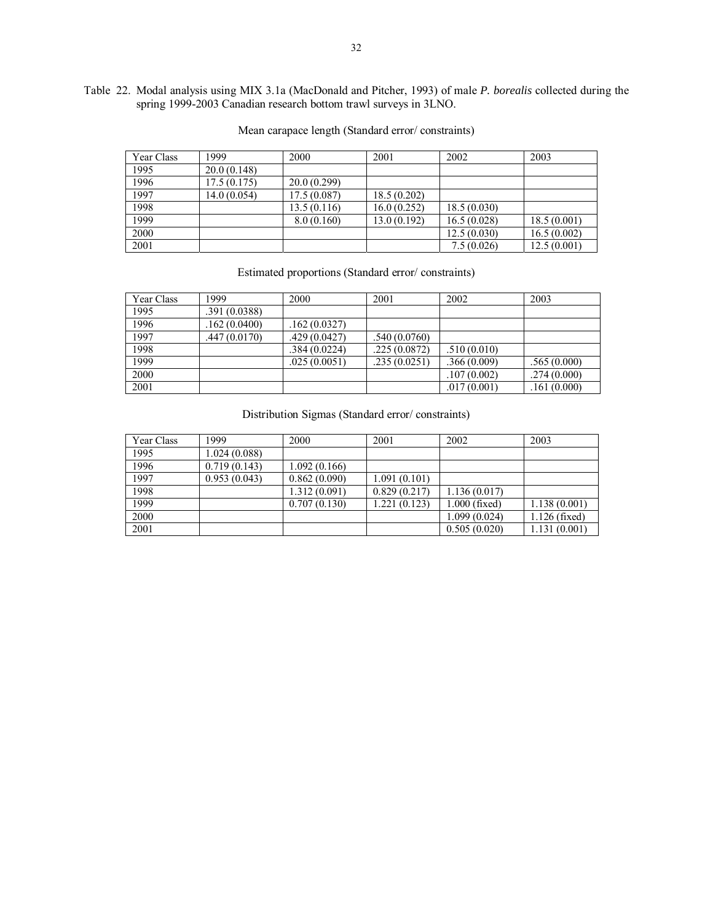# Table 22. Modal analysis using MIX 3.1a (MacDonald and Pitcher, 1993) of male *P. borealis* collected during the spring 1999-2003 Canadian research bottom trawl surveys in 3LNO.

| Year Class | 1999         | 2000        | 2001        | 2002        | 2003        |
|------------|--------------|-------------|-------------|-------------|-------------|
| 1995       | 20.0(0.148)  |             |             |             |             |
| 1996       | 17.5(0.175)  | 20.0(0.299) |             |             |             |
| 1997       | 14.0 (0.054) | 17.5(0.087) | 18.5(0.202) |             |             |
| 1998       |              | 13.5(0.116) | 16.0(0.252) | 18.5(0.030) |             |
| 1999       |              | 8.0(0.160)  | 13.0(0.192) | 16.5(0.028) | 18.5(0.001) |
| 2000       |              |             |             | 12.5(0.030) | 16.5(0.002) |
| 2001       |              |             |             | 7.5(0.026)  | 12.5(0.001) |

# Mean carapace length (Standard error/ constraints)

## Estimated proportions (Standard error/ constraints)

| Year Class | 1999          | 2000          | 2001         | 2002         | 2003        |
|------------|---------------|---------------|--------------|--------------|-------------|
| 1995       | .391 (0.0388) |               |              |              |             |
| 1996       | .162(0.0400)  | .162 (0.0327) |              |              |             |
| 1997       | .447 (0.0170) | .429(0.0427)  | .540(0.0760) |              |             |
| 1998       |               | .384(0.0224)  | .225(0.0872) | .510(0.010)  |             |
| 1999       |               | .025(0.0051)  | .235(0.0251) | .366(0.009)  | .565(0.000) |
| 2000       |               |               |              | .107(0.002)  | .274(0.000) |
| 2001       |               |               |              | .017 (0.001) | .161(0.000) |

# Distribution Sigmas (Standard error/ constraints)

| Year Class | 1999         | 2000         | 2001         | 2002            | 2003            |
|------------|--------------|--------------|--------------|-----------------|-----------------|
| 1995       | 1.024(0.088) |              |              |                 |                 |
| 1996       | 0.719(0.143) | 1.092(0.166) |              |                 |                 |
| 1997       | 0.953(0.043) | 0.862(0.090) | 1.091(0.101) |                 |                 |
| 1998       |              | 1.312(0.091) | 0.829(0.217) | 1.136(0.017)    |                 |
| 1999       |              | 0.707(0.130) | .221(0.123)  | $1.000$ (fixed) | 1.138(0.001)    |
| 2000       |              |              |              | 1.099 (0.024)   | $1.126$ (fixed) |
| 2001       |              |              |              | 0.505(0.020)    | 1.131(0.001)    |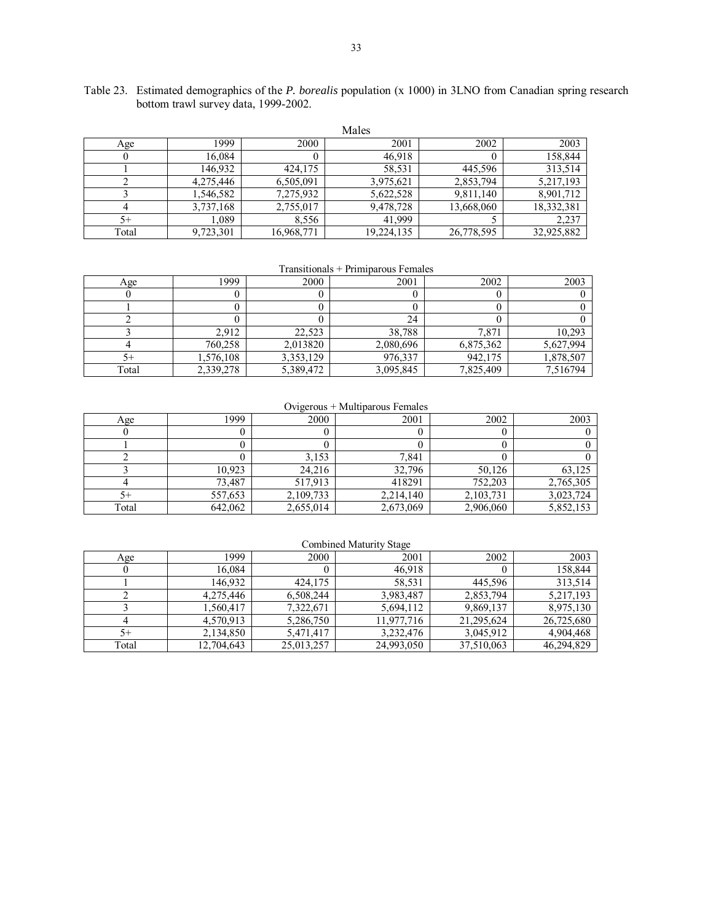|       |           |            | Males      |            |            |
|-------|-----------|------------|------------|------------|------------|
| Age   | 1999      | 2000       | 2001       | 2002       | 2003       |
|       | 16,084    | 0          | 46,918     |            | 158,844    |
|       | 146.932   | 424.175    | 58,531     | 445.596    | 313,514    |
|       | 4,275,446 | 6,505,091  | 3,975,621  | 2,853,794  | 5,217,193  |
|       | 1,546,582 | 7,275,932  | 5,622,528  | 9,811,140  | 8,901,712  |
|       | 3,737,168 | 2,755,017  | 9,478,728  | 13,668,060 | 18,332,381 |
| $5+$  | 1,089     | 8,556      | 41.999     |            | 2,237      |
| Total | 9,723,301 | 16,968,771 | 19,224,135 | 26,778,595 | 32,925,882 |

Table 23. Estimated demographics of the *P. borealis* population (x 1000) in 3LNO from Canadian spring research bottom trawl survey data, 1999-2002.

Transitionals + Primiparous Females

| Age   | 1999      | 2000      | 2001      | 2002      | 2003      |
|-------|-----------|-----------|-----------|-----------|-----------|
|       |           |           |           |           |           |
|       |           |           |           |           |           |
|       |           |           | 24        |           |           |
|       | 2.912     | 22,523    | 38,788    | 7,871     | 10,293    |
|       | 760,258   | 2,013820  | 2,080,696 | 6,875,362 | 5,627,994 |
| 5+    | 1,576,108 | 3,353,129 | 976,337   | 942,175   | 1,878,507 |
| Total | 2,339,278 | 5,389,472 | 3,095,845 | 7,825,409 | 7,516794  |

## Ovigerous + Multiparous Females

| Age   | 1999    | 2000      | 2001      | 2002        | 2003      |
|-------|---------|-----------|-----------|-------------|-----------|
|       |         |           |           |             |           |
|       |         |           |           |             |           |
|       |         | 3,153     | 7,841     |             |           |
|       | 10,923  | 24,216    | 32,796    | 50,126      | 63,125    |
|       | 73,487  | 517,913   | 418291    | 752,203     | 2,765,305 |
| 5+    | 557,653 | 2,109,733 | 2,214,140 | 2, 103, 731 | 3,023,724 |
| Total | 642,062 | 2,655,014 | 2,673,069 | 2,906,060   | 5,852,153 |

## Combined Maturity Stage

| Age   | 1999       | 2000       | 2001       | 2002       | 2003       |
|-------|------------|------------|------------|------------|------------|
|       | 16,084     |            | 46,918     |            | 158,844    |
|       | 146.932    | 424,175    | 58.531     | 445.596    | 313,514    |
|       | 4,275,446  | 6.508.244  | 3,983,487  | 2,853,794  | 5,217,193  |
|       | 1,560,417  | 7,322,671  | 5,694,112  | 9,869,137  | 8,975,130  |
|       | 4,570,913  | 5,286,750  | 11,977,716 | 21,295,624 | 26,725,680 |
| 5+    | 2,134,850  | 5,471,417  | 3.232.476  | 3,045,912  | 4,904,468  |
| Total | 12,704,643 | 25,013,257 | 24.993.050 | 37,510,063 | 46,294,829 |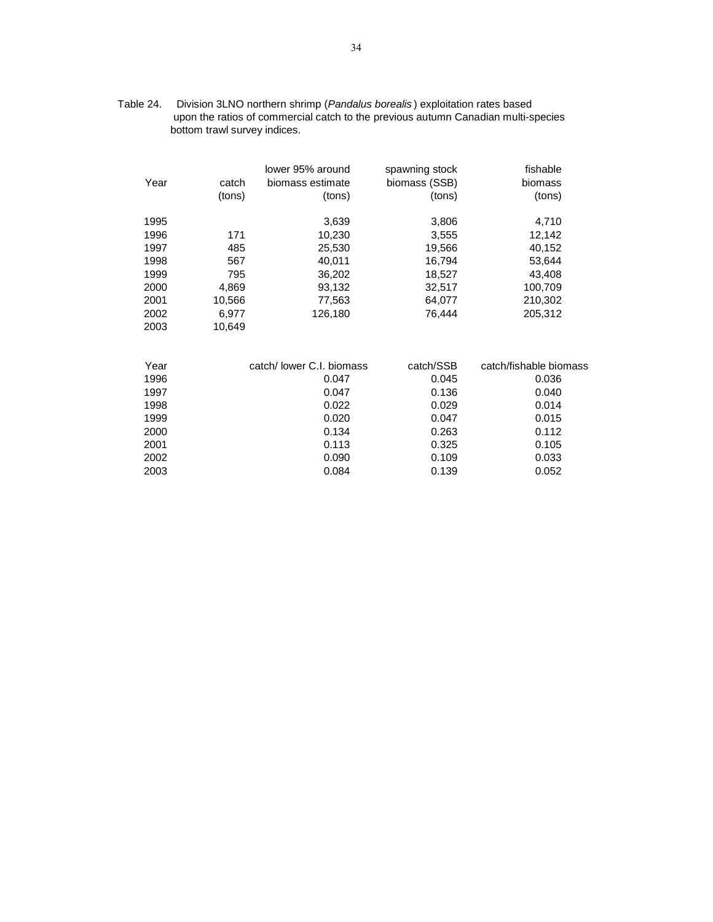| Table 24. | Division 3LNO northern shrimp (Pandalus borealis) exploitation rates based        |
|-----------|-----------------------------------------------------------------------------------|
|           | upon the ratios of commercial catch to the previous autumn Canadian multi-species |
|           | bottom trawl survey indices.                                                      |

|      |        | lower 95% around          | spawning stock | fishable               |
|------|--------|---------------------------|----------------|------------------------|
| Year | catch  | biomass estimate          | biomass (SSB)  | biomass                |
|      | (tons) | (tons)                    | (tons)         | (tons)                 |
| 1995 |        | 3,639                     | 3,806          | 4,710                  |
| 1996 | 171    | 10,230                    | 3,555          | 12,142                 |
| 1997 | 485    | 25,530                    | 19,566         | 40,152                 |
| 1998 | 567    | 40,011                    | 16,794         | 53,644                 |
| 1999 | 795    | 36,202                    | 18,527         | 43,408                 |
| 2000 | 4,869  | 93,132                    | 32,517         | 100,709                |
| 2001 | 10,566 | 77,563                    | 64,077         | 210,302                |
| 2002 | 6,977  | 126,180                   | 76,444         | 205,312                |
| 2003 | 10,649 |                           |                |                        |
| Year |        | catch/ lower C.I. biomass | catch/SSB      | catch/fishable biomass |
| 1996 |        | 0.047                     | 0.045          | 0.036                  |
| 1997 |        | 0.047                     | 0.136          | 0.040                  |
| 1998 |        | 0.022                     | 0.029          | 0.014                  |
| 1999 |        | 0.020                     | 0.047          | 0.015                  |
| 2000 |        | 0.134                     | 0.263          | 0.112                  |
| 2001 |        | 0.113                     | 0.325          | 0.105                  |
| 2002 |        | 0.090                     | 0.109          | 0.033                  |
|      |        |                           |                |                        |

2003 0.084 0.139 0.052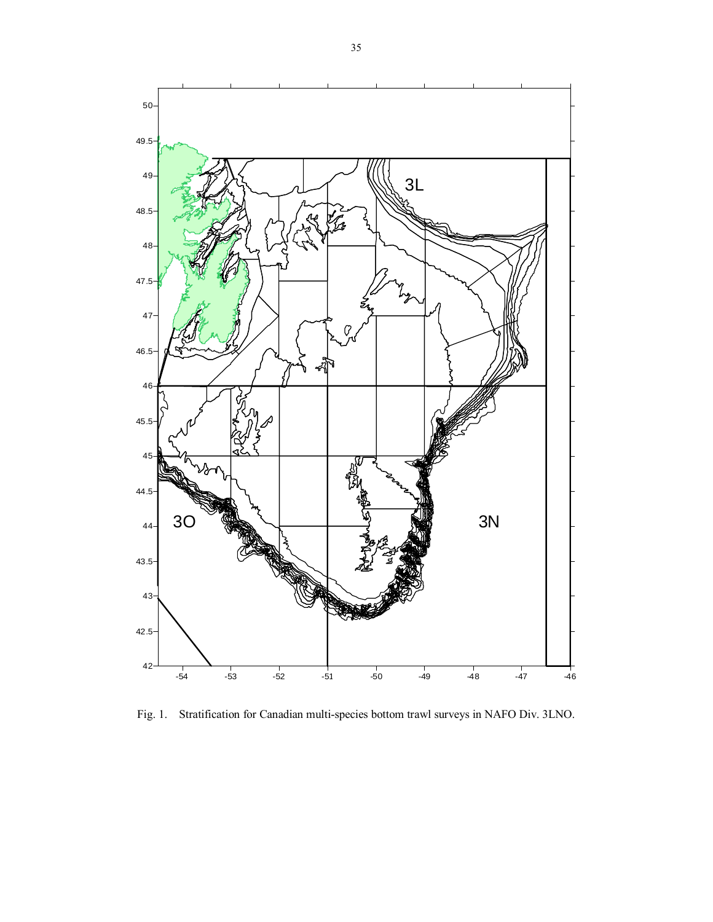

Fig. 1. Stratification for Canadian multi-species bottom trawl surveys in NAFO Div. 3LNO.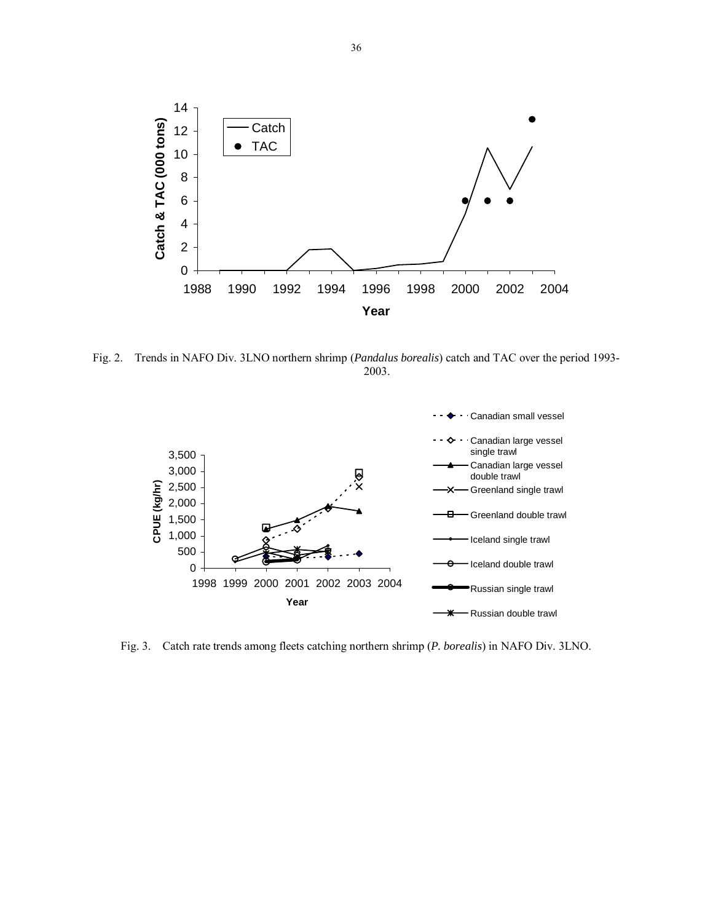

Fig. 2. Trends in NAFO Div. 3LNO northern shrimp (*Pandalus borealis*) catch and TAC over the period 1993- 2003.



Fig. 3. Catch rate trends among fleets catching northern shrimp (*P. borealis*) in NAFO Div. 3LNO.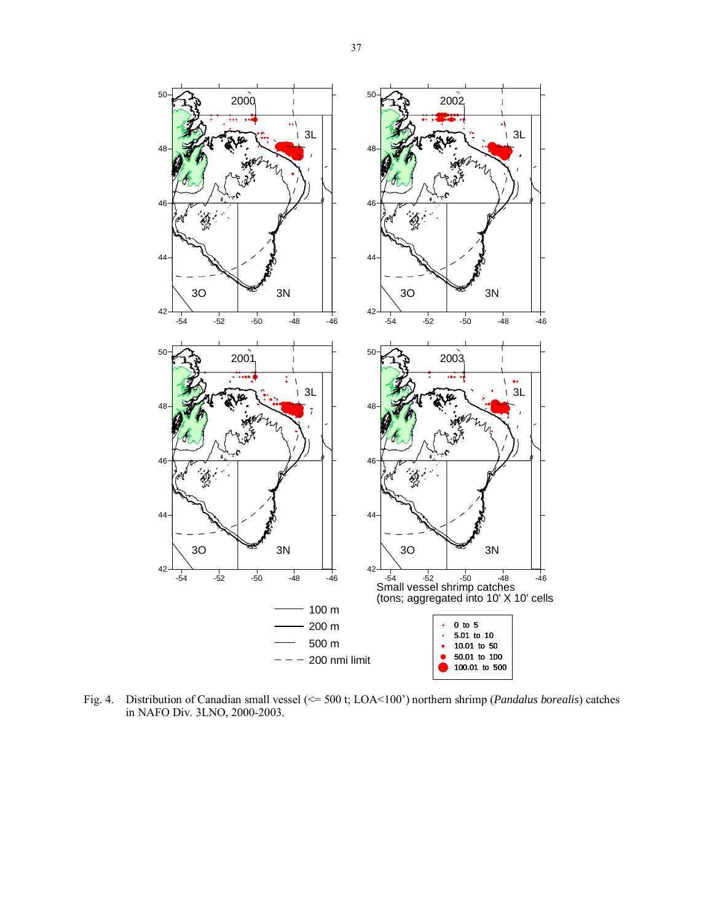

Fig. 4. Distribution of Canadian small vessel (<= 500 t; LOA<100') northern shrimp (*Pandalus borealis*) catches in NAFO Div. 3LNO, 2000-2003.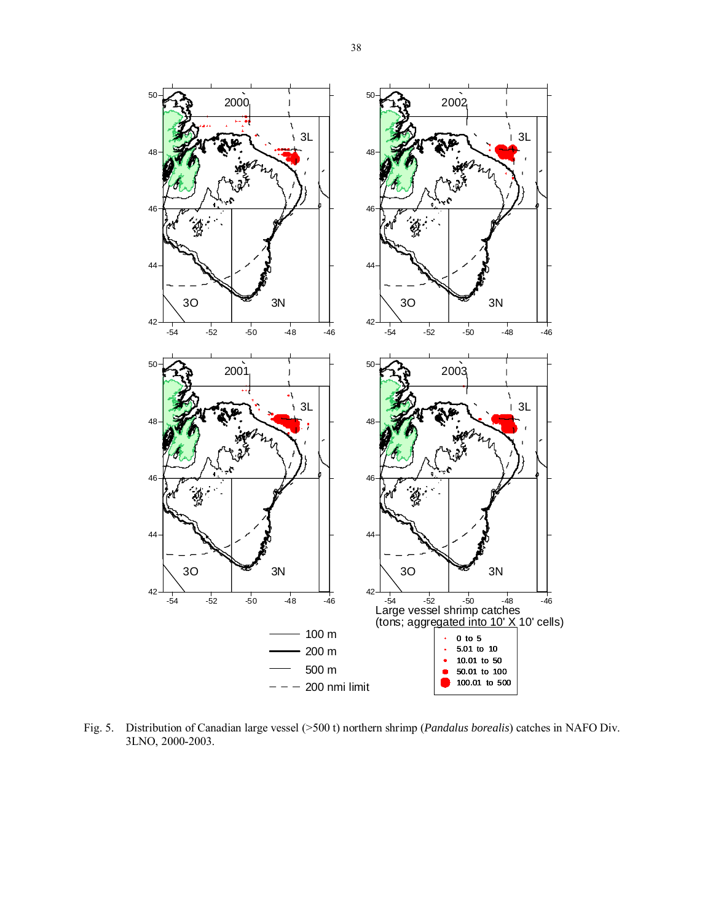

Fig. 5. Distribution of Canadian large vessel (>500 t) northern shrimp (*Pandalus borealis*) catches in NAFO Div. 3LNO, 2000-2003.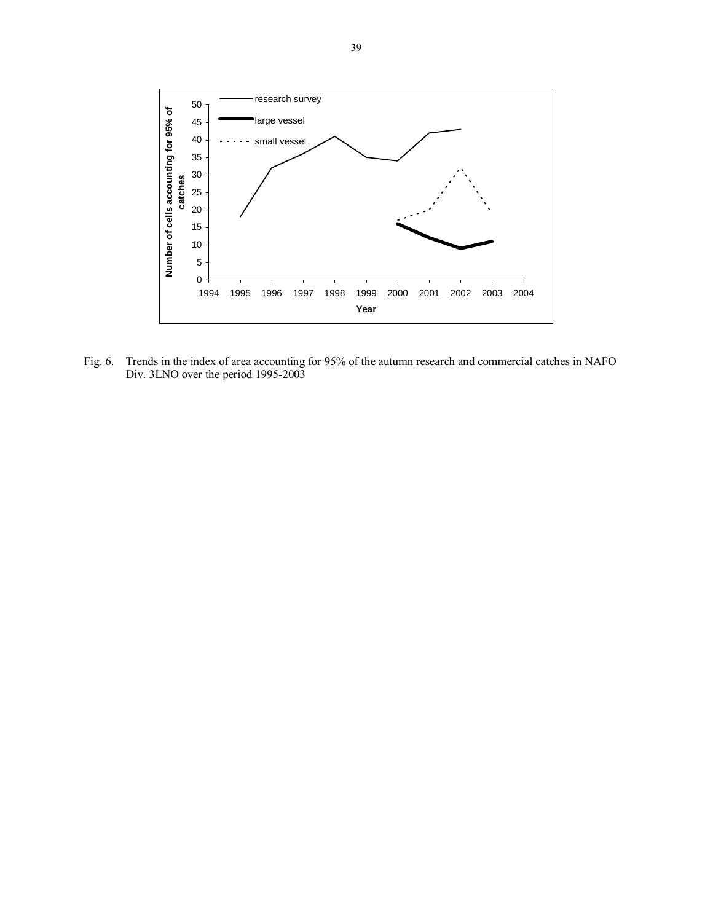

Fig. 6. Trends in the index of area accounting for 95% of the autumn research and commercial catches in NAFO Div. 3LNO over the period 1995-2003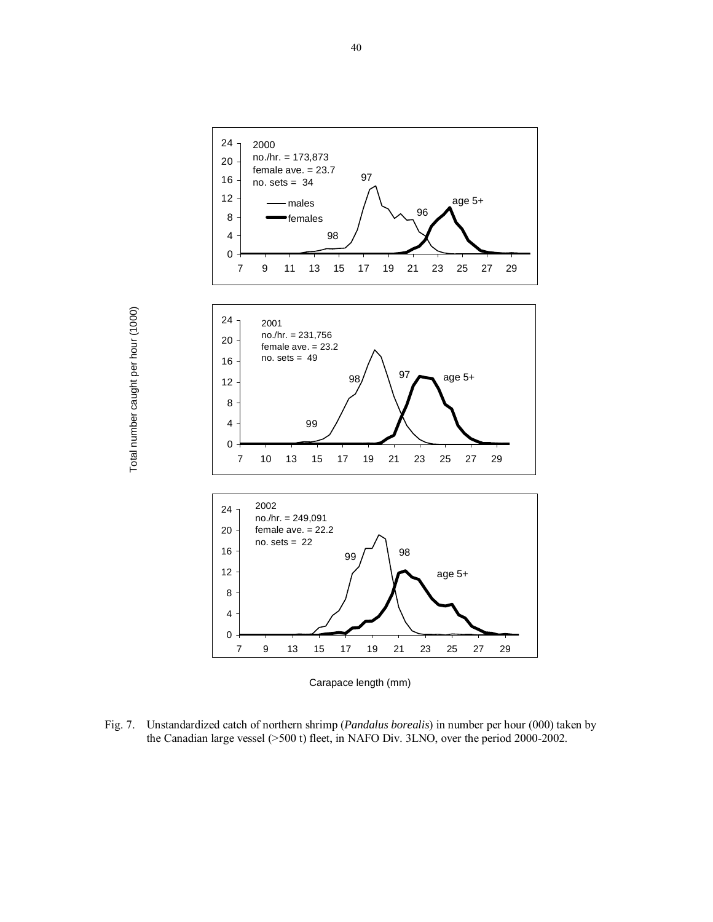

Carapace length (mm)

Fig. 7. Unstandardized catch of northern shrimp (*Pandalus borealis*) in number per hour (000) taken by the Canadian large vessel (>500 t) fleet, in NAFO Div. 3LNO, over the period 2000-2002.

Total number caught per hour (1000) Total number caught per hour (1000)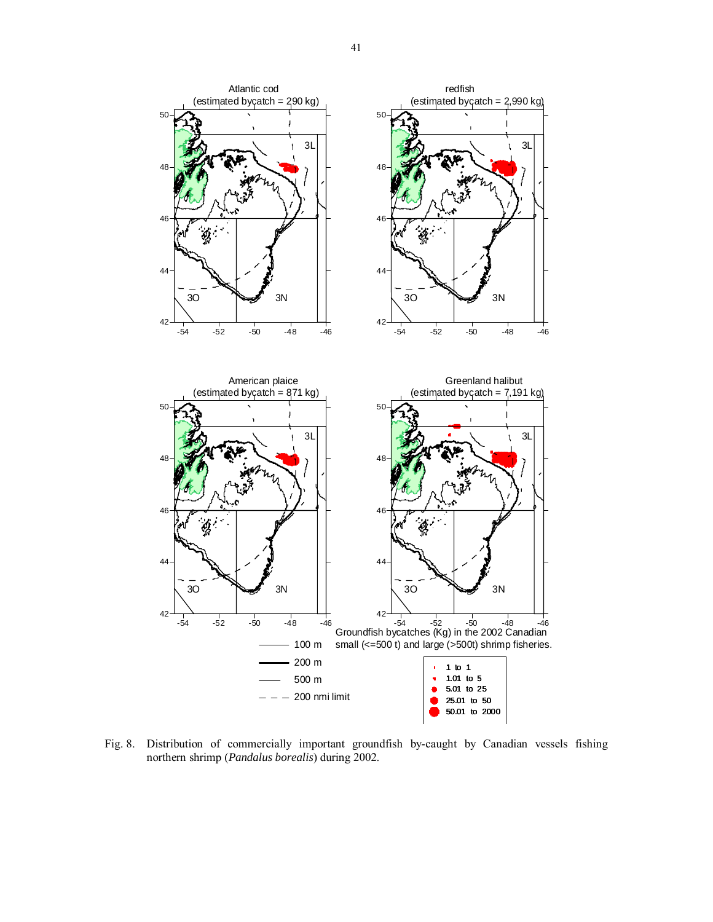

Fig. 8. Distribution of commercially important groundfish by-caught by Canadian vessels fishing northern shrimp (*Pandalus borealis*) during 2002.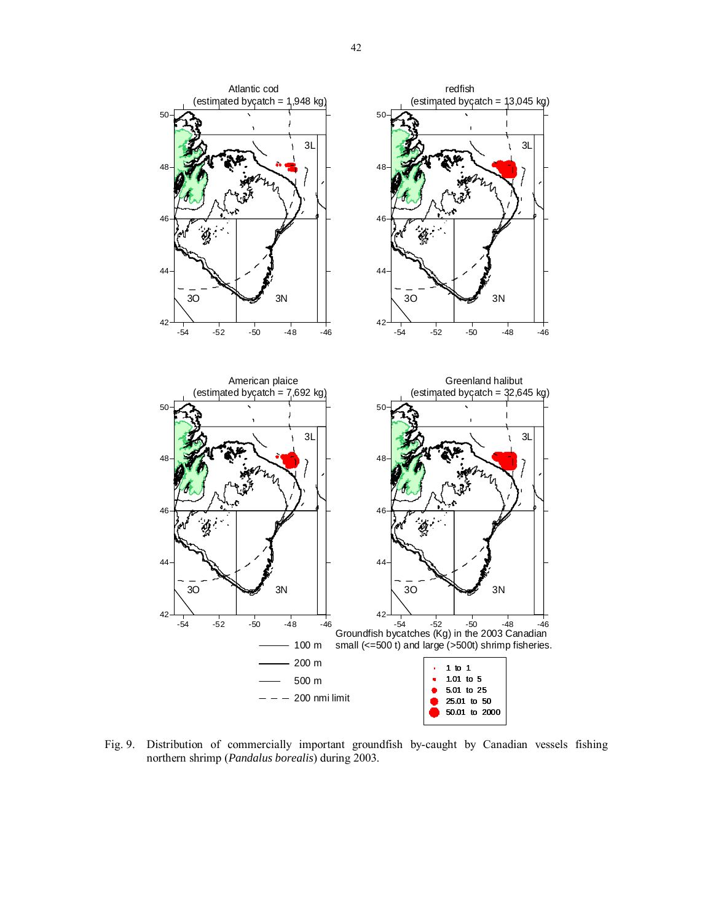

Fig. 9. Distribution of commercially important groundfish by-caught by Canadian vessels fishing northern shrimp (*Pandalus borealis*) during 2003.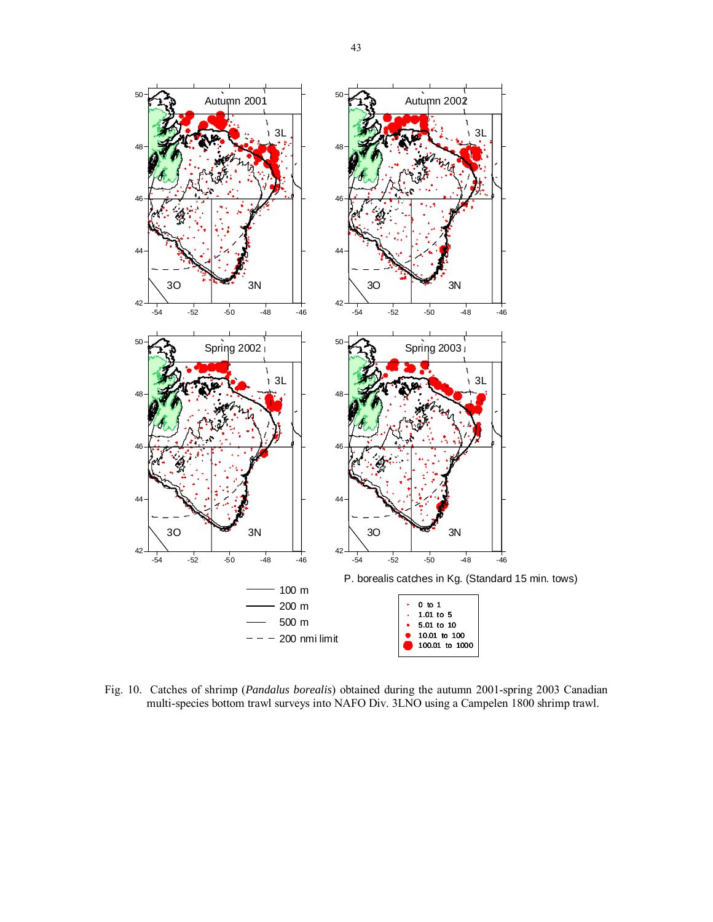

Fig. 10. Catches of shrimp (*Pandalus borealis*) obtained during the autumn 2001-spring 2003 Canadian multi-species bottom trawl surveys into NAFO Div. 3LNO using a Campelen 1800 shrimp trawl.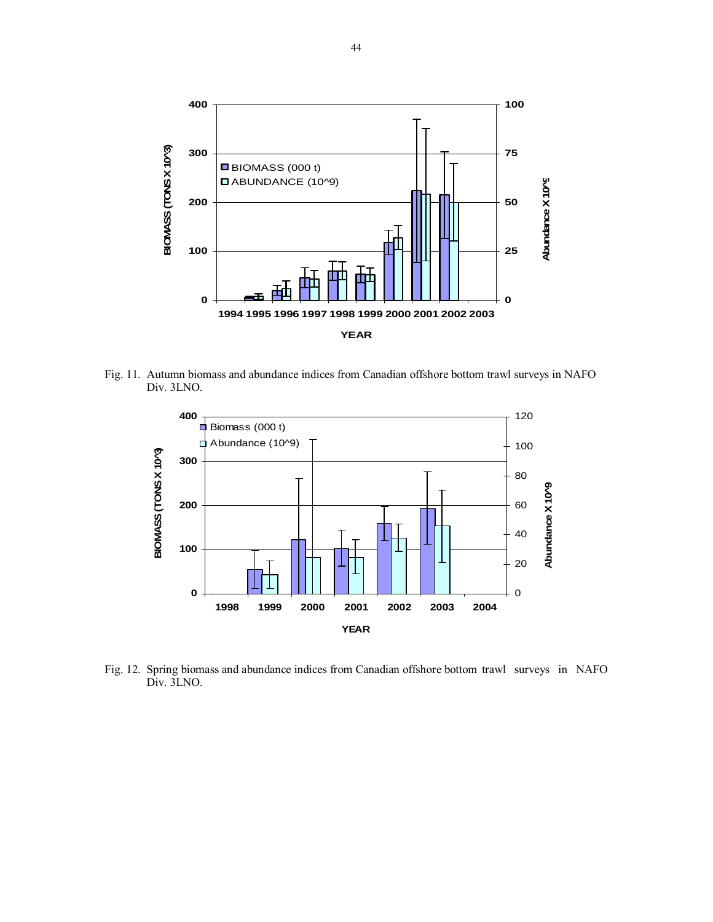

Fig. 11. Autumn biomass and abundance indices from Canadian offshore bottom trawl surveys in NAFO Div. 3LNO.



Fig. 12. Spring biomass and abundance indices from Canadian offshore bottom trawl surveys in NAFO Div. 3LNO.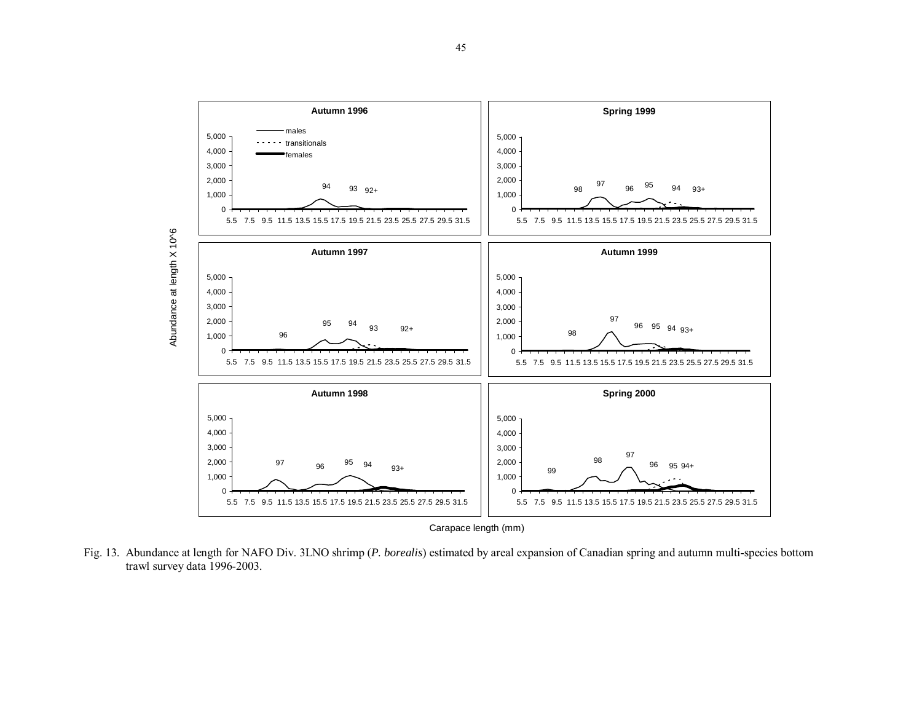

Fig. 13. Abundance at length for NAFO Div. 3LNO shrimp (*P. borealis*) estimated by areal expansion of Canadian spring and autumn multi-species bottom trawl survey data 1996-2003.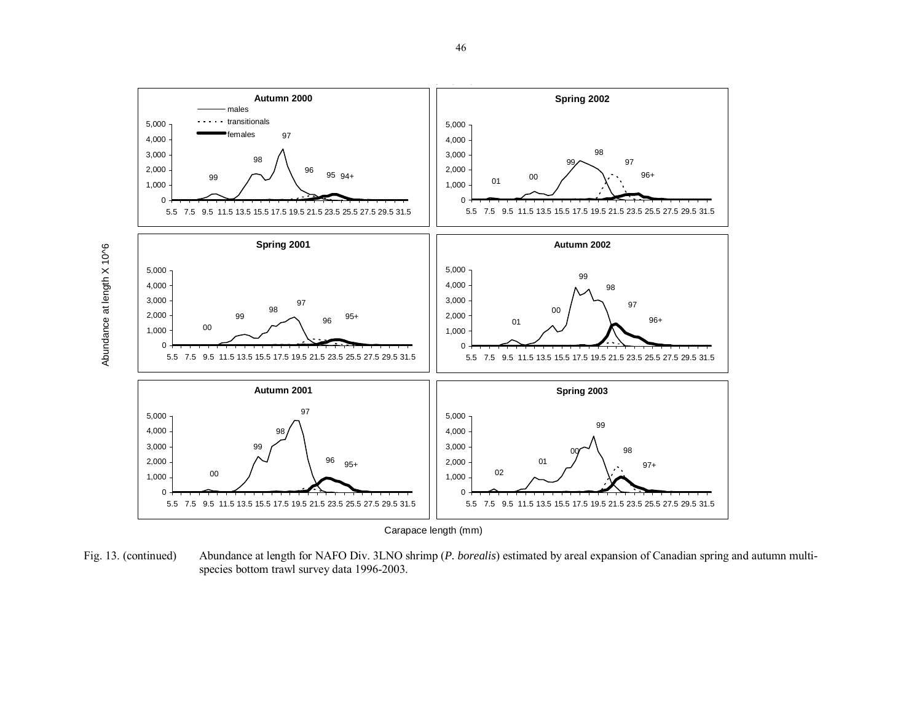

Fig. 13. (continued) Abundance at length for NAFO Div. 3LNO shrimp (*P. borealis*) estimated by areal expansion of Canadian spring and autumn multispecies bottom trawl survey data 1996-2003.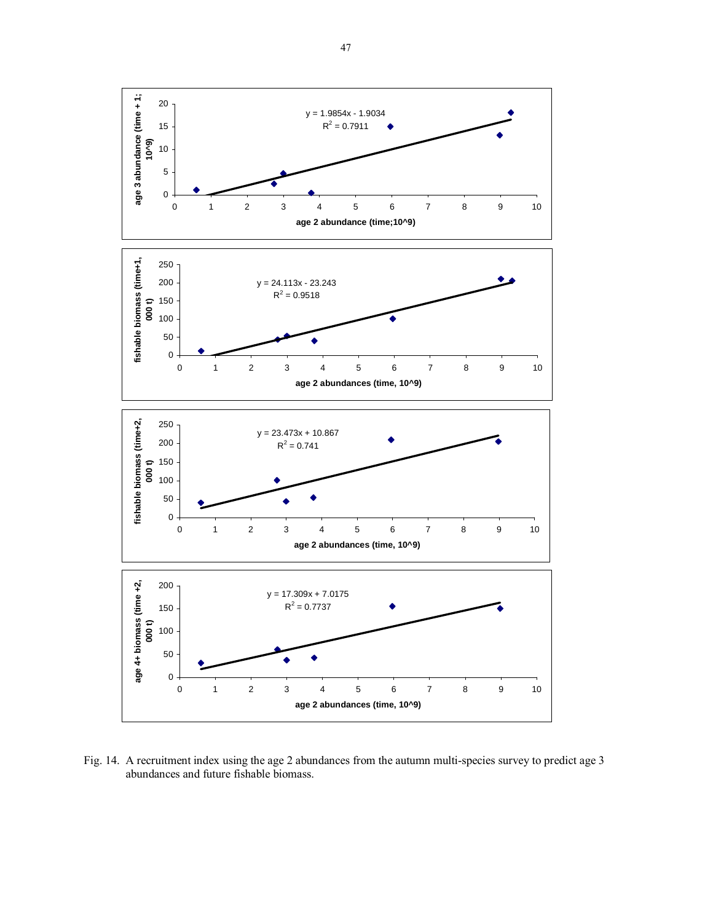

Fig. 14. A recruitment index using the age 2 abundances from the autumn multi-species survey to predict age 3 abundances and future fishable biomass.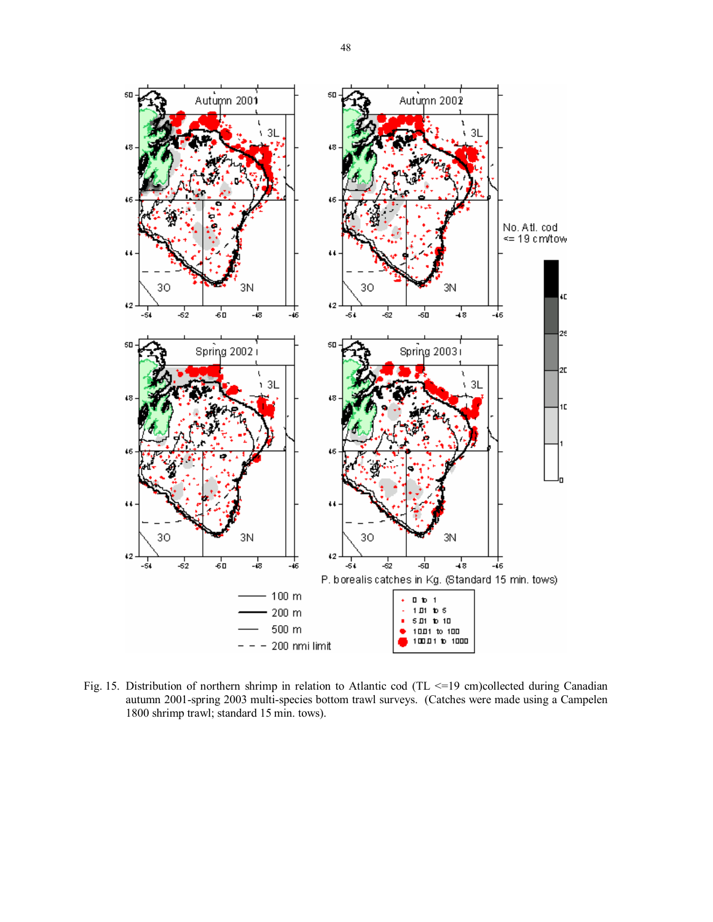

Fig. 15. Distribution of northern shrimp in relation to Atlantic cod (TL <=19 cm)collected during Canadian autumn 2001-spring 2003 multi-species bottom trawl surveys. (Catches were made using a Campelen 1800 shrimp trawl; standard 15 min. tows).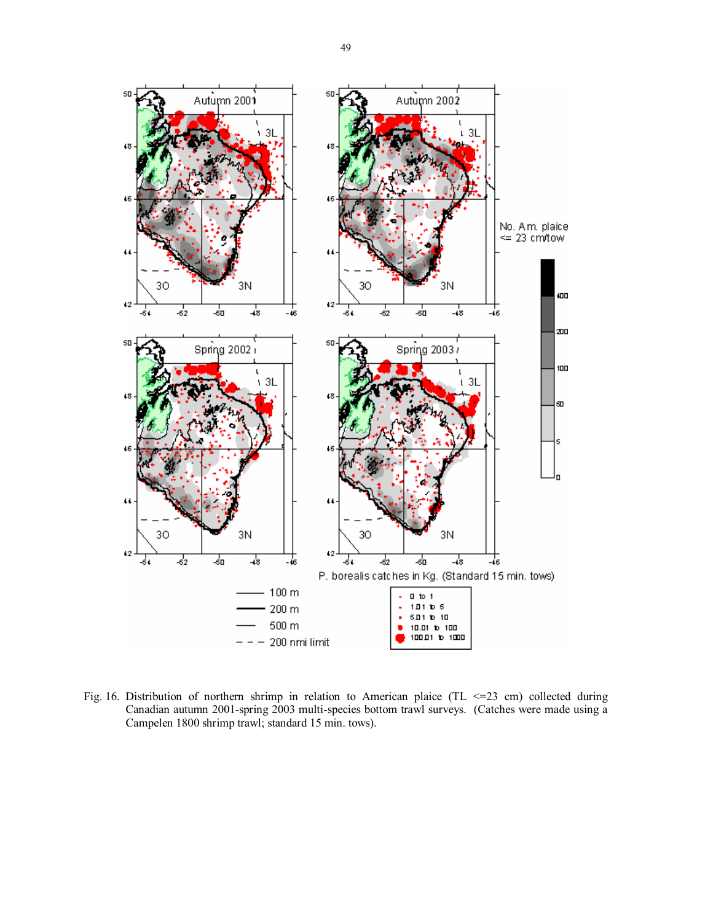

Fig. 16. Distribution of northern shrimp in relation to American plaice (TL <= 23 cm) collected during Canadian autumn 2001-spring 2003 multi-species bottom trawl surveys. (Catches were made using a Campelen 1800 shrimp trawl; standard 15 min. tows).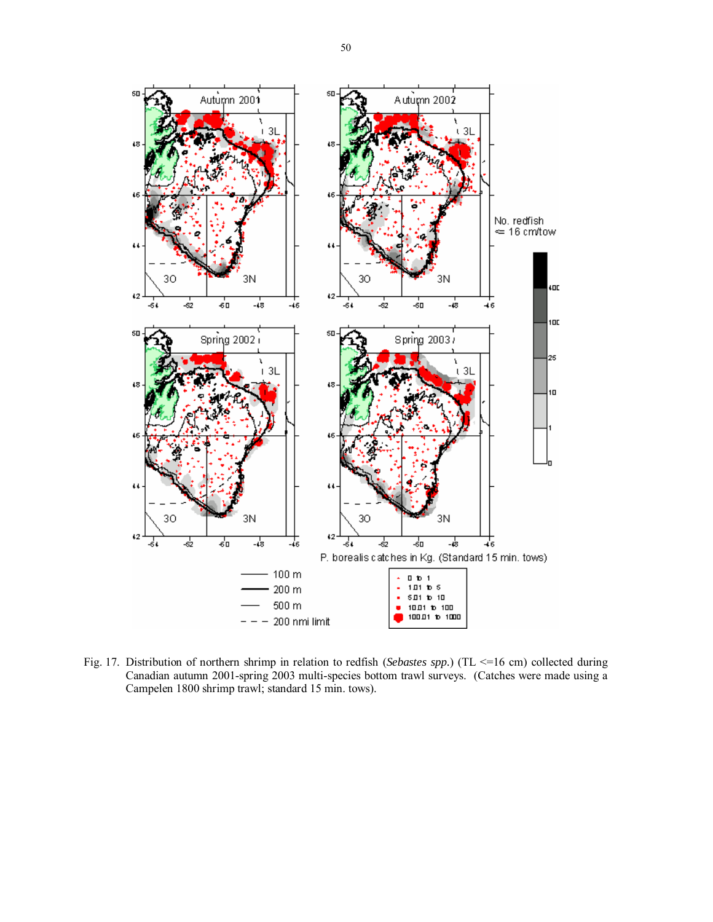

Fig. 17. Distribution of northern shrimp in relation to redfish (*Sebastes spp.*) (TL <=16 cm) collected during Canadian autumn 2001-spring 2003 multi-species bottom trawl surveys. (Catches were made using a Campelen 1800 shrimp trawl; standard 15 min. tows).